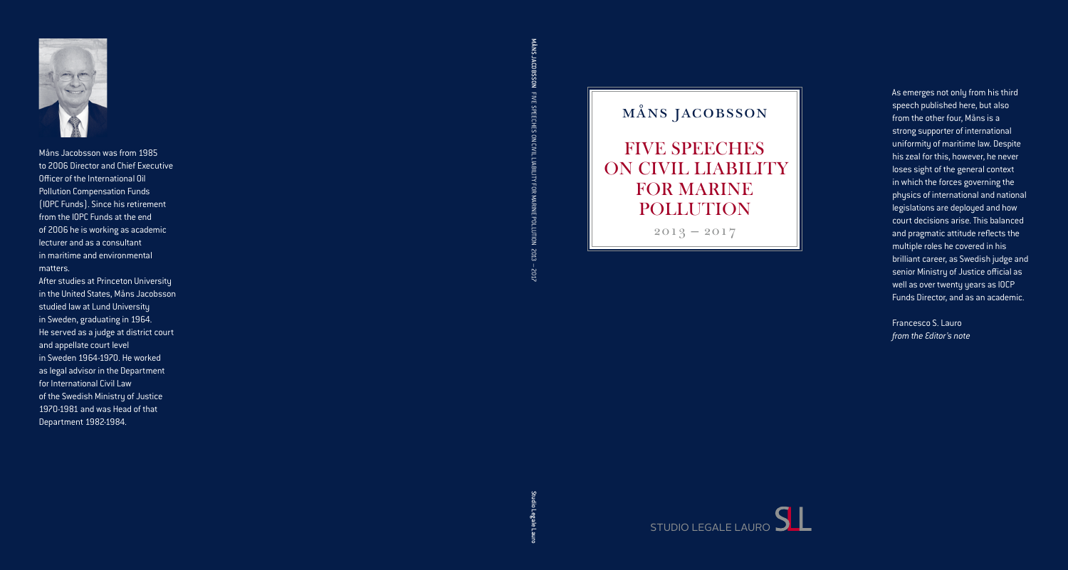# måns jacobsson

FIVE SPEECHES ON CIVIL LIABILITY FOR MARINE POLLUTION

 $2013 - 2017$ 

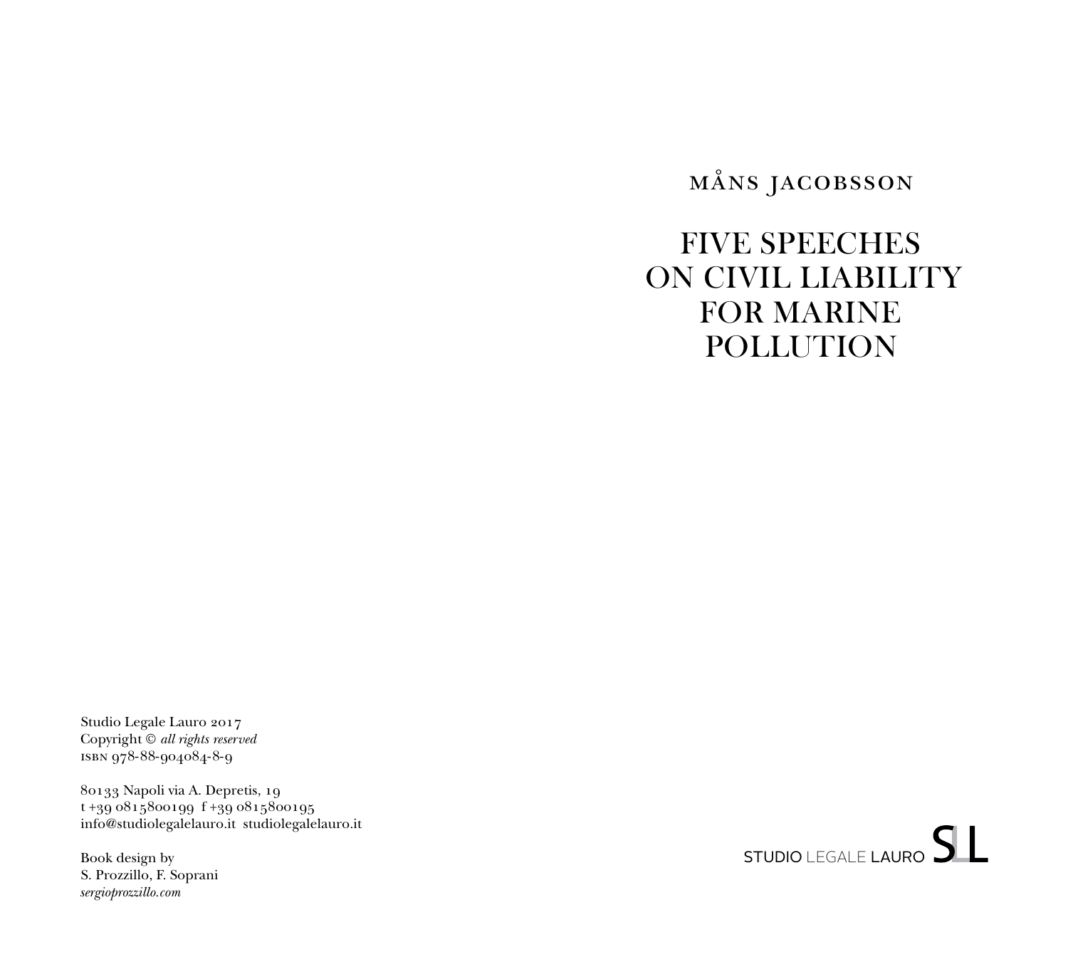# måns jacobsson

# FIVE SPEECHES ON CIVIL LIABILITY FOR MARINE POLLUTION

Studio Legale Lauro 2017 Copyright © *all rights reserved*  isbn 978-88-904084-8-9

80133 Napoli via A. Depretis, 19 t +39 0815800199 f +39 0815800195 info@studiolegalelauro.it studiolegalelauro.it

Book design by S. Prozzillo, F. Soprani *sergioprozzillo.com*

STUDIO LEGALE LAURO SL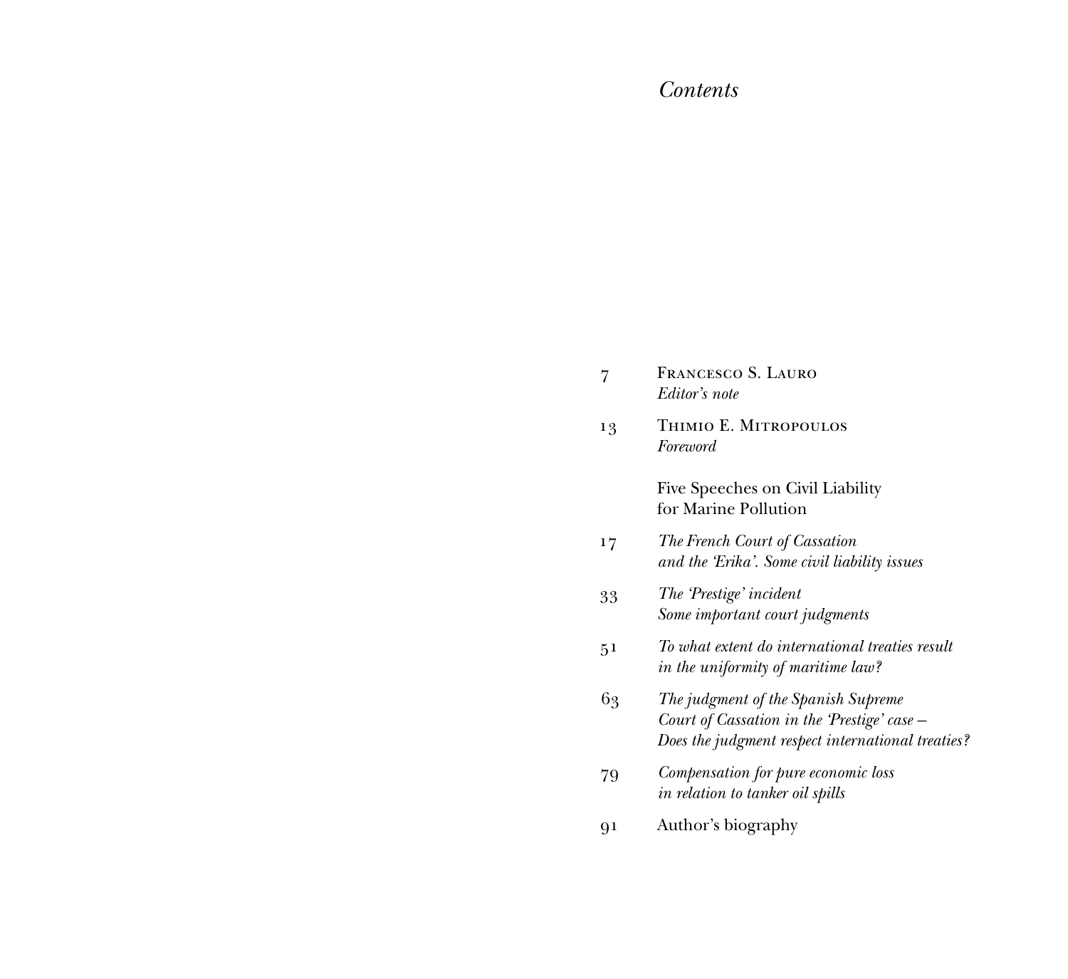# *Contents*

| 7       | FRANCESCO S. LAURO<br>Editor's note                                                                                                     |
|---------|-----------------------------------------------------------------------------------------------------------------------------------------|
| 13      | THIMIO E. MITROPOULOS<br>Foreword                                                                                                       |
|         | Five Speeches on Civil Liability<br>for Marine Pollution                                                                                |
| 17      | The French Court of Cassation<br>and the Erika'. Some civil liability issues                                                            |
| 33      | The Prestige' incident<br>Some important court judgments                                                                                |
| $5^{1}$ | To what extent do international treaties result<br>in the uniformity of maritime law?                                                   |
| 63      | The judgment of the Spanish Supreme<br>Court of Cassation in the 'Prestige' case -<br>Does the judgment respect international treaties? |
| 79      | Compensation for pure economic loss<br>in relation to tanker oil spills                                                                 |
| 91      | Author's biography                                                                                                                      |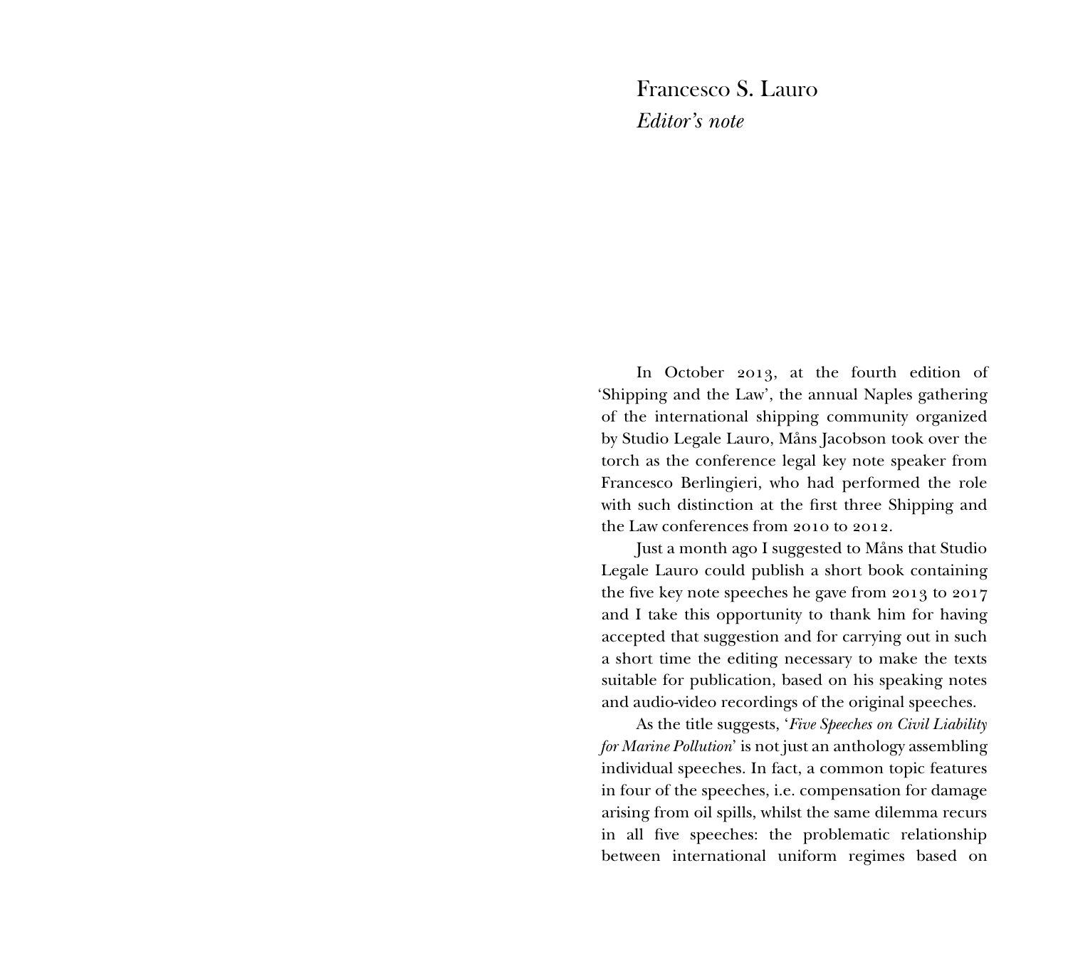Francesco S. Lauro *Editor's note*

In October 2013, at the fourth edition of 'Shipping and the Law', the annual Naples gathering of the international shipping community organized by Studio Legale Lauro, Måns Jacobson took over the torch as the conference legal key note speaker from Francesco Berlingieri, who had performed the role with such distinction at the first three Shipping and the Law conferences from 2010 to 2012.

Just a month ago I suggested to Måns that Studio Legale Lauro could publish a short book containing the five key note speeches he gave from 2013 to 2017 and I take this opportunity to thank him for having accepted that suggestion and for carrying out in such a short time the editing necessary to make the texts suitable for publication, based on his speaking notes and audio-video recordings of the original speeches.

As the title suggests, '*Five Speeches on Civil Liability for Marine Pollution*' is not just an anthology assembling individual speeches. In fact, a common topic features in four of the speeches, i.e. compensation for damage arising from oil spills, whilst the same dilemma recurs in all five speeches: the problematic relationship between international uniform regimes based on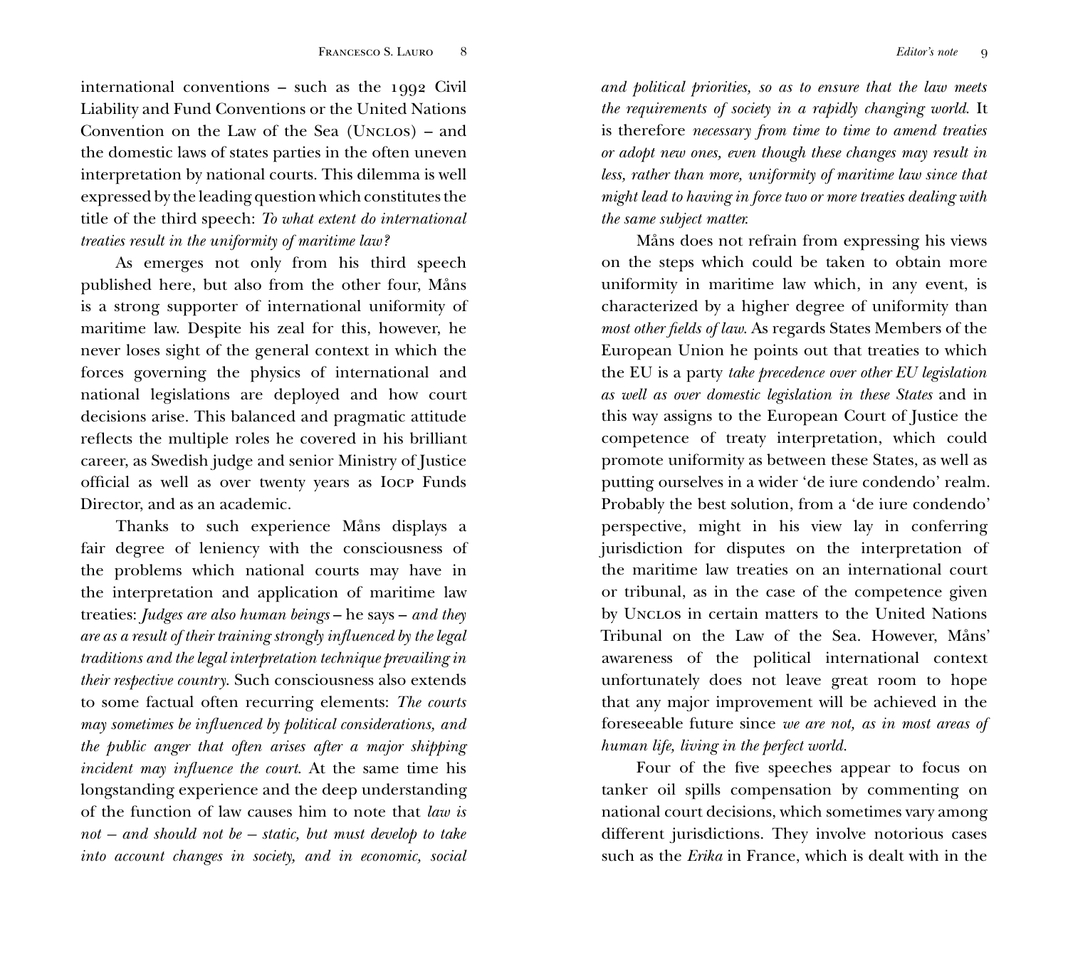international conventions – such as the 1992 Civil Liability and Fund Conventions or the United Nations Convention on the Law of the Sea (Unclos) – and the domestic laws of states parties in the often uneven interpretation by national courts. This dilemma is well expressed by the leading question which constitutes the title of the third speech: *To what extent do international treaties result in the uniformity of maritime law?*

As emerges not only from his third speech published here, but also from the other four, Måns is a strong supporter of international uniformity of maritime law. Despite his zeal for this, however, he never loses sight of the general context in which the forces governing the physics of international and national legislations are deployed and how court decisions arise. This balanced and pragmatic attitude reflects the multiple roles he covered in his brilliant career, as Swedish judge and senior Ministry of Justice official as well as over twenty years as Iocp Funds Director, and as an academic.

Thanks to such experience Måns displays a fair degree of leniency with the consciousness of the problems which national courts may have in the interpretation and application of maritime law treaties: *Judges are also human beings* – he says – *and they are as a result of their training strongly influenced by the legal traditions and the legal interpretation technique prevailing in their respective country*. Such consciousness also extends to some factual often recurring elements: *The courts may sometimes be influenced by political considerations, and the public anger that often arises after a major shipping incident may influence the court*. At the same time his longstanding experience and the deep understanding of the function of law causes him to note that *law is not – and should not be – static, but must develop to take into account changes in society, and in economic, social*  *and political priorities, so as to ensure that the law meets the requirements of society in a rapidly changing world*. It is therefore *necessary from time to time to amend treaties or adopt new ones, even though these changes may result in less, rather than more, uniformity of maritime law since that might lead to having in force two or more treaties dealing with the same subject matter.* 

Måns does not refrain from expressing his views on the steps which could be taken to obtain more uniformity in maritime law which, in any event, is characterized by a higher degree of uniformity than *most other fields of law*. As regards States Members of the European Union he points out that treaties to which the EU is a party *take precedence over other EU legislation as well as over domestic legislation in these States* and in this way assigns to the European Court of Justice the competence of treaty interpretation, which could promote uniformity as between these States, as well as putting ourselves in a wider 'de iure condendo' realm. Probably the best solution, from a 'de iure condendo' perspective, might in his view lay in conferring jurisdiction for disputes on the interpretation of the maritime law treaties on an international court or tribunal, as in the case of the competence given by Unclos in certain matters to the United Nations Tribunal on the Law of the Sea. However, Måns' awareness of the political international context unfortunately does not leave great room to hope that any major improvement will be achieved in the foreseeable future since *we are not, as in most areas of human life, living in the perfect world.*

Four of the five speeches appear to focus on tanker oil spills compensation by commenting on national court decisions, which sometimes vary among different jurisdictions. They involve notorious cases such as the *Erika* in France, which is dealt with in the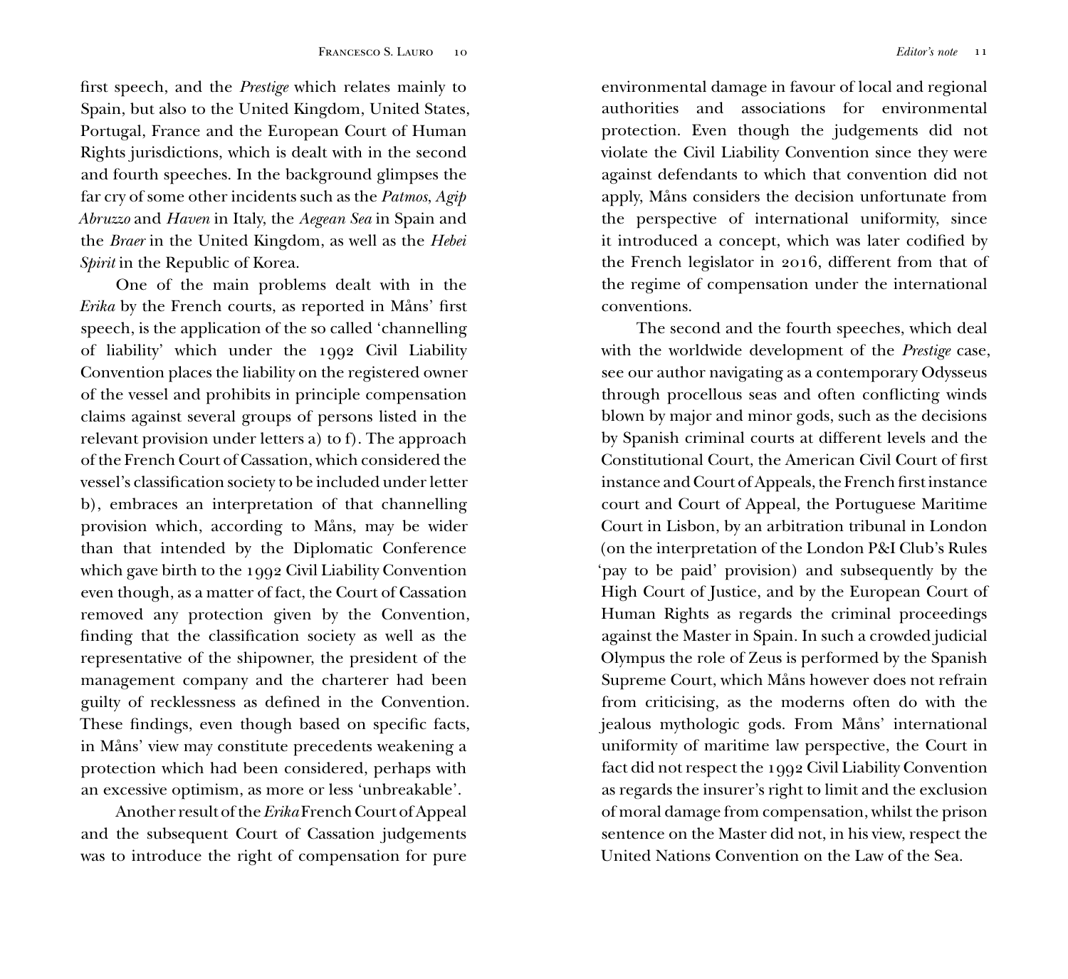first speech, and the *Prestige* which relates mainly to Spain, but also to the United Kingdom, United States, Portugal, France and the European Court of Human Rights jurisdictions, which is dealt with in the second and fourth speeches. In the background glimpses the far cry of some other incidents such as the *Patmos*, *Agip Abruzzo* and *Haven* in Italy, the *Aegean Sea* in Spain and the *Braer* in the United Kingdom, as well as the *Hebei Spirit* in the Republic of Korea.

One of the main problems dealt with in the *Erika* by the French courts, as reported in Måns' first speech, is the application of the so called 'channelling of liability' which under the 1992 Civil Liability Convention places the liability on the registered owner of the vessel and prohibits in principle compensation claims against several groups of persons listed in the relevant provision under letters a) to f). The approach of the French Court of Cassation, which considered the vessel's classification society to be included under letter b), embraces an interpretation of that channelling provision which, according to Måns, may be wider than that intended by the Diplomatic Conference which gave birth to the 1992 Civil Liability Convention even though, as a matter of fact, the Court of Cassation removed any protection given by the Convention, finding that the classification society as well as the representative of the shipowner, the president of the management company and the charterer had been guilty of recklessness as defined in the Convention. These findings, even though based on specific facts, in Måns' view may constitute precedents weakening a protection which had been considered, perhaps with an excessive optimism, as more or less 'unbreakable'.

Another result of the *Erika* French Court of Appeal and the subsequent Court of Cassation judgements was to introduce the right of compensation for pure environmental damage in favour of local and regional authorities and associations for environmental protection. Even though the judgements did not violate the Civil Liability Convention since they were against defendants to which that convention did not apply, Måns considers the decision unfortunate from the perspective of international uniformity, since it introduced a concept, which was later codified by the French legislator in 2016, different from that of the regime of compensation under the international conventions.

The second and the fourth speeches, which deal with the worldwide development of the *Prestige* case, see our author navigating as a contemporary Odysseus through procellous seas and often conflicting winds blown by major and minor gods, such as the decisions by Spanish criminal courts at different levels and the Constitutional Court, the American Civil Court of first instance and Court of Appeals, the French first instance court and Court of Appeal, the Portuguese Maritime Court in Lisbon, by an arbitration tribunal in London (on the interpretation of the London P&I Club's Rules 'pay to be paid' provision) and subsequently by the High Court of Justice, and by the European Court of Human Rights as regards the criminal proceedings against the Master in Spain. In such a crowded judicial Olympus the role of Zeus is performed by the Spanish Supreme Court, which Måns however does not refrain from criticising, as the moderns often do with the jealous mythologic gods. From Måns' international uniformity of maritime law perspective, the Court in fact did not respect the 1992 Civil Liability Convention as regards the insurer's right to limit and the exclusion of moral damage from compensation, whilst the prison sentence on the Master did not, in his view, respect the United Nations Convention on the Law of the Sea.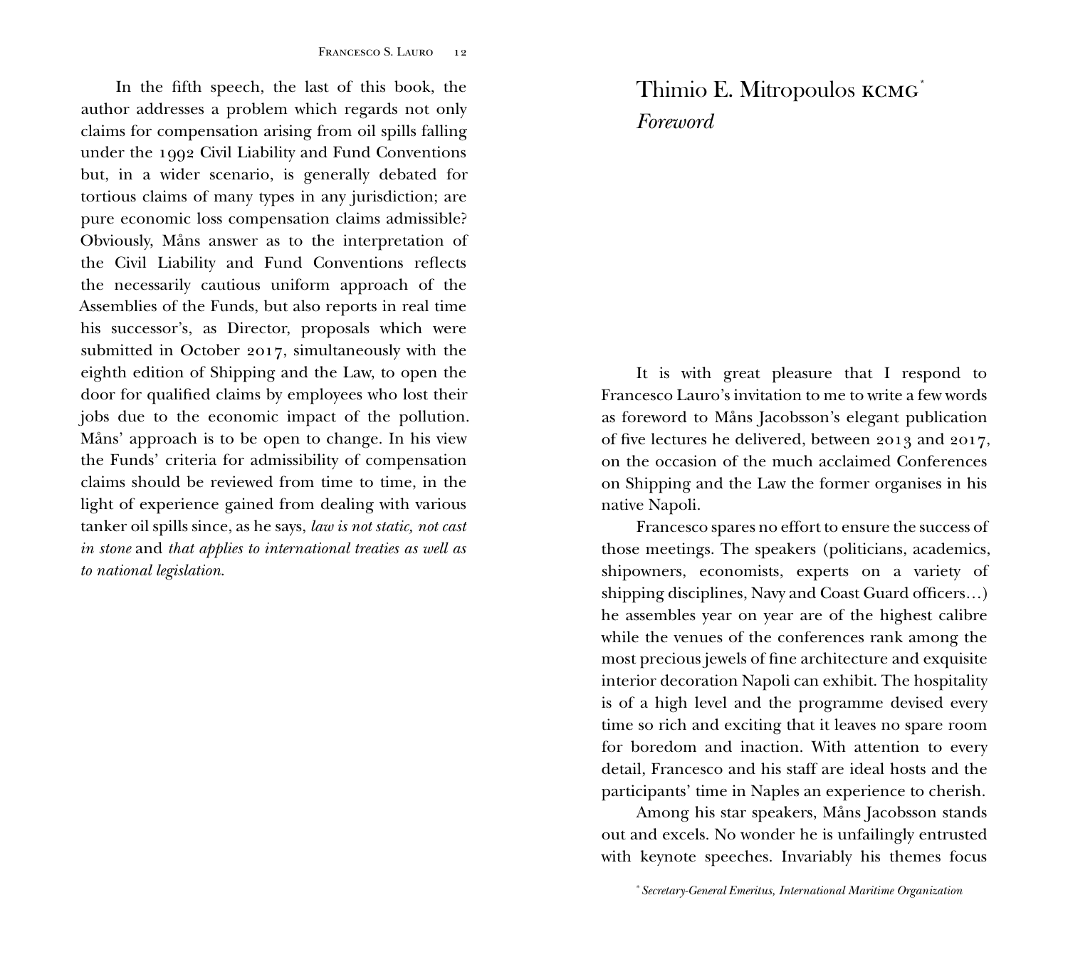In the fifth speech, the last of this book, the author addresses a problem which regards not only claims for compensation arising from oil spills falling under the 1992 Civil Liability and Fund Conventions but, in a wider scenario, is generally debated for tortious claims of many types in any jurisdiction; are pure economic loss compensation claims admissible? Obviously, Måns answer as to the interpretation of the Civil Liability and Fund Conventions reflects the necessarily cautious uniform approach of the Assemblies of the Funds, but also reports in real time his successor's, as Director, proposals which were submitted in October 2017, simultaneously with the eighth edition of Shipping and the Law, to open the door for qualified claims by employees who lost their jobs due to the economic impact of the pollution. Måns' approach is to be open to change. In his view the Funds' criteria for admissibility of compensation claims should be reviewed from time to time, in the light of experience gained from dealing with various tanker oil spills since, as he says, *law is not static, not cast in stone* and *that applies to international treaties as well as to national legislation*.

# Thimio E. Mitropoulos KCMG<sup>\*</sup> *Foreword*

It is with great pleasure that I respond to Francesco Lauro's invitation to me to write a few words as foreword to Måns Jacobsson's elegant publication of five lectures he delivered, between 2013 and 2017, on the occasion of the much acclaimed Conferences on Shipping and the Law the former organises in his native Napoli.

Francesco spares no effort to ensure the success of those meetings. The speakers (politicians, academics, shipowners, economists, experts on a variety of shipping disciplines, Navy and Coast Guard officers…) he assembles year on year are of the highest calibre while the venues of the conferences rank among the most precious jewels of fine architecture and exquisite interior decoration Napoli can exhibit. The hospitality is of a high level and the programme devised every time so rich and exciting that it leaves no spare room for boredom and inaction. With attention to every detail, Francesco and his staff are ideal hosts and the participants' time in Naples an experience to cherish.

Among his star speakers, Måns Jacobsson stands out and excels. No wonder he is unfailingly entrusted with keynote speeches. Invariably his themes focus

<sup>\*</sup> *Secretary-General Emeritus, International Maritime Organization*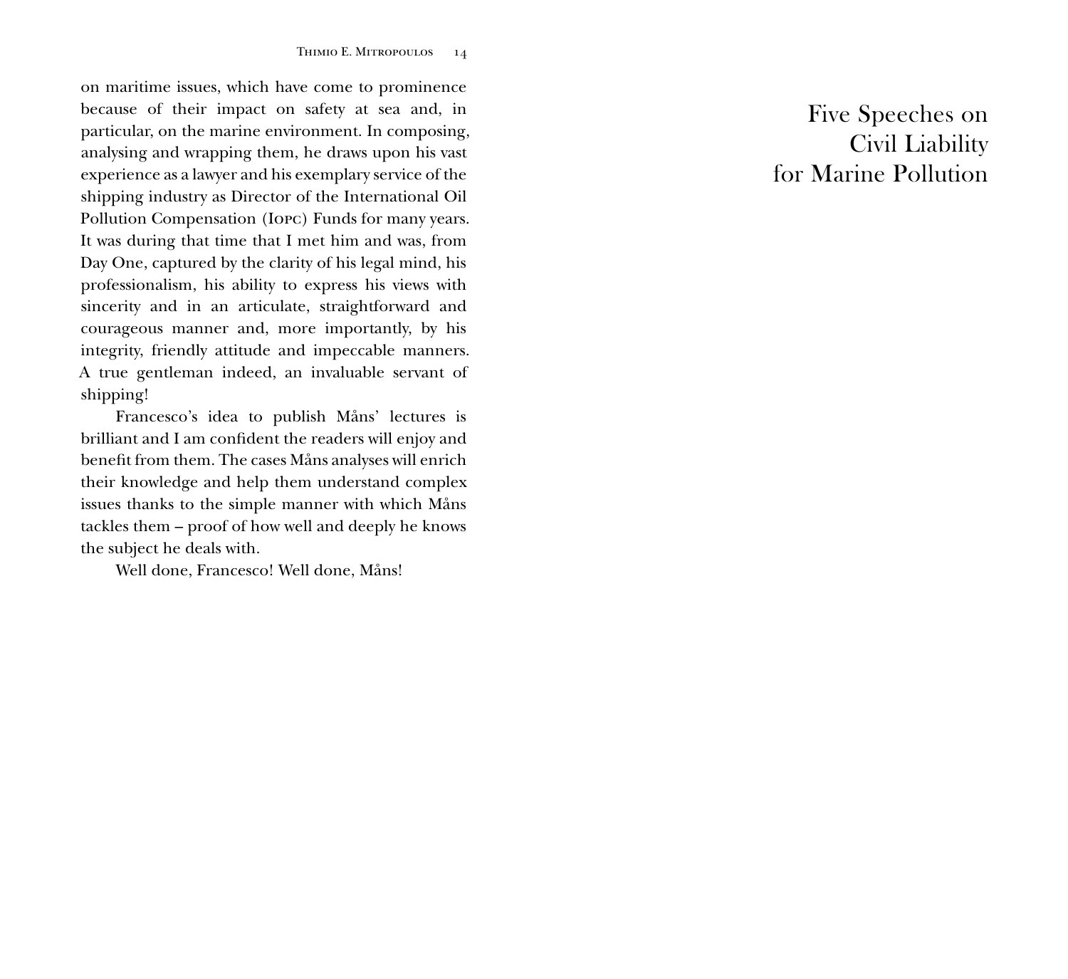on maritime issues, which have come to prominence because of their impact on safety at sea and, in particular, on the marine environment. In composing, analysing and wrapping them, he draws upon his vast experience as a lawyer and his exemplary service of the shipping industry as Director of the International Oil Pollution Compensation (Iopc) Funds for many years. It was during that time that I met him and was, from Day One, captured by the clarity of his legal mind, his professionalism, his ability to express his views with sincerity and in an articulate, straightforward and courageous manner and, more importantly, by his integrity, friendly attitude and impeccable manners. A true gentleman indeed, an invaluable servant of shipping!

Francesco's idea to publish Måns' lectures is brilliant and I am confident the readers will enjoy and benefit from them. The cases Måns analyses will enrich their knowledge and help them understand complex issues thanks to the simple manner with which Måns tackles them – proof of how well and deeply he knows the subject he deals with.

Well done, Francesco! Well done, Måns!

# Five Speeches on Civil Liability for Marine Pollution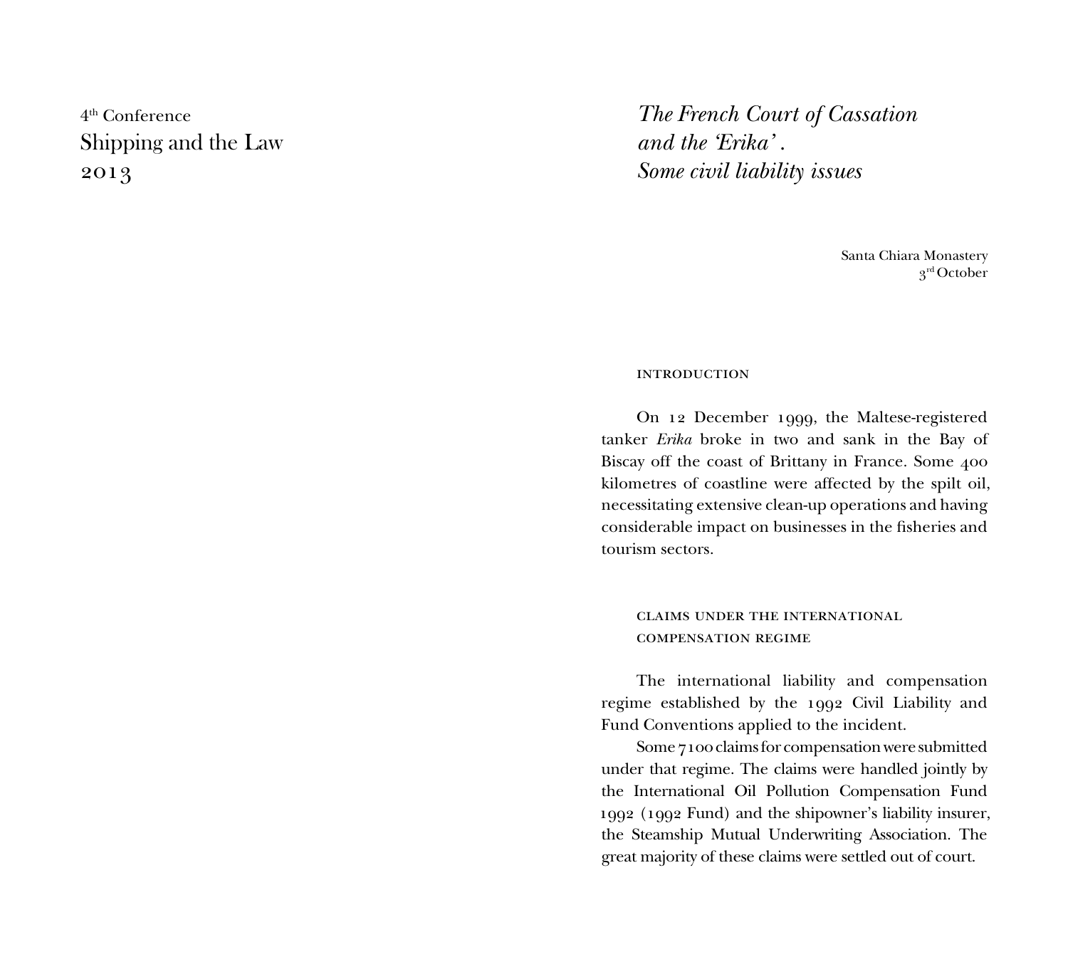# 4th Conference Shipping and the Law 2013

*The French Court of Cassation and the 'Erika' . Some civil liability issues*

> Santa Chiara Monastery 3rd October

#### **INTRODUCTION**

On 12 December 1999, the Maltese-registered tanker *Erika* broke in two and sank in the Bay of Biscay off the coast of Brittany in France. Some 400 kilometres of coastline were affected by the spilt oil, necessitating extensive clean-up operations and having considerable impact on businesses in the fisheries and tourism sectors.

claims under the international compensation regime

The international liability and compensation regime established by the 1992 Civil Liability and Fund Conventions applied to the incident.

Some 7100 claims for compensation were submitted under that regime. The claims were handled jointly by the International Oil Pollution Compensation Fund 1992 (1992 Fund) and the shipowner's liability insurer, the Steamship Mutual Underwriting Association. The great majority of these claims were settled out of court.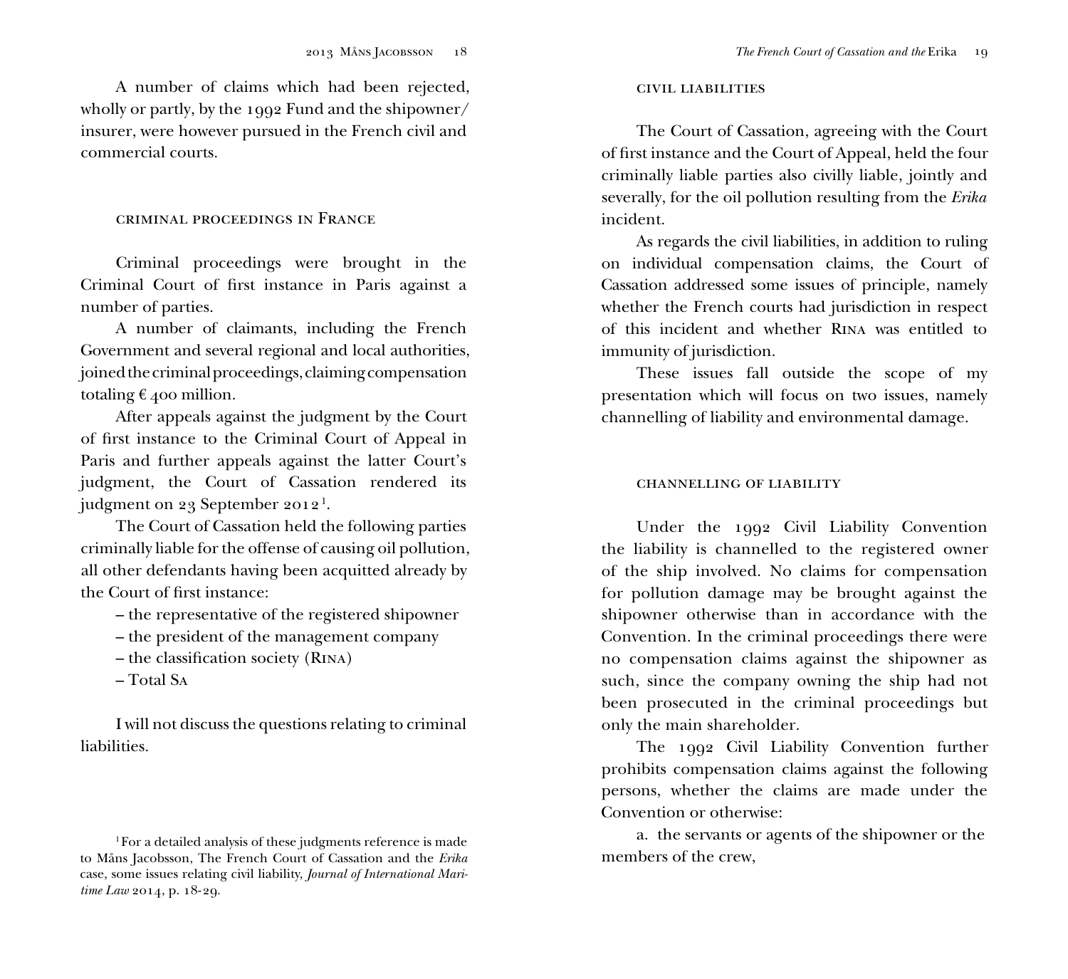A number of claims which had been rejected, wholly or partly, by the 1992 Fund and the shipowner/ insurer, were however pursued in the French civil and commercial courts.

## criminal proceedings in France

Criminal proceedings were brought in the Criminal Court of first instance in Paris against a number of parties.

A number of claimants, including the French Government and several regional and local authorities, joined the criminal proceedings, claiming compensation totaling  $\epsilon$  400 million.

After appeals against the judgment by the Court of first instance to the Criminal Court of Appeal in Paris and further appeals against the latter Court's judgment, the Court of Cassation rendered its judgment on 23 September 2012 $^{\rm l}$ .

The Court of Cassation held the following parties criminally liable for the offense of causing oil pollution, all other defendants having been acquitted already by the Court of first instance:

– the representative of the registered shipowner

- the president of the management company
- the classification society (Rina)
- Total Sa

I will not discuss the questions relating to criminal liabilities.

### civil liabilities

The Court of Cassation, agreeing with the Court of first instance and the Court of Appeal, held the four criminally liable parties also civilly liable, jointly and severally, for the oil pollution resulting from the *Erika* incident.

As regards the civil liabilities, in addition to ruling on individual compensation claims, the Court of Cassation addressed some issues of principle, namely whether the French courts had jurisdiction in respect of this incident and whether Rina was entitled to immunity of jurisdiction.

These issues fall outside the scope of my presentation which will focus on two issues, namely channelling of liability and environmental damage.

### channelling of liability

Under the 1992 Civil Liability Convention the liability is channelled to the registered owner of the ship involved. No claims for compensation for pollution damage may be brought against the shipowner otherwise than in accordance with the Convention. In the criminal proceedings there were no compensation claims against the shipowner as such, since the company owning the ship had not been prosecuted in the criminal proceedings but only the main shareholder.

The 1992 Civil Liability Convention further prohibits compensation claims against the following persons, whether the claims are made under the Convention or otherwise:

a. the servants or agents of the shipowner or the members of the crew,

<sup>&</sup>lt;sup>1</sup>For a detailed analysis of these judgments reference is made to Måns Jacobsson, The French Court of Cassation and the *Erika* case, some issues relating civil liability, *Journal of International Maritime Law* 2014, p. 18-29.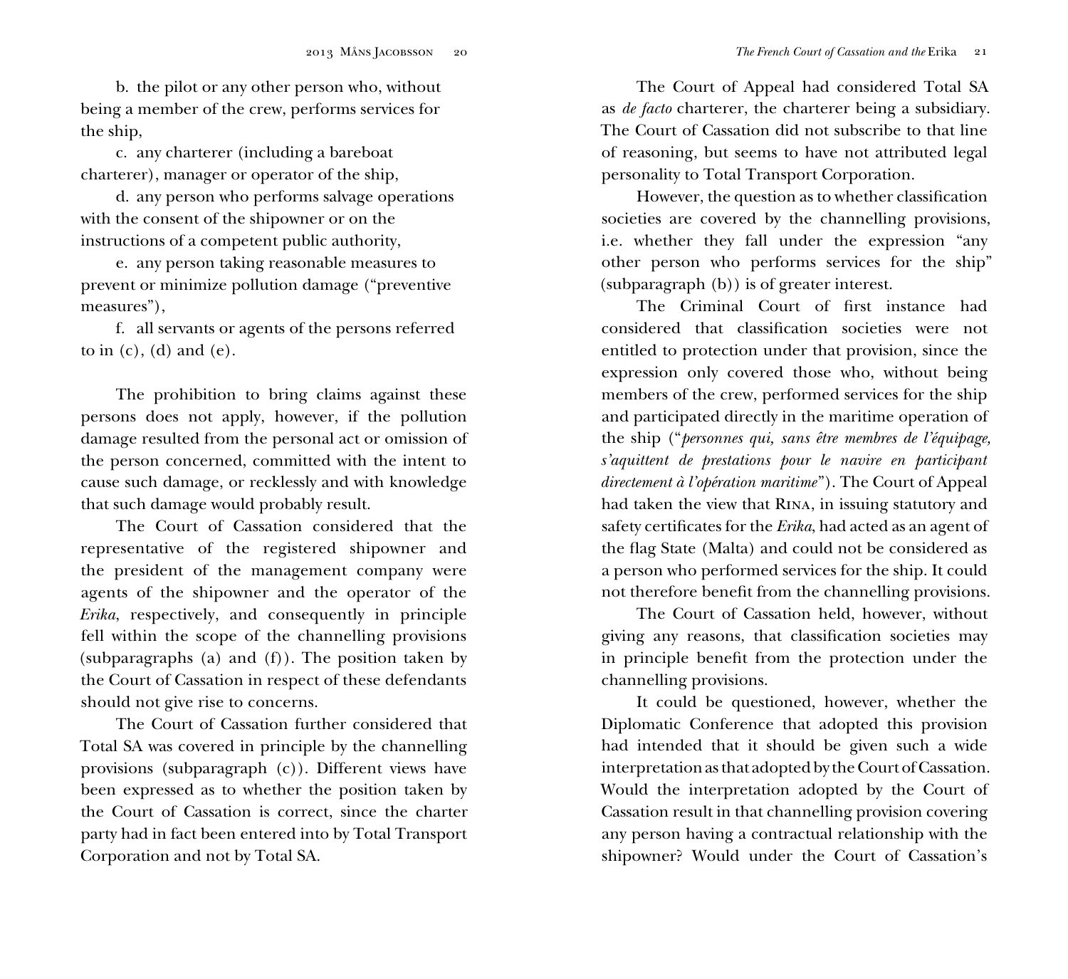b. the pilot or any other person who, without being a member of the crew, performs services for the ship,

c. any charterer (including a bareboat charterer), manager or operator of the ship,

d. any person who performs salvage operations with the consent of the shipowner or on the instructions of a competent public authority,

e. any person taking reasonable measures to prevent or minimize pollution damage ("preventive measures"),

f. all servants or agents of the persons referred to in  $(c)$ ,  $(d)$  and  $(e)$ .

The prohibition to bring claims against these persons does not apply, however, if the pollution damage resulted from the personal act or omission of the person concerned, committed with the intent to cause such damage, or recklessly and with knowledge that such damage would probably result.

The Court of Cassation considered that the representative of the registered shipowner and the president of the management company were agents of the shipowner and the operator of the *Erika*, respectively, and consequently in principle fell within the scope of the channelling provisions (subparagraphs (a) and (f)). The position taken by the Court of Cassation in respect of these defendants should not give rise to concerns.

The Court of Cassation further considered that Total SA was covered in principle by the channelling provisions (subparagraph (c)). Different views have been expressed as to whether the position taken by the Court of Cassation is correct, since the charter party had in fact been entered into by Total Transport Corporation and not by Total SA.

The Court of Appeal had considered Total SA as *de facto* charterer, the charterer being a subsidiary. The Court of Cassation did not subscribe to that line of reasoning, but seems to have not attributed legal personality to Total Transport Corporation.

However, the question as to whether classification societies are covered by the channelling provisions, i.e. whether they fall under the expression "any other person who performs services for the ship" (subparagraph (b)) is of greater interest.

The Criminal Court of first instance had considered that classification societies were not entitled to protection under that provision, since the expression only covered those who, without being members of the crew, performed services for the ship and participated directly in the maritime operation of the ship ("*personnes qui, sans être membres de l'équipage, s'aquittent de prestations pour le navire en participant directement à l'opération maritime* "). The Court of Appeal had taken the view that Rina, in issuing statutory and safety certificates for the *Erika*, had acted as an agent of the flag State (Malta) and could not be considered as a person who performed services for the ship. It could not therefore benefit from the channelling provisions.

The Court of Cassation held, however, without giving any reasons, that classification societies may in principle benefit from the protection under the channelling provisions.

It could be questioned, however, whether the Diplomatic Conference that adopted this provision had intended that it should be given such a wide interpretation as that adopted by the Court of Cassation. Would the interpretation adopted by the Court of Cassation result in that channelling provision covering any person having a contractual relationship with the shipowner? Would under the Court of Cassation's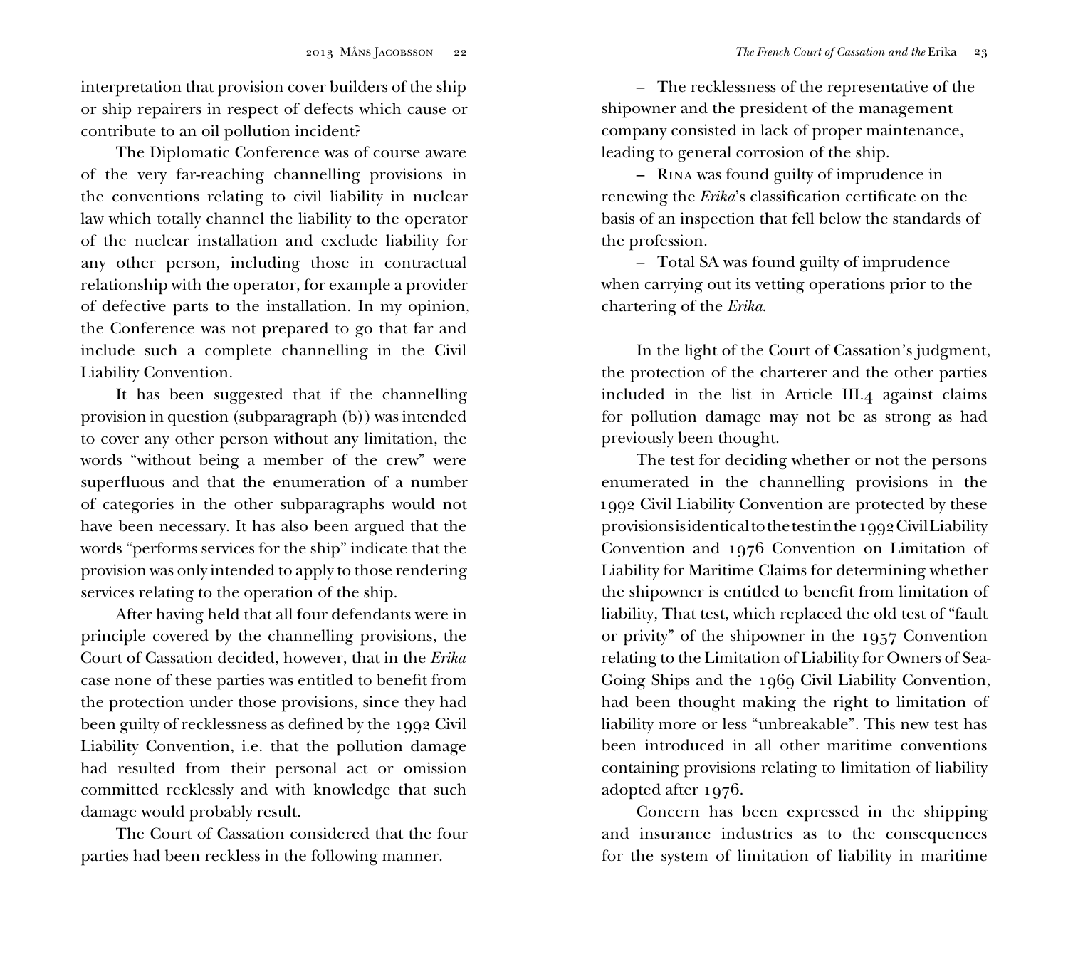interpretation that provision cover builders of the ship or ship repairers in respect of defects which cause or contribute to an oil pollution incident?

The Diplomatic Conference was of course aware of the very far-reaching channelling provisions in the conventions relating to civil liability in nuclear law which totally channel the liability to the operator of the nuclear installation and exclude liability for any other person, including those in contractual relationship with the operator, for example a provider of defective parts to the installation. In my opinion, the Conference was not prepared to go that far and include such a complete channelling in the Civil Liability Convention.

It has been suggested that if the channelling provision in question (subparagraph (b)) was intended to cover any other person without any limitation, the words "without being a member of the crew" were superfluous and that the enumeration of a number of categories in the other subparagraphs would not have been necessary. It has also been argued that the words "performs services for the ship" indicate that the provision was only intended to apply to those rendering services relating to the operation of the ship.

After having held that all four defendants were in principle covered by the channelling provisions, the Court of Cassation decided, however, that in the *Erika* case none of these parties was entitled to benefit from the protection under those provisions, since they had been guilty of recklessness as defined by the 1992 Civil Liability Convention, i.e. that the pollution damage had resulted from their personal act or omission committed recklessly and with knowledge that such damage would probably result.

The Court of Cassation considered that the four parties had been reckless in the following manner.

– The recklessness of the representative of the shipowner and the president of the management company consisted in lack of proper maintenance, leading to general corrosion of the ship.

– Rina was found guilty of imprudence in renewing the *Erika*'s classification certificate on the basis of an inspection that fell below the standards of the profession.

– Total SA was found guilty of imprudence when carrying out its vetting operations prior to the chartering of the *Erika*.

In the light of the Court of Cassation's judgment, the protection of the charterer and the other parties included in the list in Article III.4 against claims for pollution damage may not be as strong as had previously been thought.

The test for deciding whether or not the persons enumerated in the channelling provisions in the 1992 Civil Liability Convention are protected by these provisions is identical to the test in the 1992 Civil Liability Convention and 1976 Convention on Limitation of Liability for Maritime Claims for determining whether the shipowner is entitled to benefit from limitation of liability, That test, which replaced the old test of "fault or privity" of the shipowner in the 1957 Convention relating to the Limitation of Liability for Owners of Sea-Going Ships and the 1969 Civil Liability Convention, had been thought making the right to limitation of liability more or less "unbreakable". This new test has been introduced in all other maritime conventions containing provisions relating to limitation of liability adopted after 1976.

Concern has been expressed in the shipping and insurance industries as to the consequences for the system of limitation of liability in maritime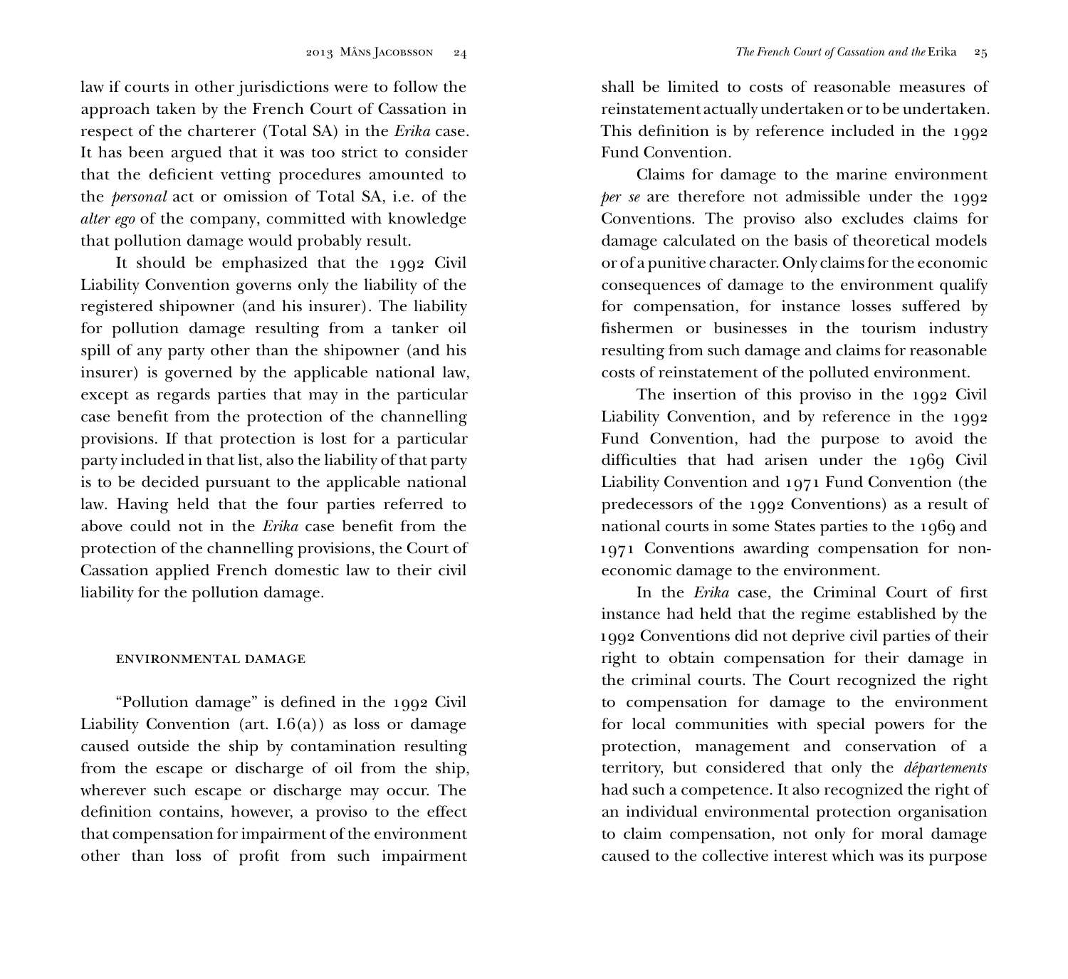law if courts in other jurisdictions were to follow the approach taken by the French Court of Cassation in respect of the charterer (Total SA) in the *Erika* case. It has been argued that it was too strict to consider that the deficient vetting procedures amounted to the *personal* act or omission of Total SA, i.e. of the *alter ego* of the company, committed with knowledge that pollution damage would probably result.

It should be emphasized that the 1992 Civil Liability Convention governs only the liability of the registered shipowner (and his insurer). The liability for pollution damage resulting from a tanker oil spill of any party other than the shipowner (and his insurer) is governed by the applicable national law, except as regards parties that may in the particular case benefit from the protection of the channelling provisions. If that protection is lost for a particular party included in that list, also the liability of that party is to be decided pursuant to the applicable national law. Having held that the four parties referred to above could not in the *Erika* case benefit from the protection of the channelling provisions, the Court of Cassation applied French domestic law to their civil liability for the pollution damage.

### environmental damage

"Pollution damage" is defined in the 1992 Civil Liability Convention (art.  $I.6(a)$ ) as loss or damage caused outside the ship by contamination resulting from the escape or discharge of oil from the ship, wherever such escape or discharge may occur. The definition contains, however, a proviso to the effect that compensation for impairment of the environment other than loss of profit from such impairment

shall be limited to costs of reasonable measures of reinstatement actually undertaken or to be undertaken. This definition is by reference included in the 1992 Fund Convention.

Claims for damage to the marine environment *per se* are therefore not admissible under the 1992 Conventions. The proviso also excludes claims for damage calculated on the basis of theoretical models or of a punitive character. Only claims for the economic consequences of damage to the environment qualify for compensation, for instance losses suffered by fishermen or businesses in the tourism industry resulting from such damage and claims for reasonable costs of reinstatement of the polluted environment.

The insertion of this proviso in the 1992 Civil Liability Convention, and by reference in the 1992 Fund Convention, had the purpose to avoid the difficulties that had arisen under the 1969 Civil Liability Convention and 1971 Fund Convention (the predecessors of the 1992 Conventions) as a result of national courts in some States parties to the 1969 and 1971 Conventions awarding compensation for noneconomic damage to the environment.

In the *Erika* case, the Criminal Court of first instance had held that the regime established by the 1992 Conventions did not deprive civil parties of their right to obtain compensation for their damage in the criminal courts. The Court recognized the right to compensation for damage to the environment for local communities with special powers for the protection, management and conservation of a territory, but considered that only the *départements* had such a competence. It also recognized the right of an individual environmental protection organisation to claim compensation, not only for moral damage caused to the collective interest which was its purpose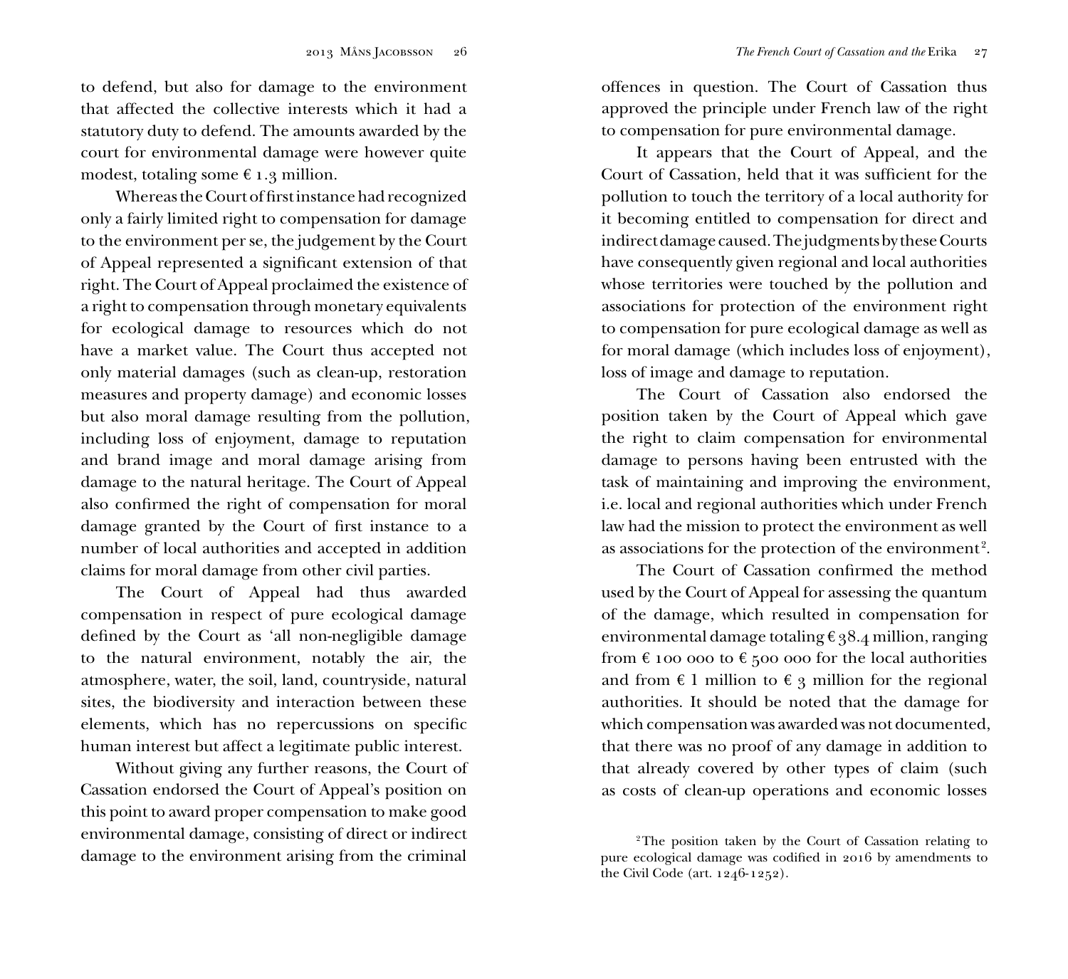to defend, but also for damage to the environment that affected the collective interests which it had a statutory duty to defend. The amounts awarded by the court for environmental damage were however quite modest, totaling some  $\epsilon$  1.3 million.

Whereas the Court of first instance had recognized only a fairly limited right to compensation for damage to the environment per se, the judgement by the Court of Appeal represented a significant extension of that right. The Court of Appeal proclaimed the existence of a right to compensation through monetary equivalents for ecological damage to resources which do not have a market value. The Court thus accepted not only material damages (such as clean-up, restoration measures and property damage) and economic losses but also moral damage resulting from the pollution, including loss of enjoyment, damage to reputation and brand image and moral damage arising from damage to the natural heritage. The Court of Appeal also confirmed the right of compensation for moral damage granted by the Court of first instance to a number of local authorities and accepted in addition claims for moral damage from other civil parties.

The Court of Appeal had thus awarded compensation in respect of pure ecological damage defined by the Court as 'all non-negligible damage to the natural environment, notably the air, the atmosphere, water, the soil, land, countryside, natural sites, the biodiversity and interaction between these elements, which has no repercussions on specific human interest but affect a legitimate public interest.

Without giving any further reasons, the Court of Cassation endorsed the Court of Appeal's position on this point to award proper compensation to make good environmental damage, consisting of direct or indirect damage to the environment arising from the criminal

offences in question. The Court of Cassation thus approved the principle under French law of the right to compensation for pure environmental damage.

It appears that the Court of Appeal, and the Court of Cassation, held that it was sufficient for the pollution to touch the territory of a local authority for it becoming entitled to compensation for direct and indirect damage caused. The judgments by these Courts have consequently given regional and local authorities whose territories were touched by the pollution and associations for protection of the environment right to compensation for pure ecological damage as well as for moral damage (which includes loss of enjoyment), loss of image and damage to reputation.

The Court of Cassation also endorsed the position taken by the Court of Appeal which gave the right to claim compensation for environmental damage to persons having been entrusted with the task of maintaining and improving the environment, i.e. local and regional authorities which under French law had the mission to protect the environment as well as associations for the protection of the environment<sup>2</sup>.

The Court of Cassation confirmed the method used by the Court of Appeal for assessing the quantum of the damage, which resulted in compensation for environmental damage totaling  $\epsilon$  38.4 million, ranging from  $\epsilon$  100 000 to  $\epsilon$  500 000 for the local authorities and from  $\epsilon$  1 million to  $\epsilon$  3 million for the regional authorities. It should be noted that the damage for which compensation was awarded was not documented, that there was no proof of any damage in addition to that already covered by other types of claim (such as costs of clean-up operations and economic losses

<sup>&</sup>lt;sup>2</sup>The position taken by the Court of Cassation relating to pure ecological damage was codified in 2016 by amendments to the Civil Code (art. 1246-1252).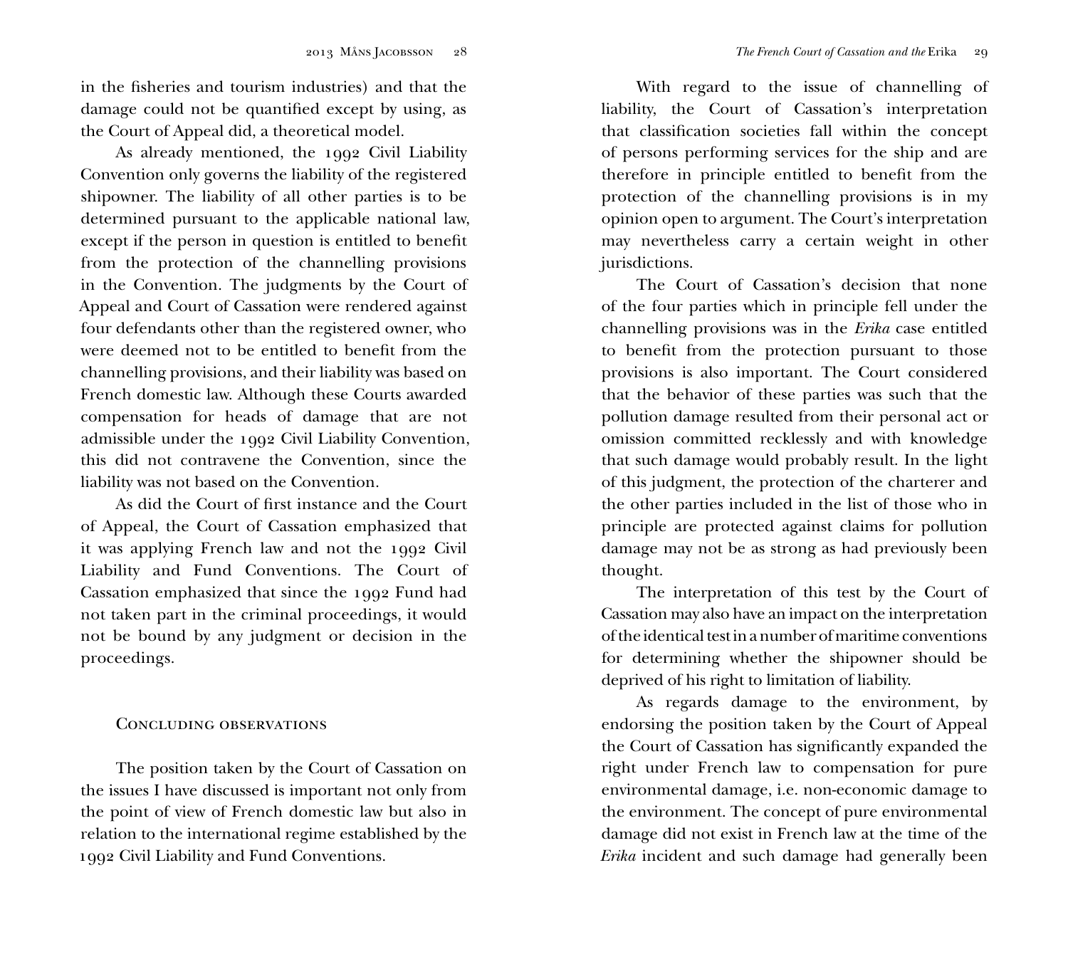in the fisheries and tourism industries) and that the damage could not be quantified except by using, as the Court of Appeal did, a theoretical model.

As already mentioned, the 1992 Civil Liability Convention only governs the liability of the registered shipowner. The liability of all other parties is to be determined pursuant to the applicable national law, except if the person in question is entitled to benefit from the protection of the channelling provisions in the Convention. The judgments by the Court of Appeal and Court of Cassation were rendered against four defendants other than the registered owner, who were deemed not to be entitled to benefit from the channelling provisions, and their liability was based on French domestic law. Although these Courts awarded compensation for heads of damage that are not admissible under the 1992 Civil Liability Convention, this did not contravene the Convention, since the liability was not based on the Convention.

As did the Court of first instance and the Court of Appeal, the Court of Cassation emphasized that it was applying French law and not the 1992 Civil Liability and Fund Conventions. The Court of Cassation emphasized that since the 1992 Fund had not taken part in the criminal proceedings, it would not be bound by any judgment or decision in the proceedings.

# Concluding observations

The position taken by the Court of Cassation on the issues I have discussed is important not only from the point of view of French domestic law but also in relation to the international regime established by the 1992 Civil Liability and Fund Conventions.

With regard to the issue of channelling of liability, the Court of Cassation's interpretation that classification societies fall within the concept of persons performing services for the ship and are therefore in principle entitled to benefit from the protection of the channelling provisions is in my opinion open to argument. The Court's interpretation may nevertheless carry a certain weight in other jurisdictions.

The Court of Cassation's decision that none of the four parties which in principle fell under the channelling provisions was in the *Erika* case entitled to benefit from the protection pursuant to those provisions is also important. The Court considered that the behavior of these parties was such that the pollution damage resulted from their personal act or omission committed recklessly and with knowledge that such damage would probably result. In the light of this judgment, the protection of the charterer and the other parties included in the list of those who in principle are protected against claims for pollution damage may not be as strong as had previously been thought.

The interpretation of this test by the Court of Cassation may also have an impact on the interpretation of the identical test in a number of maritime conventions for determining whether the shipowner should be deprived of his right to limitation of liability.

As regards damage to the environment, by endorsing the position taken by the Court of Appeal the Court of Cassation has significantly expanded the right under French law to compensation for pure environmental damage, i.e. non-economic damage to the environment. The concept of pure environmental damage did not exist in French law at the time of the *Erika* incident and such damage had generally been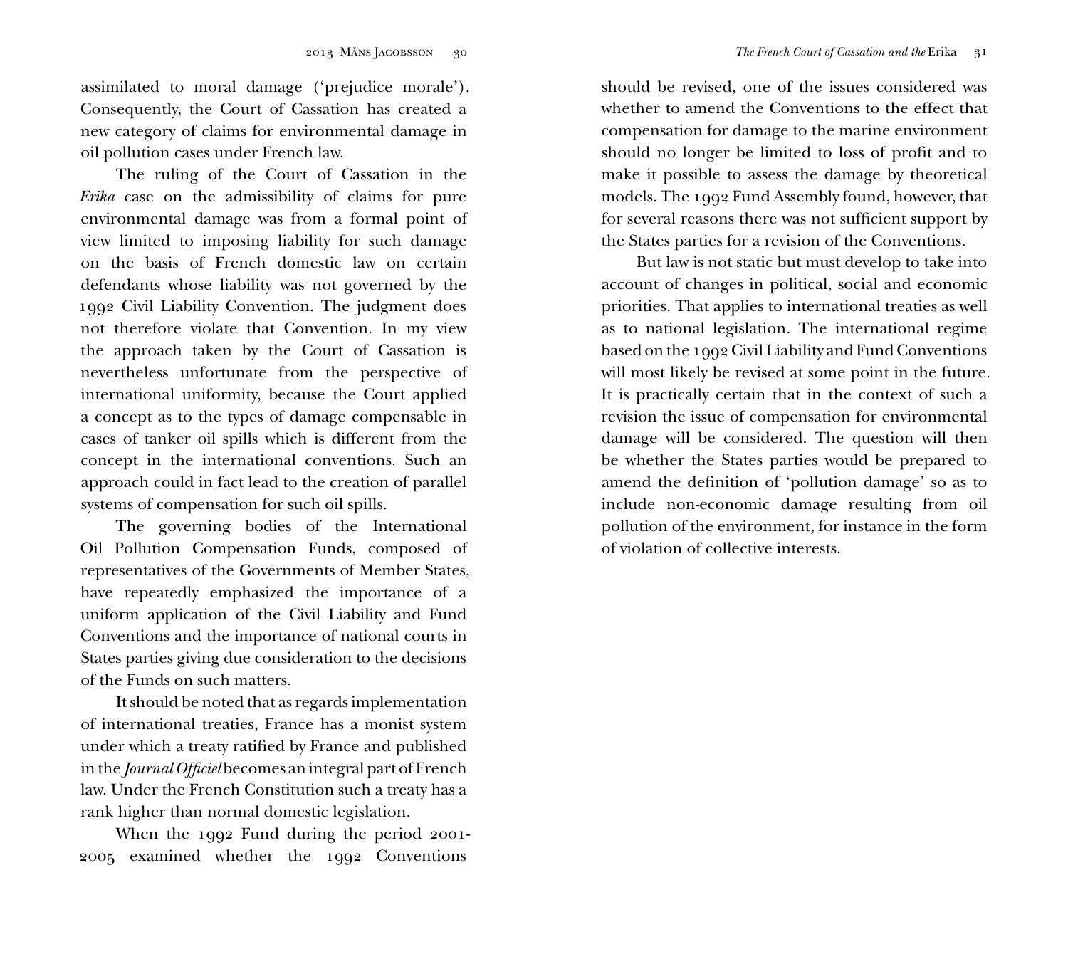assimilated to moral damage ('prejudice morale'). Consequently, the Court of Cassation has created a new category of claims for environmental damage in oil pollution cases under French law.

The ruling of the Court of Cassation in the *Erika* case on the admissibility of claims for pure environmental damage was from a formal point of view limited to imposing liability for such damage on the basis of French domestic law on certain defendants whose liability was not governed by the 1992 Civil Liability Convention. The judgment does not therefore violate that Convention. In my view the approach taken by the Court of Cassation is nevertheless unfortunate from the perspective of international uniformity, because the Court applied a concept as to the types of damage compensable in cases of tanker oil spills which is different from the concept in the international conventions. Such an approach could in fact lead to the creation of parallel systems of compensation for such oil spills.

The governing bodies of the International Oil Pollution Compensation Funds, composed of representatives of the Governments of Member States, have repeatedly emphasized the importance of a uniform application of the Civil Liability and Fund Conventions and the importance of national courts in States parties giving due consideration to the decisions of the Funds on such matters.

It should be noted that as regards implementation of international treaties, France has a monist system under which a treaty ratified by France and published in the *Journal Officiel* becomes an integral part of French law. Under the French Constitution such a treaty has a rank higher than normal domestic legislation.

When the 1992 Fund during the period 2001- 2005 examined whether the 1992 Conventions

should be revised, one of the issues considered was whether to amend the Conventions to the effect that compensation for damage to the marine environment should no longer be limited to loss of profit and to make it possible to assess the damage by theoretical models. The 1992 Fund Assembly found, however, that for several reasons there was not sufficient support by the States parties for a revision of the Conventions.

But law is not static but must develop to take into account of changes in political, social and economic priorities. That applies to international treaties as well as to national legislation. The international regime based on the 1992 Civil Liability and Fund Conventions will most likely be revised at some point in the future. It is practically certain that in the context of such a revision the issue of compensation for environmental damage will be considered. The question will then be whether the States parties would be prepared to amend the definition of 'pollution damage' so as to include non-economic damage resulting from oil pollution of the environment, for instance in the form of violation of collective interests.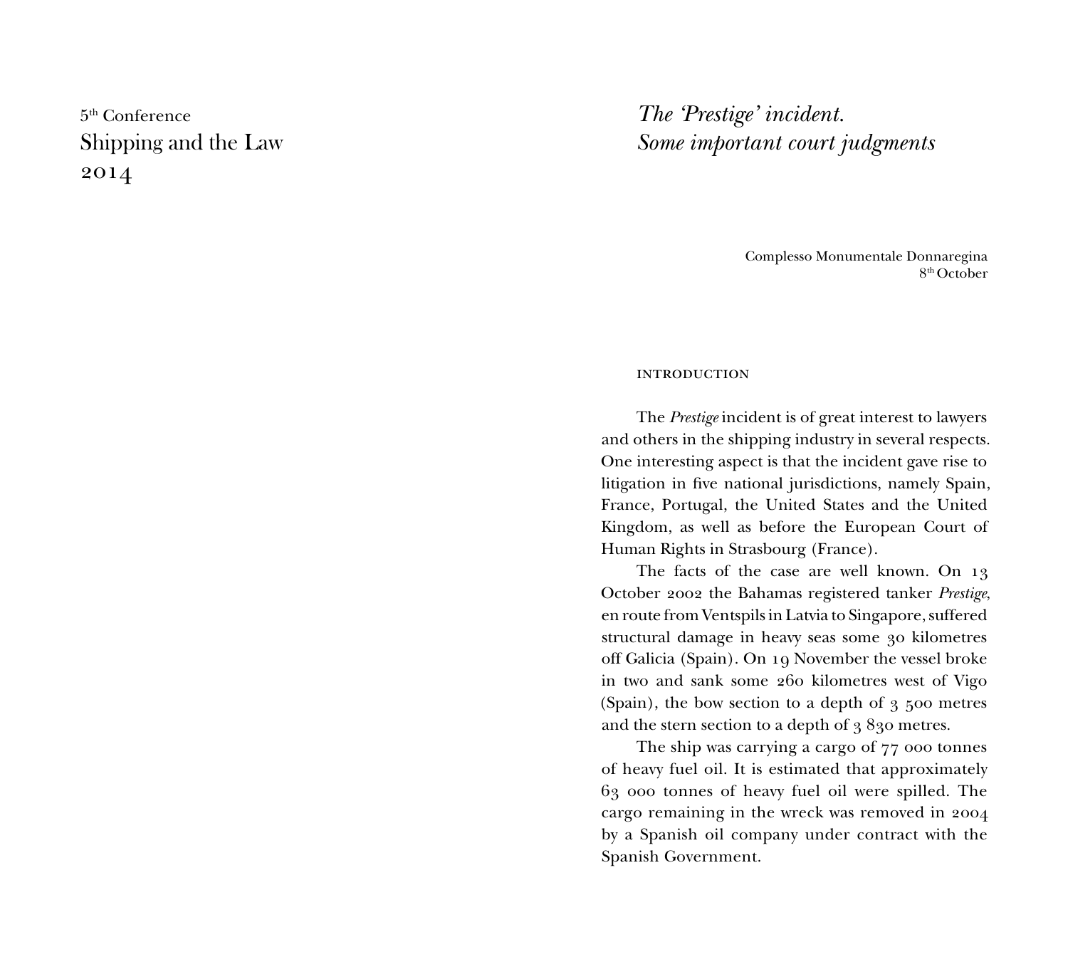# 5th Conference Shipping and the Law 2014

# *The 'Prestige' incident. Some important court judgments*

Complesso Monumentale Donnaregina 8th October

#### **INTRODUCTION**

The *Prestige* incident is of great interest to lawyers and others in the shipping industry in several respects. One interesting aspect is that the incident gave rise to litigation in five national jurisdictions, namely Spain, France, Portugal, the United States and the United Kingdom, as well as before the European Court of Human Rights in Strasbourg (France).

The facts of the case are well known. On 13 October 2002 the Bahamas registered tanker *Prestige*, en route from Ventspils in Latvia to Singapore, suffered structural damage in heavy seas some 30 kilometres off Galicia (Spain). On 19 November the vessel broke in two and sank some 260 kilometres west of Vigo (Spain), the bow section to a depth of 3 500 metres and the stern section to a depth of 3 830 metres.

The ship was carrying a cargo of 77 000 tonnes of heavy fuel oil. It is estimated that approximately 63 000 tonnes of heavy fuel oil were spilled. The cargo remaining in the wreck was removed in 2004 by a Spanish oil company under contract with the Spanish Government.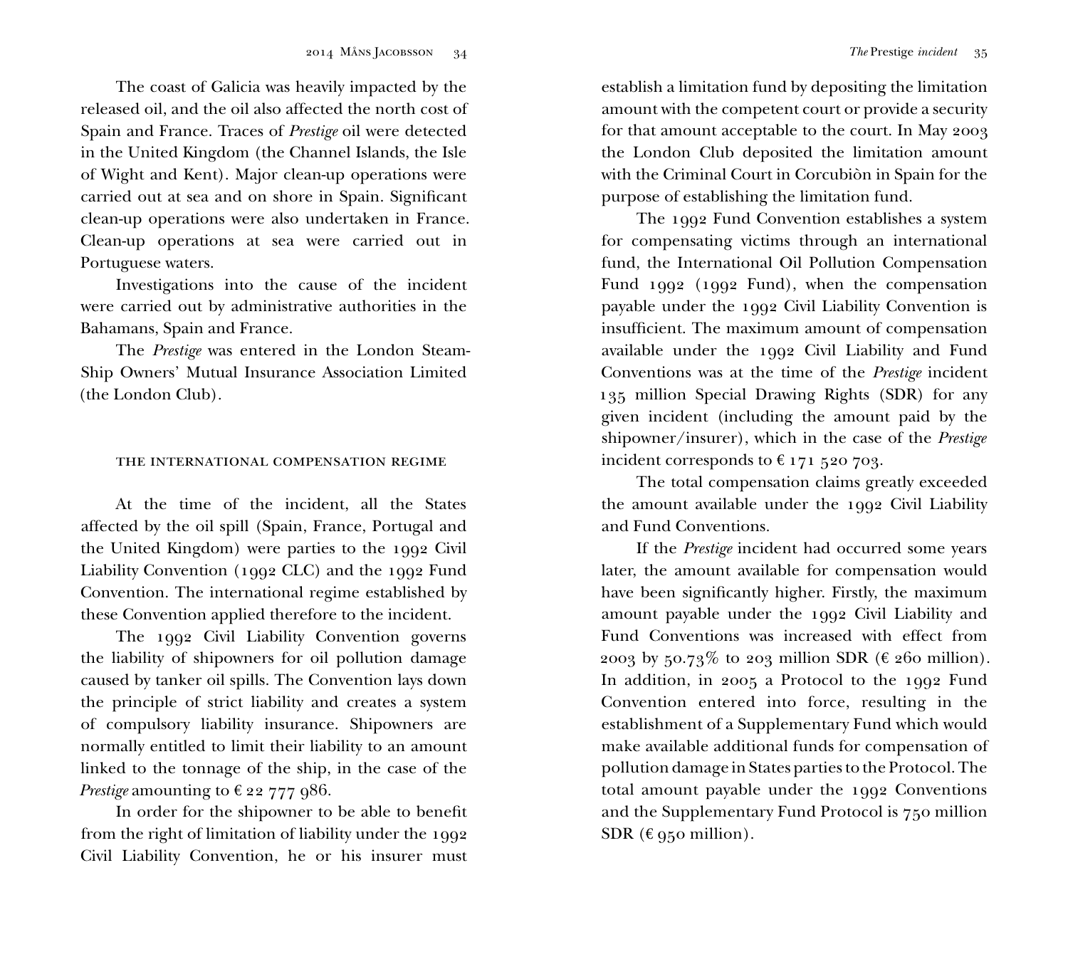The coast of Galicia was heavily impacted by the released oil, and the oil also affected the north cost of Spain and France. Traces of *Prestige* oil were detected in the United Kingdom (the Channel Islands, the Isle of Wight and Kent). Major clean-up operations were carried out at sea and on shore in Spain. Significant clean-up operations were also undertaken in France. Clean-up operations at sea were carried out in Portuguese waters.

Investigations into the cause of the incident were carried out by administrative authorities in the Bahamans, Spain and France.

The *Prestige* was entered in the London Steam-Ship Owners' Mutual Insurance Association Limited (the London Club).

#### the international compensation regime

At the time of the incident, all the States affected by the oil spill (Spain, France, Portugal and the United Kingdom) were parties to the 1992 Civil Liability Convention (1992 CLC) and the 1992 Fund Convention. The international regime established by these Convention applied therefore to the incident.

The 1992 Civil Liability Convention governs the liability of shipowners for oil pollution damage caused by tanker oil spills. The Convention lays down the principle of strict liability and creates a system of compulsory liability insurance. Shipowners are normally entitled to limit their liability to an amount linked to the tonnage of the ship, in the case of the *Prestige* amounting to  $\epsilon$  22 777 986.

In order for the shipowner to be able to benefit from the right of limitation of liability under the 1992 Civil Liability Convention, he or his insurer must

establish a limitation fund by depositing the limitation amount with the competent court or provide a security for that amount acceptable to the court. In May 2003 the London Club deposited the limitation amount with the Criminal Court in Corcubiòn in Spain for the purpose of establishing the limitation fund.

The 1992 Fund Convention establishes a system for compensating victims through an international fund, the International Oil Pollution Compensation Fund 1992 (1992 Fund), when the compensation payable under the 1992 Civil Liability Convention is insufficient. The maximum amount of compensation available under the 1992 Civil Liability and Fund Conventions was at the time of the *Prestige* incident 135 million Special Drawing Rights (SDR) for any given incident (including the amount paid by the shipowner/insurer), which in the case of the *Prestige* incident corresponds to  $\epsilon$  171 520 703.

The total compensation claims greatly exceeded the amount available under the 1992 Civil Liability and Fund Conventions.

If the *Prestige* incident had occurred some years later, the amount available for compensation would have been significantly higher. Firstly, the maximum amount payable under the 1992 Civil Liability and Fund Conventions was increased with effect from 2003 by 50.73% to 203 million SDR ( $\epsilon$  260 million). In addition, in 2005 a Protocol to the 1992 Fund Convention entered into force, resulting in the establishment of a Supplementary Fund which would make available additional funds for compensation of pollution damage in States parties to the Protocol. The total amount payable under the 1992 Conventions and the Supplementary Fund Protocol is 750 million SDR ( $\epsilon$  950 million).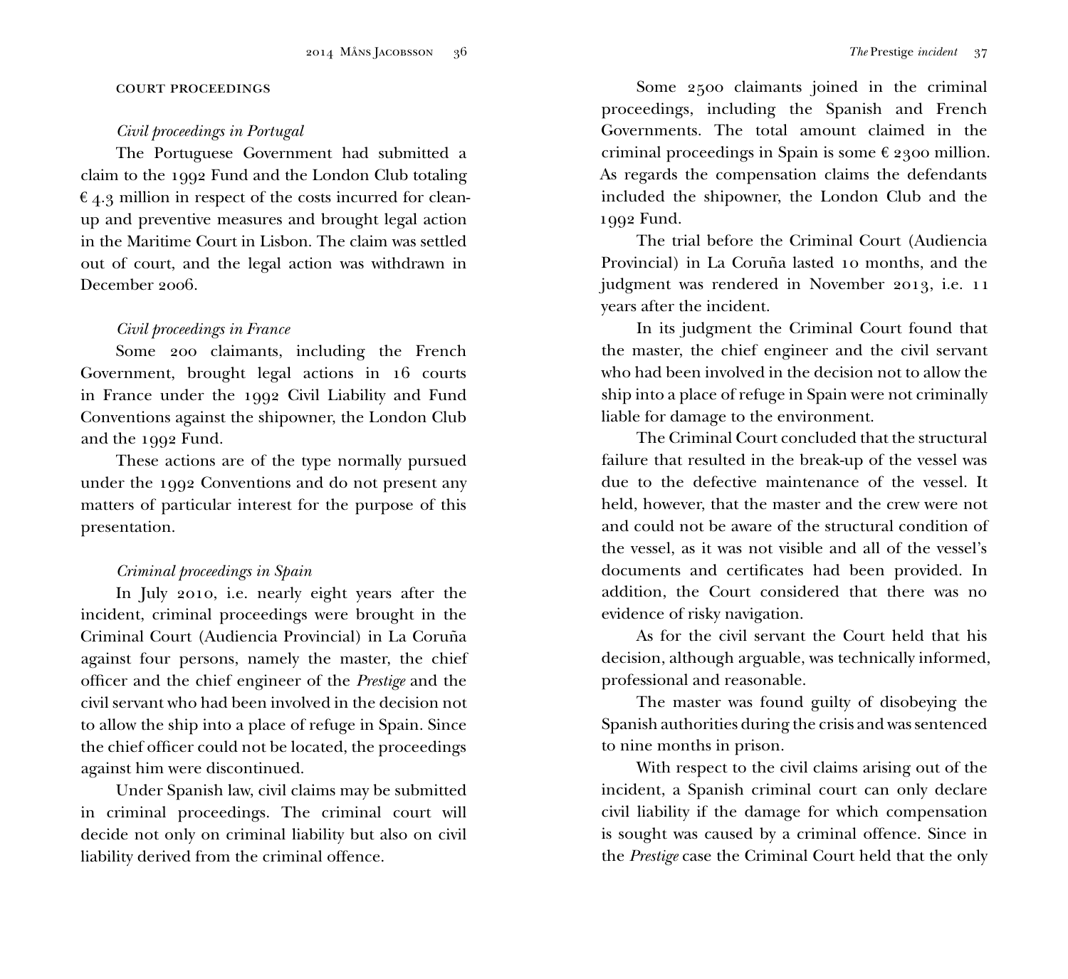#### court proceedings

### *Civil proceedings in Portugal*

The Portuguese Government had submitted a claim to the 1992 Fund and the London Club totaling  $\epsilon$  4.3 million in respect of the costs incurred for cleanup and preventive measures and brought legal action in the Maritime Court in Lisbon. The claim was settled out of court, and the legal action was withdrawn in December 2006.

### *Civil proceedings in France*

Some 200 claimants, including the French Government, brought legal actions in 16 courts in France under the 1992 Civil Liability and Fund Conventions against the shipowner, the London Club and the 1992 Fund.

These actions are of the type normally pursued under the 1992 Conventions and do not present any matters of particular interest for the purpose of this presentation.

#### *Criminal proceedings in Spain*

In July 2010, i.e. nearly eight years after the incident, criminal proceedings were brought in the Criminal Court (Audiencia Provincial) in La Coruña against four persons, namely the master, the chief officer and the chief engineer of the *Prestige* and the civil servant who had been involved in the decision not to allow the ship into a place of refuge in Spain. Since the chief officer could not be located, the proceedings against him were discontinued.

Under Spanish law, civil claims may be submitted in criminal proceedings. The criminal court will decide not only on criminal liability but also on civil liability derived from the criminal offence.

Some 2500 claimants joined in the criminal proceedings, including the Spanish and French Governments. The total amount claimed in the criminal proceedings in Spain is some  $\epsilon$  2300 million. As regards the compensation claims the defendants included the shipowner, the London Club and the 1992 Fund.

The trial before the Criminal Court (Audiencia Provincial) in La Coruña lasted 10 months, and the judgment was rendered in November 2013, i.e. 11 years after the incident.

In its judgment the Criminal Court found that the master, the chief engineer and the civil servant who had been involved in the decision not to allow the ship into a place of refuge in Spain were not criminally liable for damage to the environment.

The Criminal Court concluded that the structural failure that resulted in the break-up of the vessel was due to the defective maintenance of the vessel. It held, however, that the master and the crew were not and could not be aware of the structural condition of the vessel, as it was not visible and all of the vessel's documents and certificates had been provided. In addition, the Court considered that there was no evidence of risky navigation.

As for the civil servant the Court held that his decision, although arguable, was technically informed, professional and reasonable.

The master was found guilty of disobeying the Spanish authorities during the crisis and was sentenced to nine months in prison.

With respect to the civil claims arising out of the incident, a Spanish criminal court can only declare civil liability if the damage for which compensation is sought was caused by a criminal offence. Since in the *Prestige* case the Criminal Court held that the only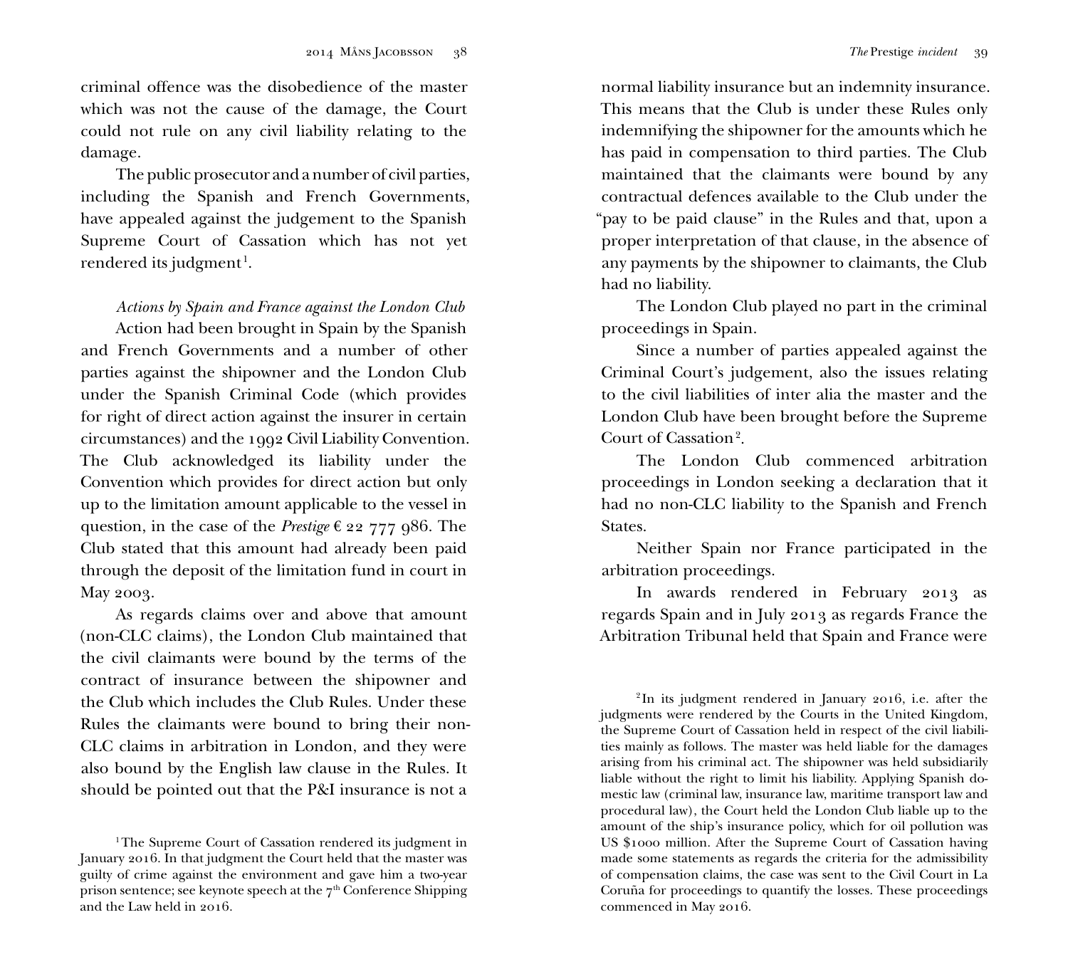criminal offence was the disobedience of the master which was not the cause of the damage, the Court could not rule on any civil liability relating to the damage.

The public prosecutor and a number of civil parties, including the Spanish and French Governments, have appealed against the judgement to the Spanish Supreme Court of Cassation which has not yet  $r$ endered its judgment<sup>1</sup>.

# *Actions by Spain and France against the London Club*

Action had been brought in Spain by the Spanish and French Governments and a number of other parties against the shipowner and the London Club under the Spanish Criminal Code (which provides for right of direct action against the insurer in certain circumstances) and the 1992 Civil Liability Convention. The Club acknowledged its liability under the Convention which provides for direct action but only up to the limitation amount applicable to the vessel in question, in the case of the *Prestige*  $\epsilon$  22 777 986. The Club stated that this amount had already been paid through the deposit of the limitation fund in court in May 2003.

As regards claims over and above that amount (non-CLC claims), the London Club maintained that the civil claimants were bound by the terms of the contract of insurance between the shipowner and the Club which includes the Club Rules. Under these Rules the claimants were bound to bring their non-CLC claims in arbitration in London, and they were also bound by the English law clause in the Rules. It should be pointed out that the P&I insurance is not a

normal liability insurance but an indemnity insurance. This means that the Club is under these Rules only indemnifying the shipowner for the amounts which he has paid in compensation to third parties. The Club maintained that the claimants were bound by any contractual defences available to the Club under the "pay to be paid clause" in the Rules and that, upon a proper interpretation of that clause, in the absence of any payments by the shipowner to claimants, the Club had no liability.

The London Club played no part in the criminal proceedings in Spain.

Since a number of parties appealed against the Criminal Court's judgement, also the issues relating to the civil liabilities of inter alia the master and the London Club have been brought before the Supreme Court of Cassation<sup>2</sup>.

The London Club commenced arbitration proceedings in London seeking a declaration that it had no non-CLC liability to the Spanish and French States.

Neither Spain nor France participated in the arbitration proceedings.

In awards rendered in February 2013 as regards Spain and in July 2013 as regards France the Arbitration Tribunal held that Spain and France were

<sup>&</sup>lt;sup>1</sup>The Supreme Court of Cassation rendered its judgment in January 2016. In that judgment the Court held that the master was guilty of crime against the environment and gave him a two-year prison sentence; see keynote speech at the  $7<sup>th</sup>$  Conference Shipping and the Law held in 2016.

<sup>&</sup>lt;sup>2</sup>In its judgment rendered in January 2016, i.e. after the judgments were rendered by the Courts in the United Kingdom, the Supreme Court of Cassation held in respect of the civil liabilities mainly as follows. The master was held liable for the damages arising from his criminal act. The shipowner was held subsidiarily liable without the right to limit his liability. Applying Spanish domestic law (criminal law, insurance law, maritime transport law and procedural law), the Court held the London Club liable up to the amount of the ship's insurance policy, which for oil pollution was US \$1000 million. After the Supreme Court of Cassation having made some statements as regards the criteria for the admissibility of compensation claims, the case was sent to the Civil Court in La Coruña for proceedings to quantify the losses. These proceedings commenced in May 2016.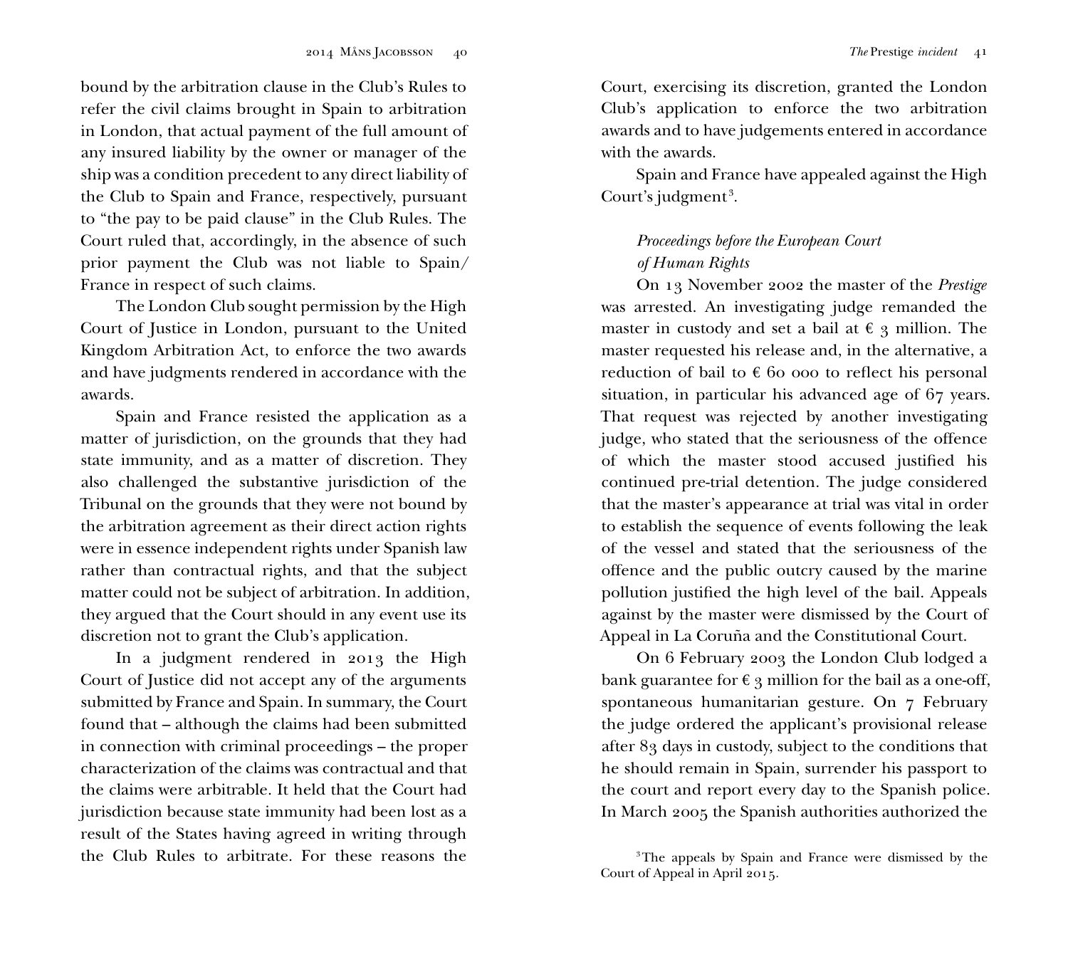bound by the arbitration clause in the Club's Rules to refer the civil claims brought in Spain to arbitration in London, that actual payment of the full amount of any insured liability by the owner or manager of the ship was a condition precedent to any direct liability of the Club to Spain and France, respectively, pursuant to "the pay to be paid clause" in the Club Rules. The Court ruled that, accordingly, in the absence of such prior payment the Club was not liable to Spain/ France in respect of such claims.

The London Club sought permission by the High Court of Justice in London, pursuant to the United Kingdom Arbitration Act, to enforce the two awards and have judgments rendered in accordance with the awards.

Spain and France resisted the application as a matter of jurisdiction, on the grounds that they had state immunity, and as a matter of discretion. They also challenged the substantive jurisdiction of the Tribunal on the grounds that they were not bound by the arbitration agreement as their direct action rights were in essence independent rights under Spanish law rather than contractual rights, and that the subject matter could not be subject of arbitration. In addition, they argued that the Court should in any event use its discretion not to grant the Club's application.

In a judgment rendered in 2013 the High Court of Justice did not accept any of the arguments submitted by France and Spain. In summary, the Court found that – although the claims had been submitted in connection with criminal proceedings – the proper characterization of the claims was contractual and that the claims were arbitrable. It held that the Court had jurisdiction because state immunity had been lost as a result of the States having agreed in writing through the Club Rules to arbitrate. For these reasons the

Court, exercising its discretion, granted the London Club's application to enforce the two arbitration awards and to have judgements entered in accordance with the awards.

Spain and France have appealed against the High Court's judgment<sup>3</sup>.

# *Proceedings before the European Court of Human Rights*

On 13 November 2002 the master of the *Prestige* was arrested. An investigating judge remanded the master in custody and set a bail at  $\epsilon_3$  million. The master requested his release and, in the alternative, a reduction of bail to  $\epsilon$  60 000 to reflect his personal situation, in particular his advanced age of 67 years. That request was rejected by another investigating judge, who stated that the seriousness of the offence of which the master stood accused justified his continued pre-trial detention. The judge considered that the master's appearance at trial was vital in order to establish the sequence of events following the leak of the vessel and stated that the seriousness of the offence and the public outcry caused by the marine pollution justified the high level of the bail. Appeals against by the master were dismissed by the Court of Appeal in La Coruña and the Constitutional Court.

On 6 February 2003 the London Club lodged a bank guarantee for  $\epsilon_3$  million for the bail as a one-off, spontaneous humanitarian gesture. On 7 February the judge ordered the applicant's provisional release after 83 days in custody, subject to the conditions that he should remain in Spain, surrender his passport to the court and report every day to the Spanish police. In March 2005 the Spanish authorities authorized the

<sup>3</sup>The appeals by Spain and France were dismissed by the Court of Appeal in April 2015.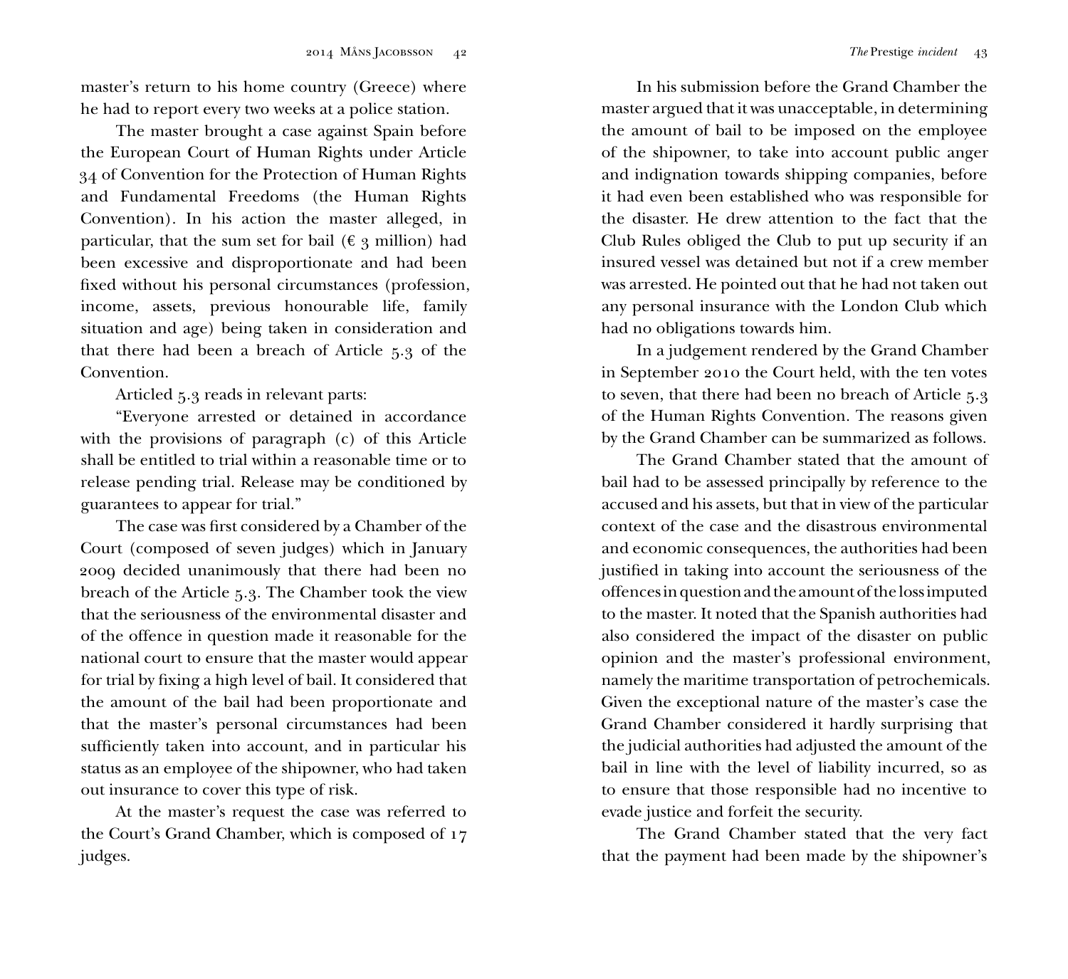master's return to his home country (Greece) where he had to report every two weeks at a police station.

The master brought a case against Spain before the European Court of Human Rights under Article 34 of Convention for the Protection of Human Rights and Fundamental Freedoms (the Human Rights Convention). In his action the master alleged, in particular, that the sum set for bail ( $\epsilon$  3 million) had been excessive and disproportionate and had been fixed without his personal circumstances (profession, income, assets, previous honourable life, family situation and age) being taken in consideration and that there had been a breach of Article 5.3 of the Convention.

Articled 5.3 reads in relevant parts:

"Everyone arrested or detained in accordance with the provisions of paragraph (c) of this Article shall be entitled to trial within a reasonable time or to release pending trial. Release may be conditioned by guarantees to appear for trial."

The case was first considered by a Chamber of the Court (composed of seven judges) which in January 2009 decided unanimously that there had been no breach of the Article 5.3. The Chamber took the view that the seriousness of the environmental disaster and of the offence in question made it reasonable for the national court to ensure that the master would appear for trial by fixing a high level of bail. It considered that the amount of the bail had been proportionate and that the master's personal circumstances had been sufficiently taken into account, and in particular his status as an employee of the shipowner, who had taken out insurance to cover this type of risk.

At the master's request the case was referred to the Court's Grand Chamber, which is composed of 17 judges.

In his submission before the Grand Chamber the master argued that it was unacceptable, in determining the amount of bail to be imposed on the employee of the shipowner, to take into account public anger and indignation towards shipping companies, before it had even been established who was responsible for the disaster. He drew attention to the fact that the Club Rules obliged the Club to put up security if an insured vessel was detained but not if a crew member was arrested. He pointed out that he had not taken out any personal insurance with the London Club which had no obligations towards him.

In a judgement rendered by the Grand Chamber in September 2010 the Court held, with the ten votes to seven, that there had been no breach of Article 5.3 of the Human Rights Convention. The reasons given by the Grand Chamber can be summarized as follows.

The Grand Chamber stated that the amount of bail had to be assessed principally by reference to the accused and his assets, but that in view of the particular context of the case and the disastrous environmental and economic consequences, the authorities had been justified in taking into account the seriousness of the offences in question and the amount of the loss imputed to the master. It noted that the Spanish authorities had also considered the impact of the disaster on public opinion and the master's professional environment, namely the maritime transportation of petrochemicals. Given the exceptional nature of the master's case the Grand Chamber considered it hardly surprising that the judicial authorities had adjusted the amount of the bail in line with the level of liability incurred, so as to ensure that those responsible had no incentive to evade justice and forfeit the security.

The Grand Chamber stated that the very fact that the payment had been made by the shipowner's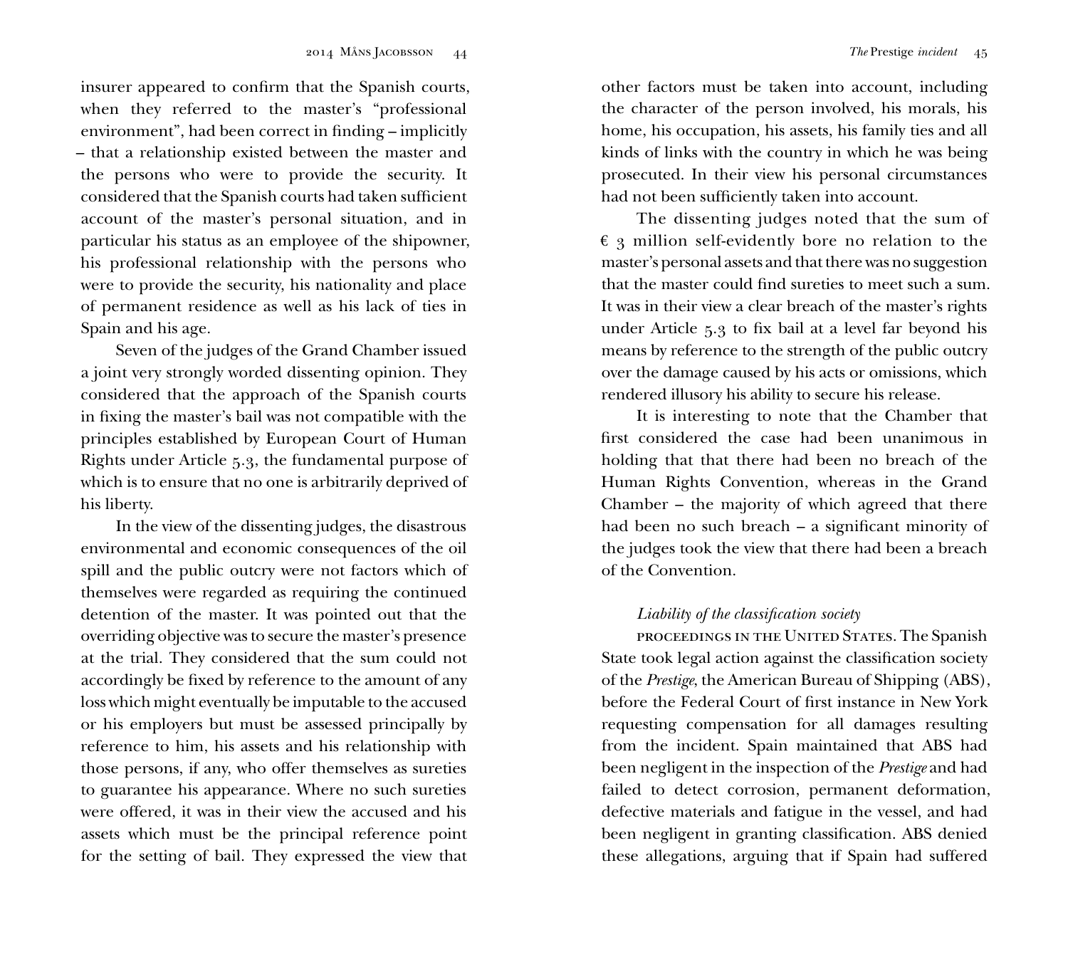insurer appeared to confirm that the Spanish courts, when they referred to the master's "professional environment", had been correct in finding – implicitly – that a relationship existed between the master and the persons who were to provide the security. It considered that the Spanish courts had taken sufficient account of the master's personal situation, and in particular his status as an employee of the shipowner, his professional relationship with the persons who were to provide the security, his nationality and place of permanent residence as well as his lack of ties in Spain and his age.

Seven of the judges of the Grand Chamber issued a joint very strongly worded dissenting opinion. They considered that the approach of the Spanish courts in fixing the master's bail was not compatible with the principles established by European Court of Human Rights under Article 5.3, the fundamental purpose of which is to ensure that no one is arbitrarily deprived of his liberty.

In the view of the dissenting judges, the disastrous environmental and economic consequences of the oil spill and the public outcry were not factors which of themselves were regarded as requiring the continued detention of the master. It was pointed out that the overriding objective was to secure the master's presence at the trial. They considered that the sum could not accordingly be fixed by reference to the amount of any loss which might eventually be imputable to the accused or his employers but must be assessed principally by reference to him, his assets and his relationship with those persons, if any, who offer themselves as sureties to guarantee his appearance. Where no such sureties were offered, it was in their view the accused and his assets which must be the principal reference point for the setting of bail. They expressed the view that

other factors must be taken into account, including the character of the person involved, his morals, his home, his occupation, his assets, his family ties and all kinds of links with the country in which he was being prosecuted. In their view his personal circumstances had not been sufficiently taken into account.

The dissenting judges noted that the sum of  $\epsilon$  3 million self-evidently bore no relation to the master's personal assets and that there was no suggestion that the master could find sureties to meet such a sum. It was in their view a clear breach of the master's rights under Article 5.3 to fix bail at a level far beyond his means by reference to the strength of the public outcry over the damage caused by his acts or omissions, which rendered illusory his ability to secure his release.

It is interesting to note that the Chamber that first considered the case had been unanimous in holding that that there had been no breach of the Human Rights Convention, whereas in the Grand Chamber – the majority of which agreed that there had been no such breach – a significant minority of the judges took the view that there had been a breach of the Convention.

# *Liability of the classification society*

proceedings in the United States. The Spanish State took legal action against the classification society of the *Prestige*, the American Bureau of Shipping (ABS), before the Federal Court of first instance in New York requesting compensation for all damages resulting from the incident. Spain maintained that ABS had been negligent in the inspection of the *Prestige* and had failed to detect corrosion, permanent deformation, defective materials and fatigue in the vessel, and had been negligent in granting classification. ABS denied these allegations, arguing that if Spain had suffered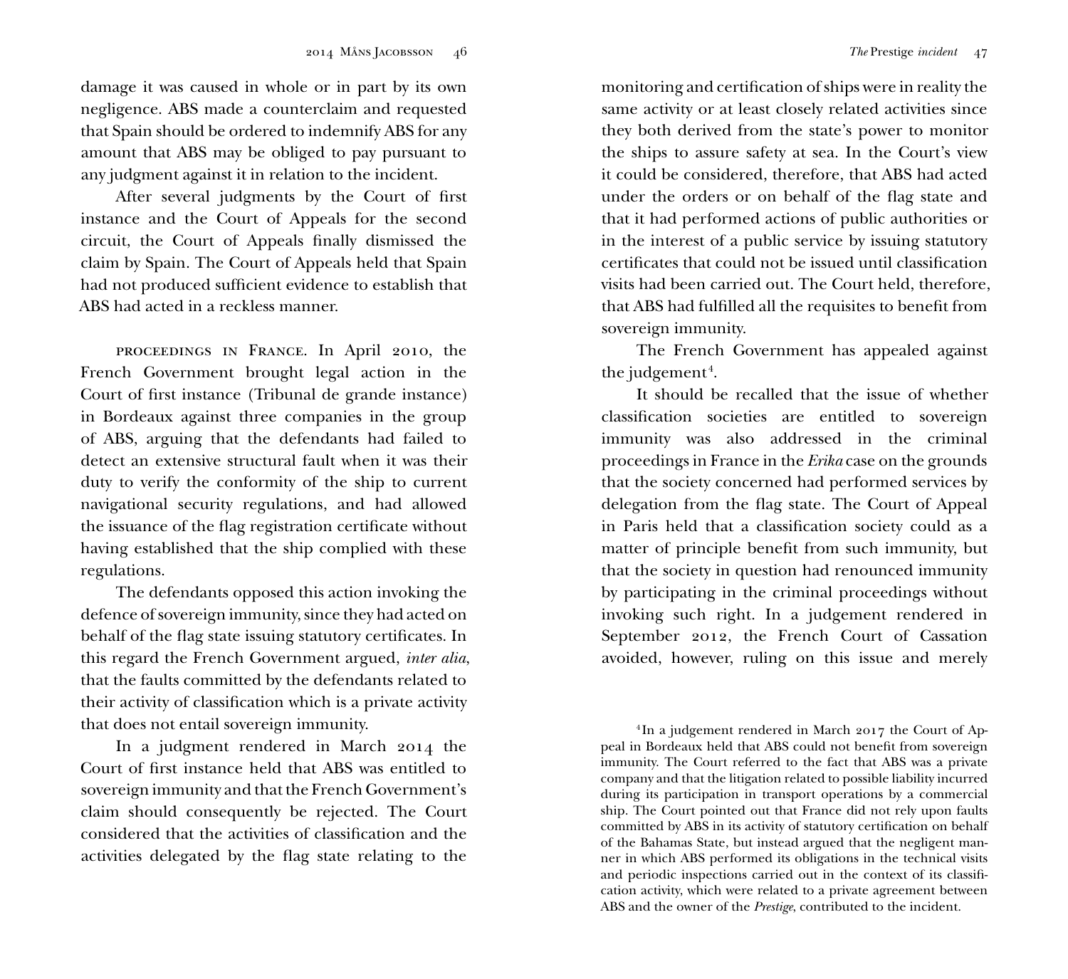damage it was caused in whole or in part by its own negligence. ABS made a counterclaim and requested that Spain should be ordered to indemnify ABS for any amount that ABS may be obliged to pay pursuant to any judgment against it in relation to the incident.

After several judgments by the Court of first instance and the Court of Appeals for the second circuit, the Court of Appeals finally dismissed the claim by Spain. The Court of Appeals held that Spain had not produced sufficient evidence to establish that ABS had acted in a reckless manner.

proceedings in France. In April 2010, the French Government brought legal action in the Court of first instance (Tribunal de grande instance) in Bordeaux against three companies in the group of ABS, arguing that the defendants had failed to detect an extensive structural fault when it was their duty to verify the conformity of the ship to current navigational security regulations, and had allowed the issuance of the flag registration certificate without having established that the ship complied with these regulations.

The defendants opposed this action invoking the defence of sovereign immunity, since they had acted on behalf of the flag state issuing statutory certificates. In this regard the French Government argued, *inter alia*, that the faults committed by the defendants related to their activity of classification which is a private activity that does not entail sovereign immunity.

In a judgment rendered in March 2014 the Court of first instance held that ABS was entitled to sovereign immunity and that the French Government's claim should consequently be rejected. The Court considered that the activities of classification and the activities delegated by the flag state relating to the

monitoring and certification of ships were in reality the same activity or at least closely related activities since they both derived from the state's power to monitor the ships to assure safety at sea. In the Court's view it could be considered, therefore, that ABS had acted under the orders or on behalf of the flag state and that it had performed actions of public authorities or in the interest of a public service by issuing statutory certificates that could not be issued until classification visits had been carried out. The Court held, therefore, that ABS had fulfilled all the requisites to benefit from sovereign immunity.

The French Government has appealed against the judgement<sup>4</sup>.

It should be recalled that the issue of whether classification societies are entitled to sovereign immunity was also addressed in the criminal proceedings in France in the *Erika* case on the grounds that the society concerned had performed services by delegation from the flag state. The Court of Appeal in Paris held that a classification society could as a matter of principle benefit from such immunity, but that the society in question had renounced immunity by participating in the criminal proceedings without invoking such right. In a judgement rendered in September 2012, the French Court of Cassation avoided, however, ruling on this issue and merely

<sup>4</sup> In a judgement rendered in March 2017 the Court of Appeal in Bordeaux held that ABS could not benefit from sovereign immunity. The Court referred to the fact that ABS was a private company and that the litigation related to possible liability incurred during its participation in transport operations by a commercial ship. The Court pointed out that France did not rely upon faults committed by ABS in its activity of statutory certification on behalf of the Bahamas State, but instead argued that the negligent manner in which ABS performed its obligations in the technical visits and periodic inspections carried out in the context of its classification activity, which were related to a private agreement between ABS and the owner of the *Prestige*, contributed to the incident.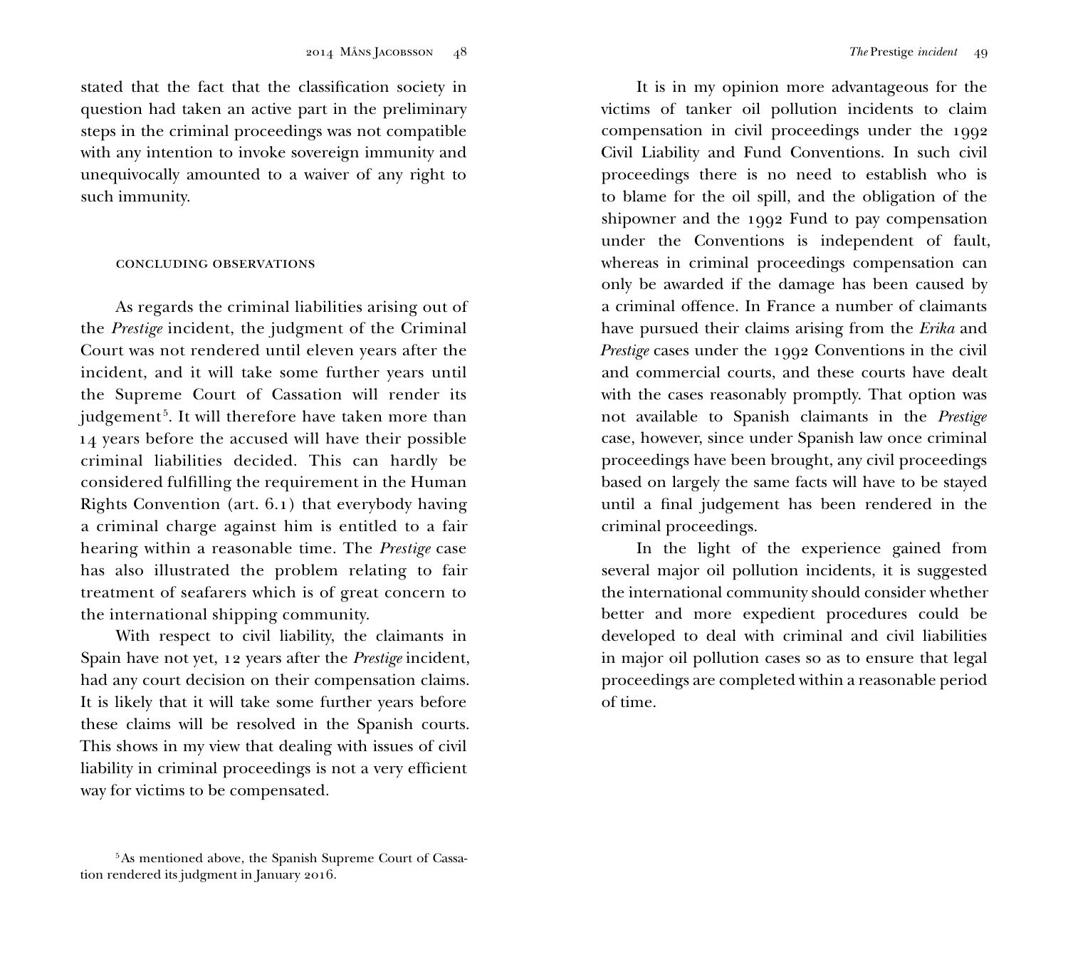stated that the fact that the classification society in question had taken an active part in the preliminary steps in the criminal proceedings was not compatible with any intention to invoke sovereign immunity and unequivocally amounted to a waiver of any right to such immunity.

### concluding observations

As regards the criminal liabilities arising out of the *Prestige* incident, the judgment of the Criminal Court was not rendered until eleven years after the incident, and it will take some further years until the Supreme Court of Cassation will render its judgement<sup>5</sup>. It will therefore have taken more than 14 years before the accused will have their possible criminal liabilities decided. This can hardly be considered fulfilling the requirement in the Human Rights Convention (art. 6.1) that everybody having a criminal charge against him is entitled to a fair hearing within a reasonable time. The *Prestige* case has also illustrated the problem relating to fair treatment of seafarers which is of great concern to the international shipping community.

With respect to civil liability, the claimants in Spain have not yet, 12 years after the *Prestige* incident, had any court decision on their compensation claims. It is likely that it will take some further years before these claims will be resolved in the Spanish courts. This shows in my view that dealing with issues of civil liability in criminal proceedings is not a very efficient way for victims to be compensated.

It is in my opinion more advantageous for the victims of tanker oil pollution incidents to claim compensation in civil proceedings under the 1992 Civil Liability and Fund Conventions. In such civil proceedings there is no need to establish who is to blame for the oil spill, and the obligation of the shipowner and the 1992 Fund to pay compensation under the Conventions is independent of fault, whereas in criminal proceedings compensation can only be awarded if the damage has been caused by a criminal offence. In France a number of claimants have pursued their claims arising from the *Erika* and *Prestige* cases under the 1992 Conventions in the civil and commercial courts, and these courts have dealt with the cases reasonably promptly. That option was not available to Spanish claimants in the *Prestige* case, however, since under Spanish law once criminal proceedings have been brought, any civil proceedings based on largely the same facts will have to be stayed until a final judgement has been rendered in the criminal proceedings.

In the light of the experience gained from several major oil pollution incidents, it is suggested the international community should consider whether better and more expedient procedures could be developed to deal with criminal and civil liabilities in major oil pollution cases so as to ensure that legal proceedings are completed within a reasonable period of time.

<sup>5</sup>As mentioned above, the Spanish Supreme Court of Cassation rendered its judgment in January 2016.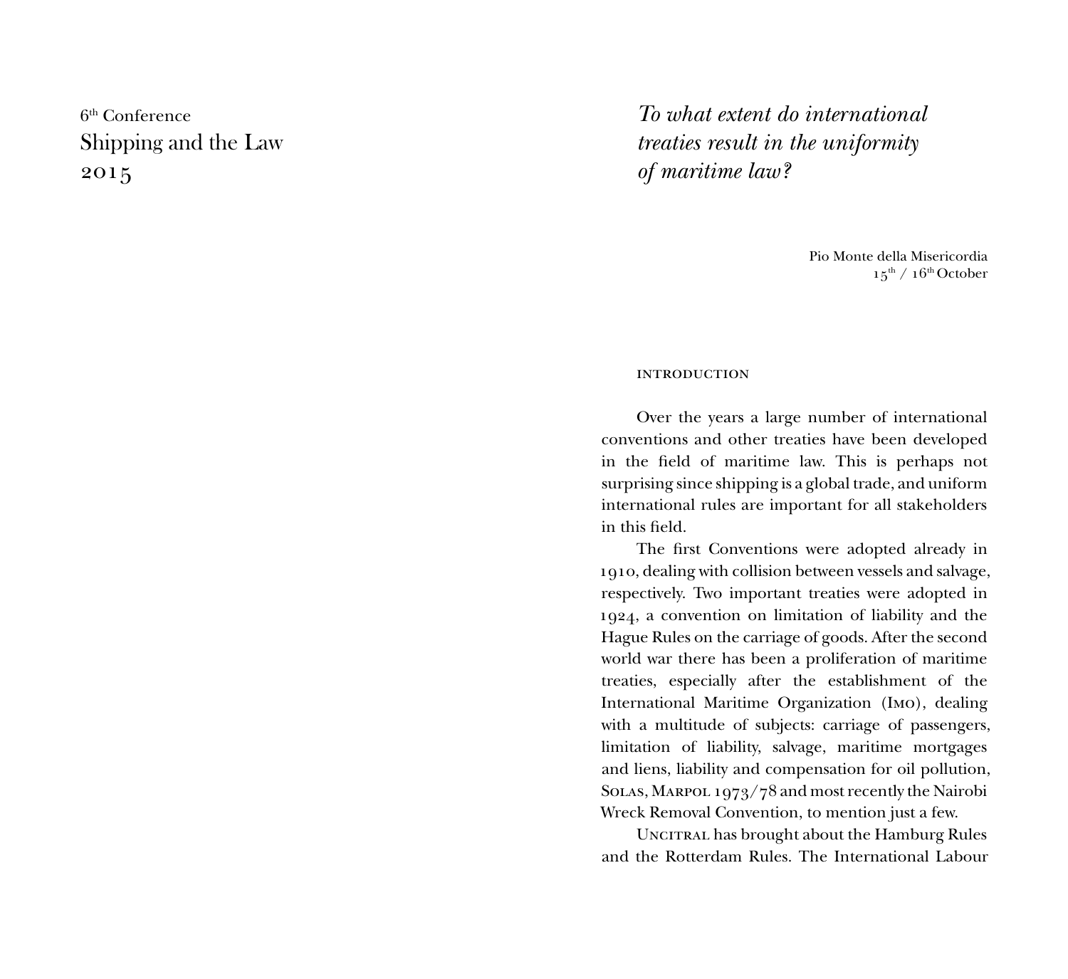# 6th Conference Shipping and the Law 2015

*To what extent do international treaties result in the uniformity of maritime law?*

> Pio Monte della Misericordia  $15^{th}$  /  $16^{th}$  October

#### **INTRODUCTION**

Over the years a large number of international conventions and other treaties have been developed in the field of maritime law. This is perhaps not surprising since shipping is a global trade, and uniform international rules are important for all stakeholders in this field.

The first Conventions were adopted already in 1910, dealing with collision between vessels and salvage, respectively. Two important treaties were adopted in 1924, a convention on limitation of liability and the Hague Rules on the carriage of goods. After the second world war there has been a proliferation of maritime treaties, especially after the establishment of the International Maritime Organization (Imo), dealing with a multitude of subjects: carriage of passengers, limitation of liability, salvage, maritime mortgages and liens, liability and compensation for oil pollution, Solas, Marpol 1973/78 and most recently the Nairobi Wreck Removal Convention, to mention just a few.

UNCITRAL has brought about the Hamburg Rules and the Rotterdam Rules. The International Labour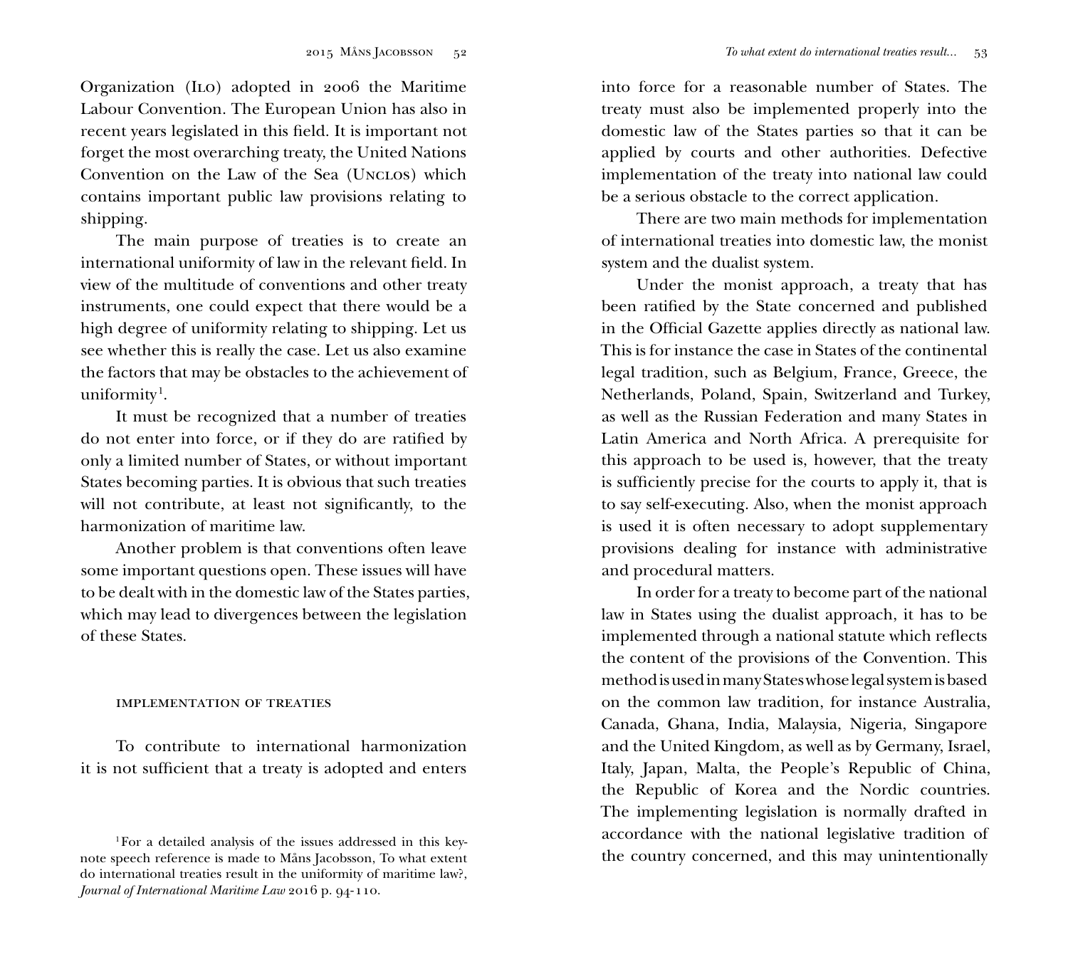Organization (Ilo) adopted in 2006 the Maritime Labour Convention. The European Union has also in recent years legislated in this field. It is important not forget the most overarching treaty, the United Nations Convention on the Law of the Sea (Unclos) which contains important public law provisions relating to shipping.

The main purpose of treaties is to create an international uniformity of law in the relevant field. In view of the multitude of conventions and other treaty instruments, one could expect that there would be a high degree of uniformity relating to shipping. Let us see whether this is really the case. Let us also examine the factors that may be obstacles to the achievement of uniformity<sup>1</sup>.

It must be recognized that a number of treaties do not enter into force, or if they do are ratified by only a limited number of States, or without important States becoming parties. It is obvious that such treaties will not contribute, at least not significantly, to the harmonization of maritime law.

Another problem is that conventions often leave some important questions open. These issues will have to be dealt with in the domestic law of the States parties, which may lead to divergences between the legislation of these States.

#### implementation of treaties

To contribute to international harmonization it is not sufficient that a treaty is adopted and enters into force for a reasonable number of States. The treaty must also be implemented properly into the domestic law of the States parties so that it can be applied by courts and other authorities. Defective implementation of the treaty into national law could be a serious obstacle to the correct application.

There are two main methods for implementation of international treaties into domestic law, the monist system and the dualist system.

Under the monist approach, a treaty that has been ratified by the State concerned and published in the Official Gazette applies directly as national law. This is for instance the case in States of the continental legal tradition, such as Belgium, France, Greece, the Netherlands, Poland, Spain, Switzerland and Turkey, as well as the Russian Federation and many States in Latin America and North Africa. A prerequisite for this approach to be used is, however, that the treaty is sufficiently precise for the courts to apply it, that is to say self-executing. Also, when the monist approach is used it is often necessary to adopt supplementary provisions dealing for instance with administrative and procedural matters.

In order for a treaty to become part of the national law in States using the dualist approach, it has to be implemented through a national statute which reflects the content of the provisions of the Convention. This method is used in many States whose legal system is based on the common law tradition, for instance Australia, Canada, Ghana, India, Malaysia, Nigeria, Singapore and the United Kingdom, as well as by Germany, Israel, Italy, Japan, Malta, the People's Republic of China, the Republic of Korea and the Nordic countries. The implementing legislation is normally drafted in accordance with the national legislative tradition of the country concerned, and this may unintentionally

<sup>1</sup>For a detailed analysis of the issues addressed in this keynote speech reference is made to Måns Jacobsson, To what extent do international treaties result in the uniformity of maritime law?, *Journal of International Maritime Law* 2016 p. 94-110.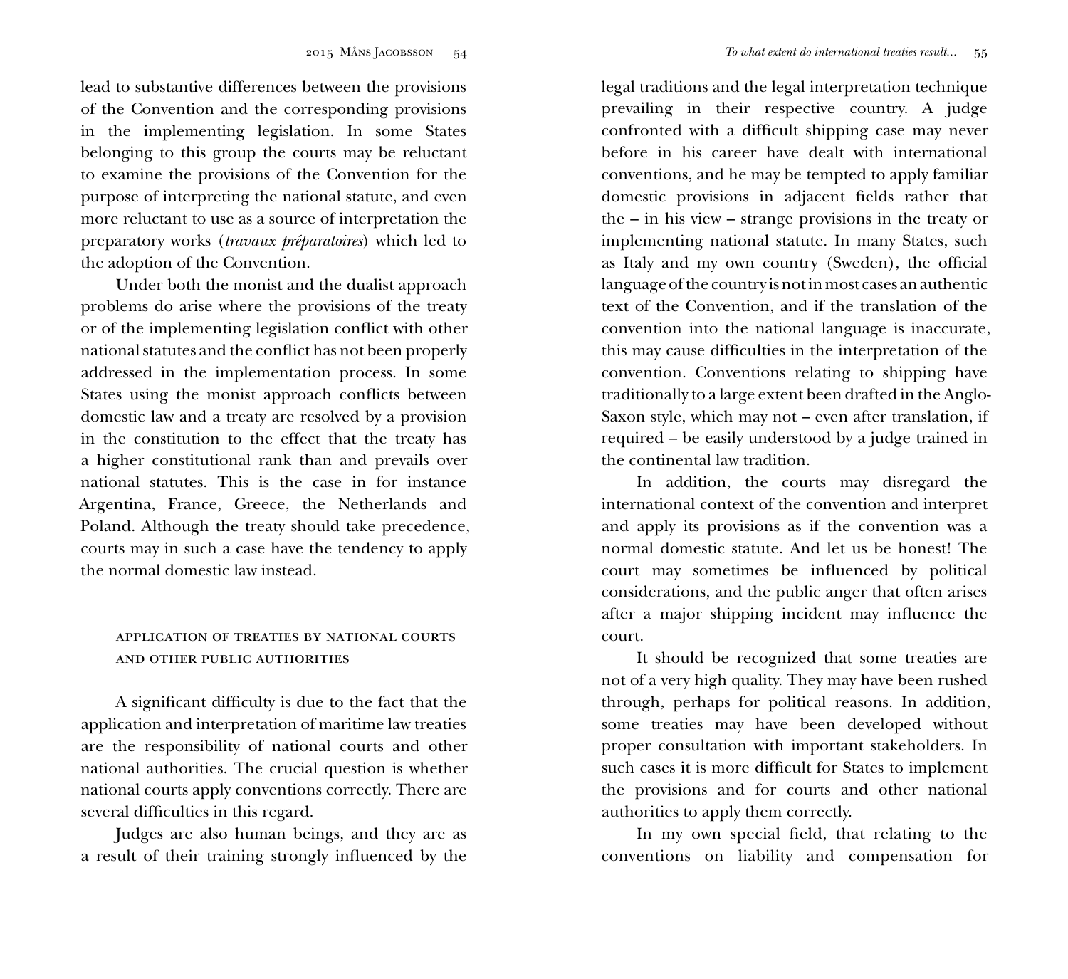lead to substantive differences between the provisions of the Convention and the corresponding provisions in the implementing legislation. In some States belonging to this group the courts may be reluctant to examine the provisions of the Convention for the purpose of interpreting the national statute, and even more reluctant to use as a source of interpretation the preparatory works (*travaux préparatoires*) which led to the adoption of the Convention.

Under both the monist and the dualist approach problems do arise where the provisions of the treaty or of the implementing legislation conflict with other national statutes and the conflict has not been properly addressed in the implementation process. In some States using the monist approach conflicts between domestic law and a treaty are resolved by a provision in the constitution to the effect that the treaty has a higher constitutional rank than and prevails over national statutes. This is the case in for instance Argentina, France, Greece, the Netherlands and Poland. Although the treaty should take precedence, courts may in such a case have the tendency to apply the normal domestic law instead.

# application of treaties by national courts and other public authorities

A significant difficulty is due to the fact that the application and interpretation of maritime law treaties are the responsibility of national courts and other national authorities. The crucial question is whether national courts apply conventions correctly. There are several difficulties in this regard.

Judges are also human beings, and they are as a result of their training strongly influenced by the legal traditions and the legal interpretation technique prevailing in their respective country. A judge confronted with a difficult shipping case may never before in his career have dealt with international conventions, and he may be tempted to apply familiar domestic provisions in adjacent fields rather that the – in his view – strange provisions in the treaty or implementing national statute. In many States, such as Italy and my own country (Sweden), the official language of the country is not in most cases an authentic text of the Convention, and if the translation of the convention into the national language is inaccurate, this may cause difficulties in the interpretation of the convention. Conventions relating to shipping have traditionally to a large extent been drafted in the Anglo-Saxon style, which may not – even after translation, if required – be easily understood by a judge trained in the continental law tradition.

In addition, the courts may disregard the international context of the convention and interpret and apply its provisions as if the convention was a normal domestic statute. And let us be honest! The court may sometimes be influenced by political considerations, and the public anger that often arises after a major shipping incident may influence the court.

It should be recognized that some treaties are not of a very high quality. They may have been rushed through, perhaps for political reasons. In addition, some treaties may have been developed without proper consultation with important stakeholders. In such cases it is more difficult for States to implement the provisions and for courts and other national authorities to apply them correctly.

In my own special field, that relating to the conventions on liability and compensation for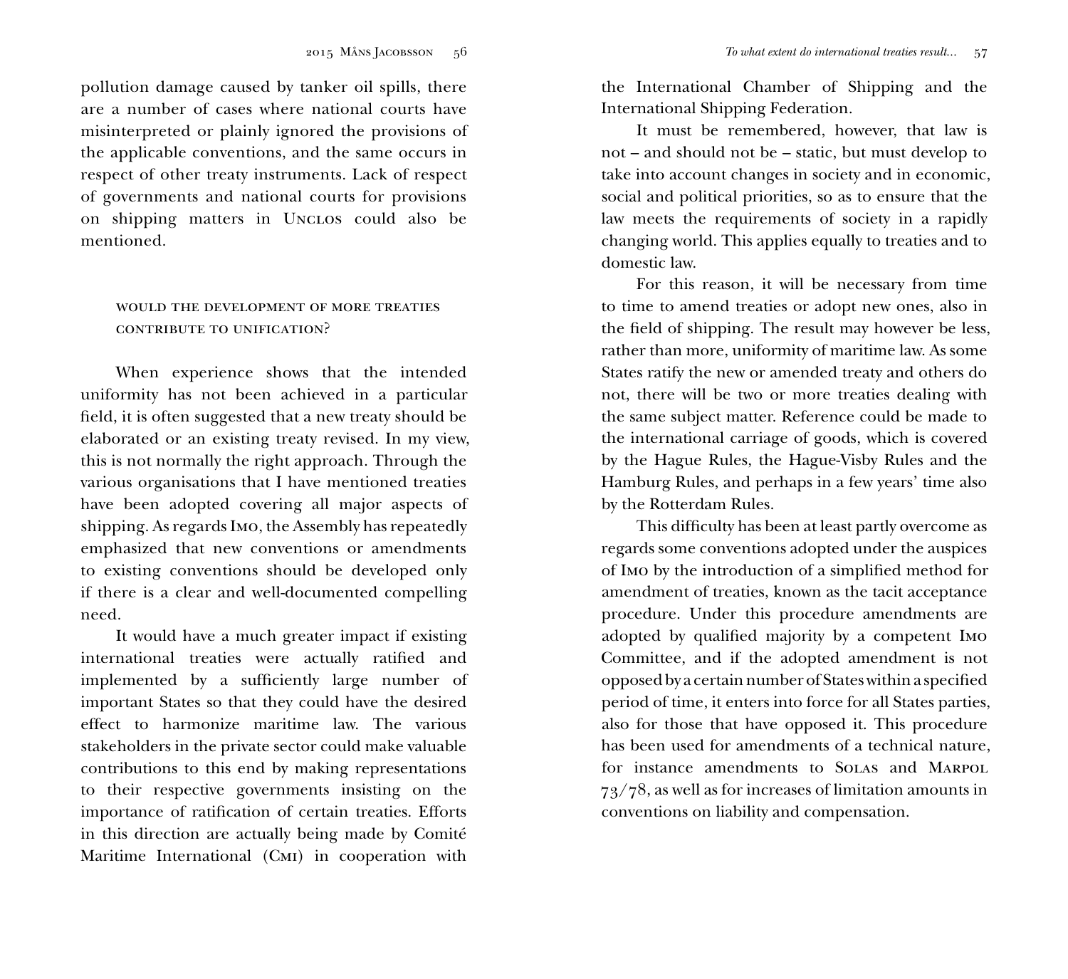pollution damage caused by tanker oil spills, there are a number of cases where national courts have misinterpreted or plainly ignored the provisions of the applicable conventions, and the same occurs in respect of other treaty instruments. Lack of respect of governments and national courts for provisions on shipping matters in Unclos could also be mentioned.

# would the development of more treaties CONTRIBUTE TO UNIFICATION?

When experience shows that the intended uniformity has not been achieved in a particular field, it is often suggested that a new treaty should be elaborated or an existing treaty revised. In my view, this is not normally the right approach. Through the various organisations that I have mentioned treaties have been adopted covering all major aspects of shipping. As regards Imo, the Assembly has repeatedly emphasized that new conventions or amendments to existing conventions should be developed only if there is a clear and well-documented compelling need.

It would have a much greater impact if existing international treaties were actually ratified and implemented by a sufficiently large number of important States so that they could have the desired effect to harmonize maritime law. The various stakeholders in the private sector could make valuable contributions to this end by making representations to their respective governments insisting on the importance of ratification of certain treaties. Efforts in this direction are actually being made by Comité Maritime International (CMI) in cooperation with

the International Chamber of Shipping and the International Shipping Federation.

It must be remembered, however, that law is not – and should not be – static, but must develop to take into account changes in society and in economic, social and political priorities, so as to ensure that the law meets the requirements of society in a rapidly changing world. This applies equally to treaties and to domestic law.

For this reason, it will be necessary from time to time to amend treaties or adopt new ones, also in the field of shipping. The result may however be less, rather than more, uniformity of maritime law. As some States ratify the new or amended treaty and others do not, there will be two or more treaties dealing with the same subject matter. Reference could be made to the international carriage of goods, which is covered by the Hague Rules, the Hague-Visby Rules and the Hamburg Rules, and perhaps in a few years' time also by the Rotterdam Rules.

This difficulty has been at least partly overcome as regards some conventions adopted under the auspices of Imo by the introduction of a simplified method for amendment of treaties, known as the tacit acceptance procedure. Under this procedure amendments are adopted by qualified majority by a competent Imo Committee, and if the adopted amendment is not opposed by a certain number of States within a specified period of time, it enters into force for all States parties, also for those that have opposed it. This procedure has been used for amendments of a technical nature, for instance amendments to SOLAS and MARPOL 73/78, as well as for increases of limitation amounts in conventions on liability and compensation.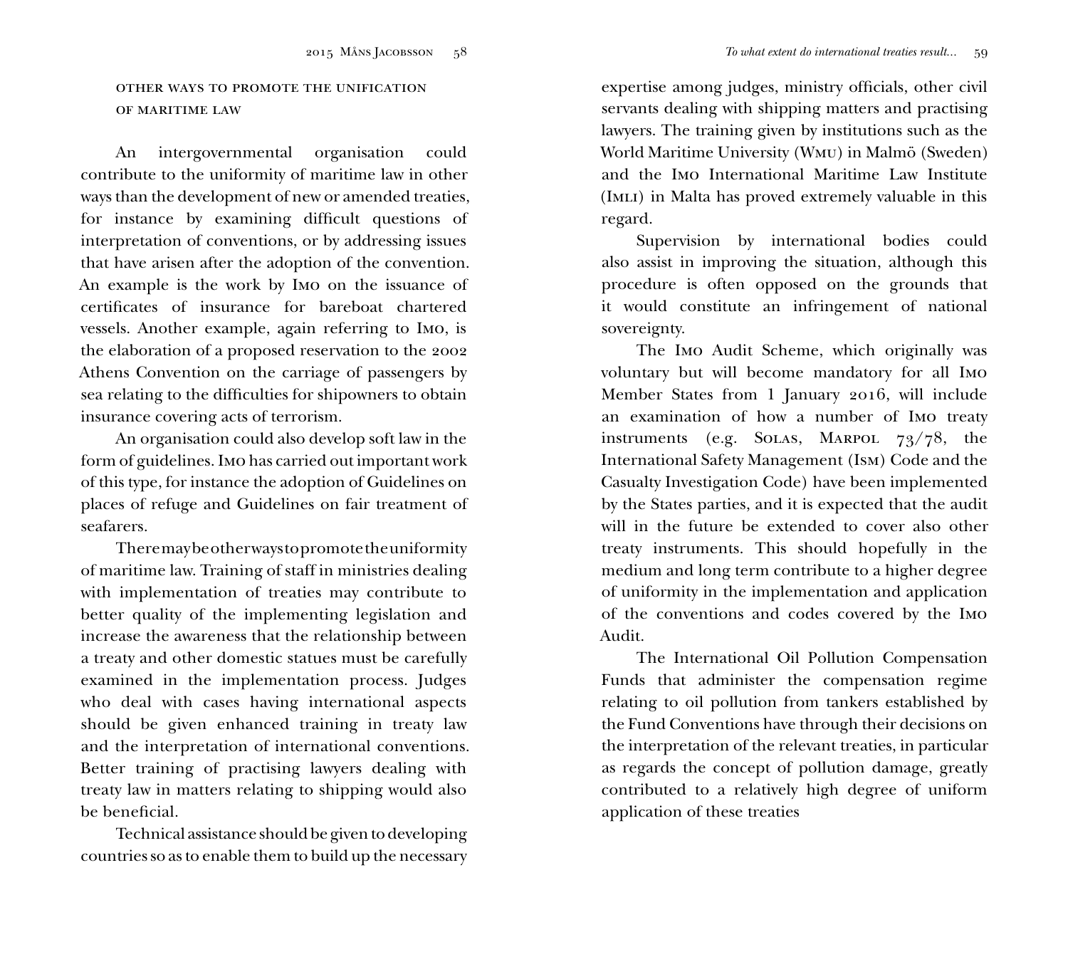# other ways to promote the unification of maritime law

An intergovernmental organisation could contribute to the uniformity of maritime law in other ways than the development of new or amended treaties, for instance by examining difficult questions of interpretation of conventions, or by addressing issues that have arisen after the adoption of the convention. An example is the work by Imo on the issuance of certificates of insurance for bareboat chartered vessels. Another example, again referring to Imo, is the elaboration of a proposed reservation to the 2002 Athens Convention on the carriage of passengers by sea relating to the difficulties for shipowners to obtain insurance covering acts of terrorism.

An organisation could also develop soft law in the form of guidelines. Imo has carried out important work of this type, for instance the adoption of Guidelines on places of refuge and Guidelines on fair treatment of seafarers.

There may be other ways to promote the uniformity of maritime law. Training of staff in ministries dealing with implementation of treaties may contribute to better quality of the implementing legislation and increase the awareness that the relationship between a treaty and other domestic statues must be carefully examined in the implementation process. Judges who deal with cases having international aspects should be given enhanced training in treaty law and the interpretation of international conventions. Better training of practising lawyers dealing with treaty law in matters relating to shipping would also be beneficial.

Technical assistance should be given to developing countries so as to enable them to build up the necessary

expertise among judges, ministry officials, other civil servants dealing with shipping matters and practising lawyers. The training given by institutions such as the World Maritime University (Wmu) in Malmö (Sweden) and the Imo International Maritime Law Institute (Imli) in Malta has proved extremely valuable in this regard.

Supervision by international bodies could also assist in improving the situation, although this procedure is often opposed on the grounds that it would constitute an infringement of national sovereignty.

The Imo Audit Scheme, which originally was voluntary but will become mandatory for all Imo Member States from 1 January 2016, will include an examination of how a number of Imo treaty instruments (e.g. SOLAS, MARPOL 73/78, the International Safety Management (Ism) Code and the Casualty Investigation Code) have been implemented by the States parties, and it is expected that the audit will in the future be extended to cover also other treaty instruments. This should hopefully in the medium and long term contribute to a higher degree of uniformity in the implementation and application of the conventions and codes covered by the Imo Audit.

The International Oil Pollution Compensation Funds that administer the compensation regime relating to oil pollution from tankers established by the Fund Conventions have through their decisions on the interpretation of the relevant treaties, in particular as regards the concept of pollution damage, greatly contributed to a relatively high degree of uniform application of these treaties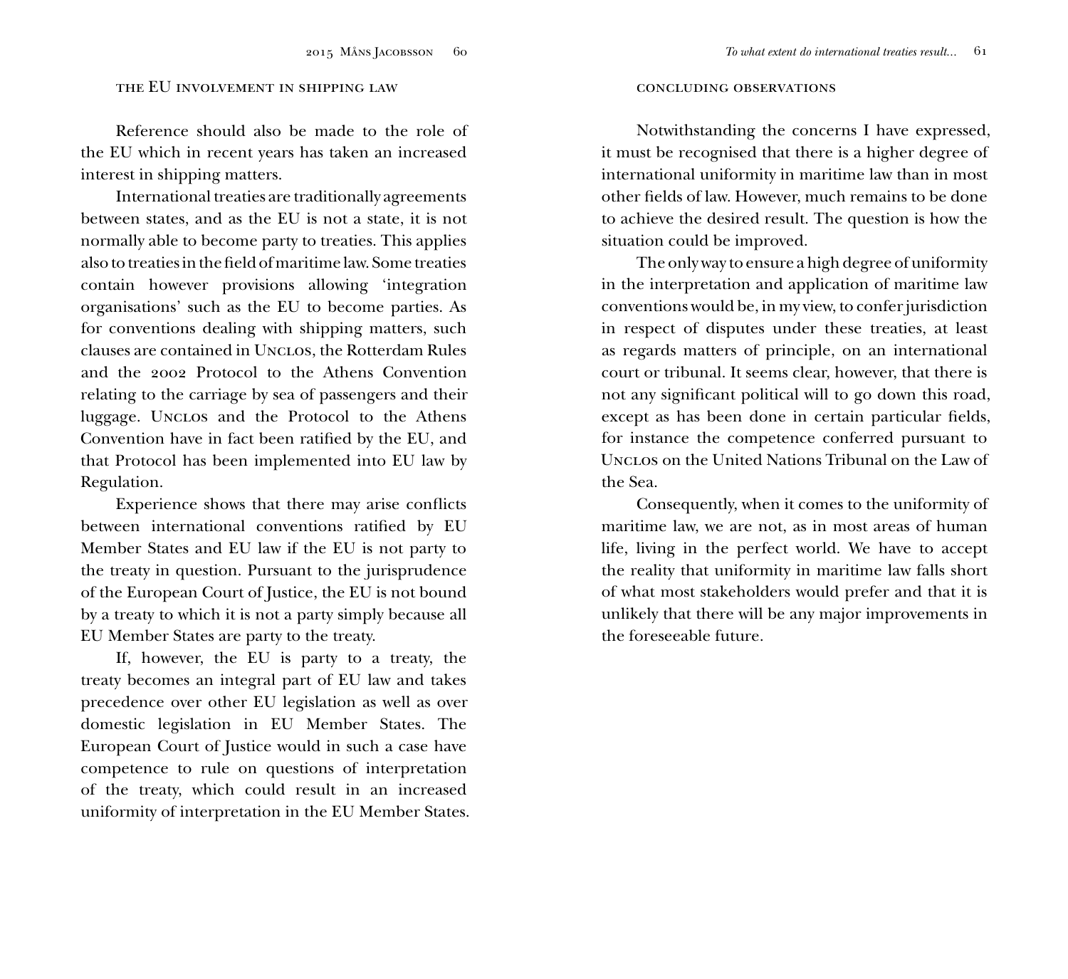# the EU involvement in shipping law

Reference should also be made to the role of the EU which in recent years has taken an increased interest in shipping matters.

International treaties are traditionally agreements between states, and as the EU is not a state, it is not normally able to become party to treaties. This applies also to treaties in the field of maritime law. Some treaties contain however provisions allowing 'integration organisations' such as the EU to become parties. As for conventions dealing with shipping matters, such clauses are contained in Unclos, the Rotterdam Rules and the 2002 Protocol to the Athens Convention relating to the carriage by sea of passengers and their luggage. UNCLOS and the Protocol to the Athens Convention have in fact been ratified by the EU, and that Protocol has been implemented into EU law by Regulation.

Experience shows that there may arise conflicts between international conventions ratified by EU Member States and EU law if the EU is not party to the treaty in question. Pursuant to the jurisprudence of the European Court of Justice, the EU is not bound by a treaty to which it is not a party simply because all EU Member States are party to the treaty.

If, however, the EU is party to a treaty, the treaty becomes an integral part of EU law and takes precedence over other EU legislation as well as over domestic legislation in EU Member States. The European Court of Justice would in such a case have competence to rule on questions of interpretation of the treaty, which could result in an increased uniformity of interpretation in the EU Member States.

#### concluding observations

Notwithstanding the concerns I have expressed, it must be recognised that there is a higher degree of international uniformity in maritime law than in most other fields of law. However, much remains to be done to achieve the desired result. The question is how the situation could be improved.

The only way to ensure a high degree of uniformity in the interpretation and application of maritime law conventions would be, in my view, to confer jurisdiction in respect of disputes under these treaties, at least as regards matters of principle, on an international court or tribunal. It seems clear, however, that there is not any significant political will to go down this road, except as has been done in certain particular fields, for instance the competence conferred pursuant to Unclos on the United Nations Tribunal on the Law of the Sea.

Consequently, when it comes to the uniformity of maritime law, we are not, as in most areas of human life, living in the perfect world. We have to accept the reality that uniformity in maritime law falls short of what most stakeholders would prefer and that it is unlikely that there will be any major improvements in the foreseeable future.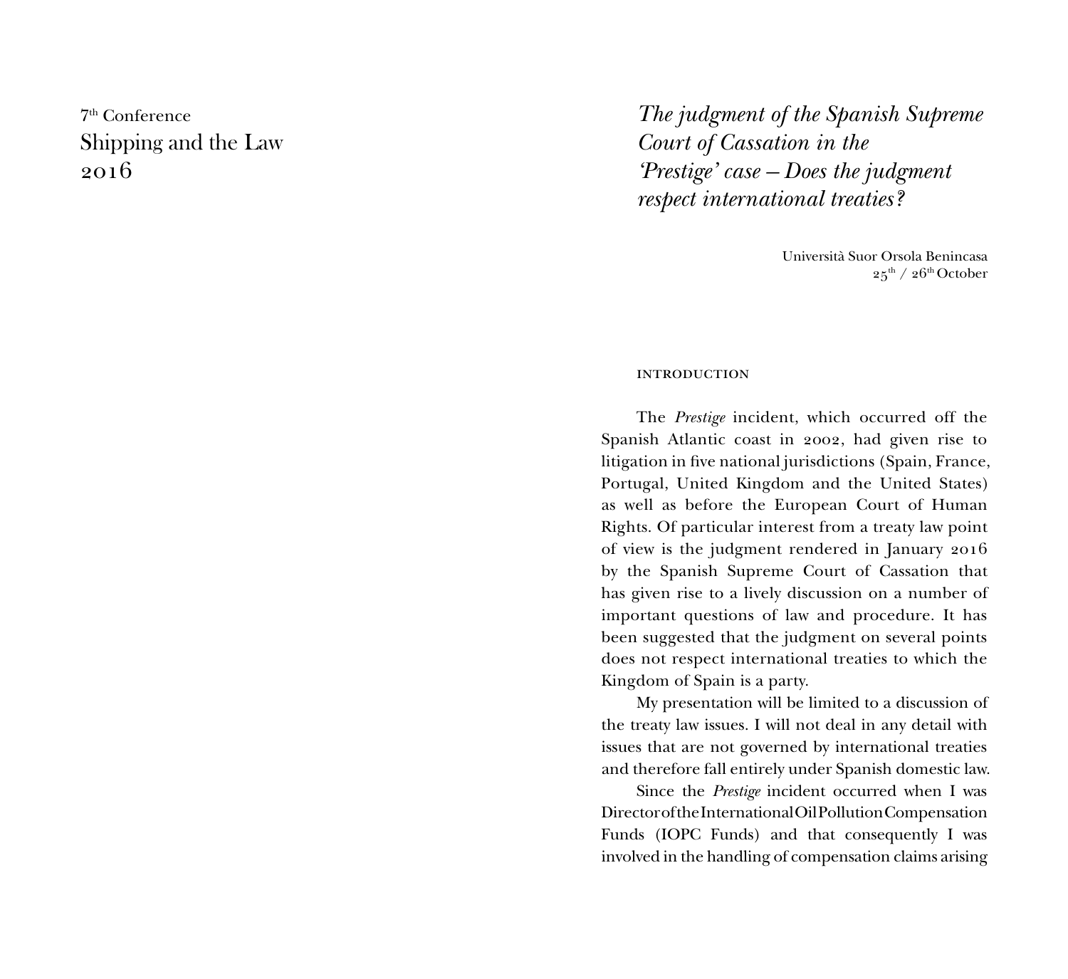7th Conference Shipping and the Law 2016

*The judgment of the Spanish Supreme Court of Cassation in the 'Prestige' case – Does the judgment respect international treaties?*

> Università Suor Orsola Benincasa  $25^{th}$  /  $26^{th}$  October

#### **INTRODUCTION**

The *Prestige* incident, which occurred off the Spanish Atlantic coast in 2002, had given rise to litigation in five national jurisdictions (Spain, France, Portugal, United Kingdom and the United States) as well as before the European Court of Human Rights. Of particular interest from a treaty law point of view is the judgment rendered in January 2016 by the Spanish Supreme Court of Cassation that has given rise to a lively discussion on a number of important questions of law and procedure. It has been suggested that the judgment on several points does not respect international treaties to which the Kingdom of Spain is a party.

My presentation will be limited to a discussion of the treaty law issues. I will not deal in any detail with issues that are not governed by international treaties and therefore fall entirely under Spanish domestic law.

Since the *Prestige* incident occurred when I was Director of the International Oil Pollution Compensation Funds (IOPC Funds) and that consequently I was involved in the handling of compensation claims arising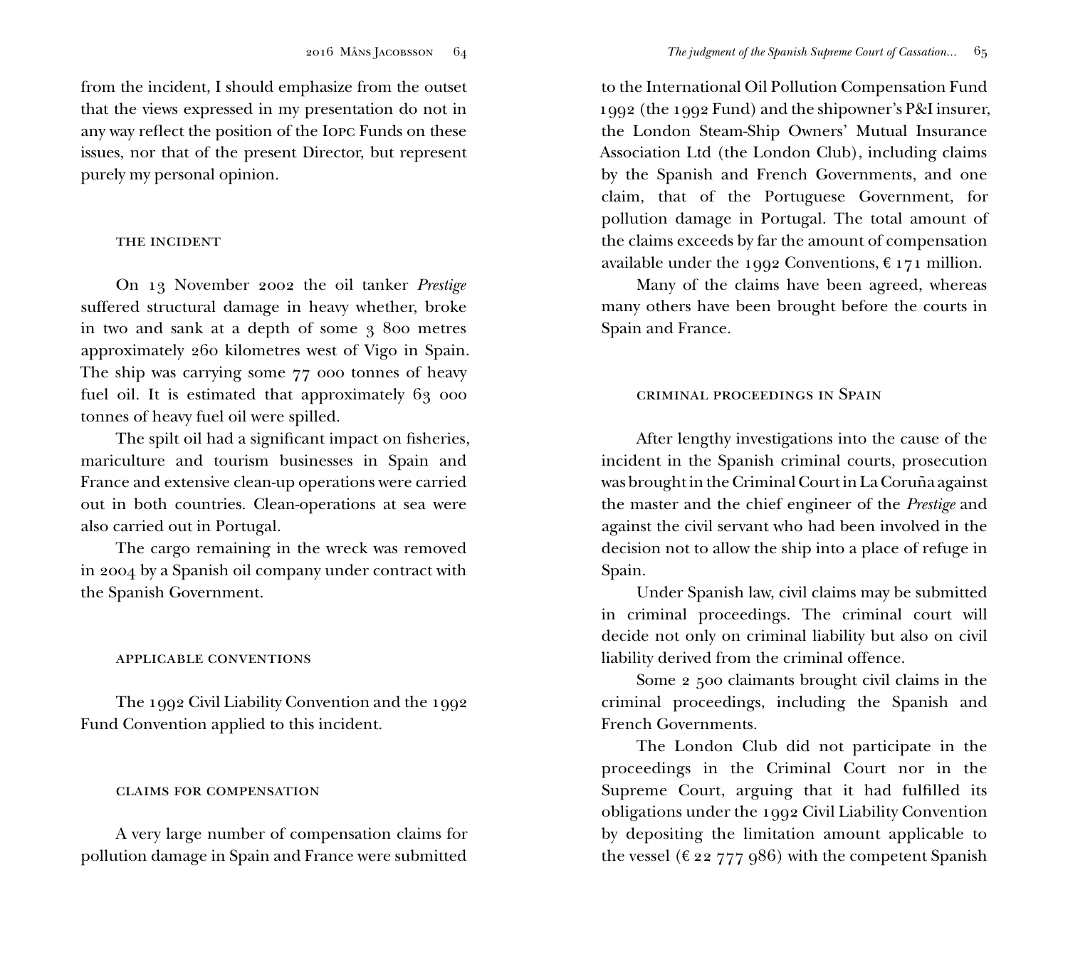from the incident, I should emphasize from the outset that the views expressed in my presentation do not in any way reflect the position of the Iopc Funds on these issues, nor that of the present Director, but represent purely my personal opinion.

### THE INCIDENT

On 13 November 2002 the oil tanker *Prestige* suffered structural damage in heavy whether, broke in two and sank at a depth of some 3 800 metres approximately 260 kilometres west of Vigo in Spain. The ship was carrying some 77 000 tonnes of heavy fuel oil. It is estimated that approximately 63 000 tonnes of heavy fuel oil were spilled.

The spilt oil had a significant impact on fisheries, mariculture and tourism businesses in Spain and France and extensive clean-up operations were carried out in both countries. Clean-operations at sea were also carried out in Portugal.

The cargo remaining in the wreck was removed in 2004 by a Spanish oil company under contract with the Spanish Government.

### applicable conventions

The 1992 Civil Liability Convention and the 1992 Fund Convention applied to this incident.

#### claims for compensation

A very large number of compensation claims for pollution damage in Spain and France were submitted

to the International Oil Pollution Compensation Fund 1992 (the 1992 Fund) and the shipowner's P&I insurer, the London Steam-Ship Owners' Mutual Insurance Association Ltd (the London Club), including claims by the Spanish and French Governments, and one claim, that of the Portuguese Government, for pollution damage in Portugal. The total amount of the claims exceeds by far the amount of compensation available under the 1992 Conventions,  $\epsilon$  171 million.

Many of the claims have been agreed, whereas many others have been brought before the courts in Spain and France.

### criminal proceedings in Spain

After lengthy investigations into the cause of the incident in the Spanish criminal courts, prosecution was brought in the Criminal Court in La Coruña against the master and the chief engineer of the *Prestige* and against the civil servant who had been involved in the decision not to allow the ship into a place of refuge in Spain.

Under Spanish law, civil claims may be submitted in criminal proceedings. The criminal court will decide not only on criminal liability but also on civil liability derived from the criminal offence.

Some 2 500 claimants brought civil claims in the criminal proceedings, including the Spanish and French Governments.

The London Club did not participate in the proceedings in the Criminal Court nor in the Supreme Court, arguing that it had fulfilled its obligations under the 1992 Civil Liability Convention by depositing the limitation amount applicable to the vessel ( $\epsilon$  22 777 986) with the competent Spanish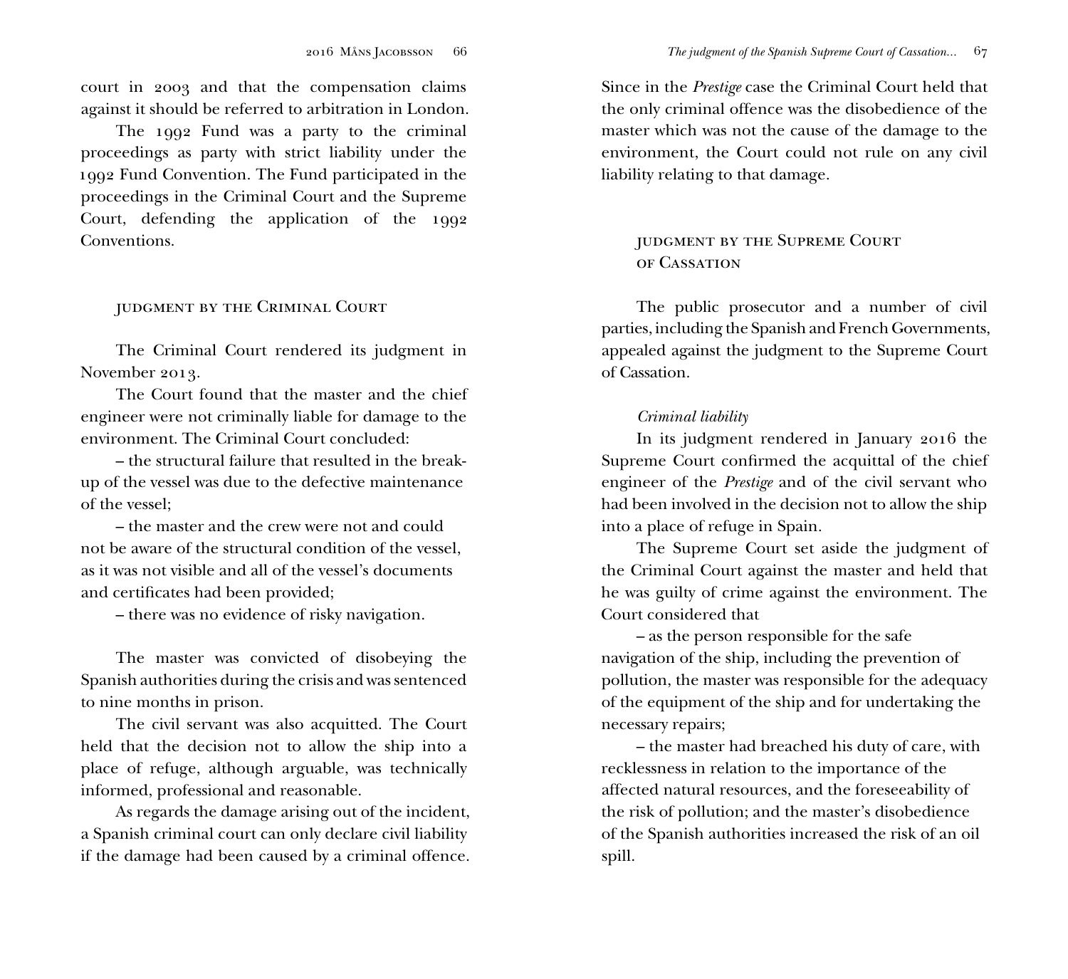court in 2003 and that the compensation claims against it should be referred to arbitration in London.

The 1992 Fund was a party to the criminal proceedings as party with strict liability under the 1992 Fund Convention. The Fund participated in the proceedings in the Criminal Court and the Supreme Court, defending the application of the 1992 Conventions.

## judgment by the Criminal Court

The Criminal Court rendered its judgment in November 2013.

The Court found that the master and the chief engineer were not criminally liable for damage to the environment. The Criminal Court concluded:

– the structural failure that resulted in the breakup of the vessel was due to the defective maintenance of the vessel;

– the master and the crew were not and could not be aware of the structural condition of the vessel, as it was not visible and all of the vessel's documents and certificates had been provided;

– there was no evidence of risky navigation.

The master was convicted of disobeying the Spanish authorities during the crisis and was sentenced to nine months in prison.

The civil servant was also acquitted. The Court held that the decision not to allow the ship into a place of refuge, although arguable, was technically informed, professional and reasonable.

As regards the damage arising out of the incident, a Spanish criminal court can only declare civil liability if the damage had been caused by a criminal offence.

Since in the *Prestige* case the Criminal Court held that the only criminal offence was the disobedience of the master which was not the cause of the damage to the environment, the Court could not rule on any civil liability relating to that damage.

# judgment by the Supreme Court of Cassation

The public prosecutor and a number of civil parties, including the Spanish and French Governments, appealed against the judgment to the Supreme Court of Cassation.

# *Criminal liability*

In its judgment rendered in January 2016 the Supreme Court confirmed the acquittal of the chief engineer of the *Prestige* and of the civil servant who had been involved in the decision not to allow the ship into a place of refuge in Spain.

The Supreme Court set aside the judgment of the Criminal Court against the master and held that he was guilty of crime against the environment. The Court considered that

– as the person responsible for the safe navigation of the ship, including the prevention of pollution, the master was responsible for the adequacy of the equipment of the ship and for undertaking the necessary repairs;

– the master had breached his duty of care, with recklessness in relation to the importance of the affected natural resources, and the foreseeability of the risk of pollution; and the master's disobedience of the Spanish authorities increased the risk of an oil spill.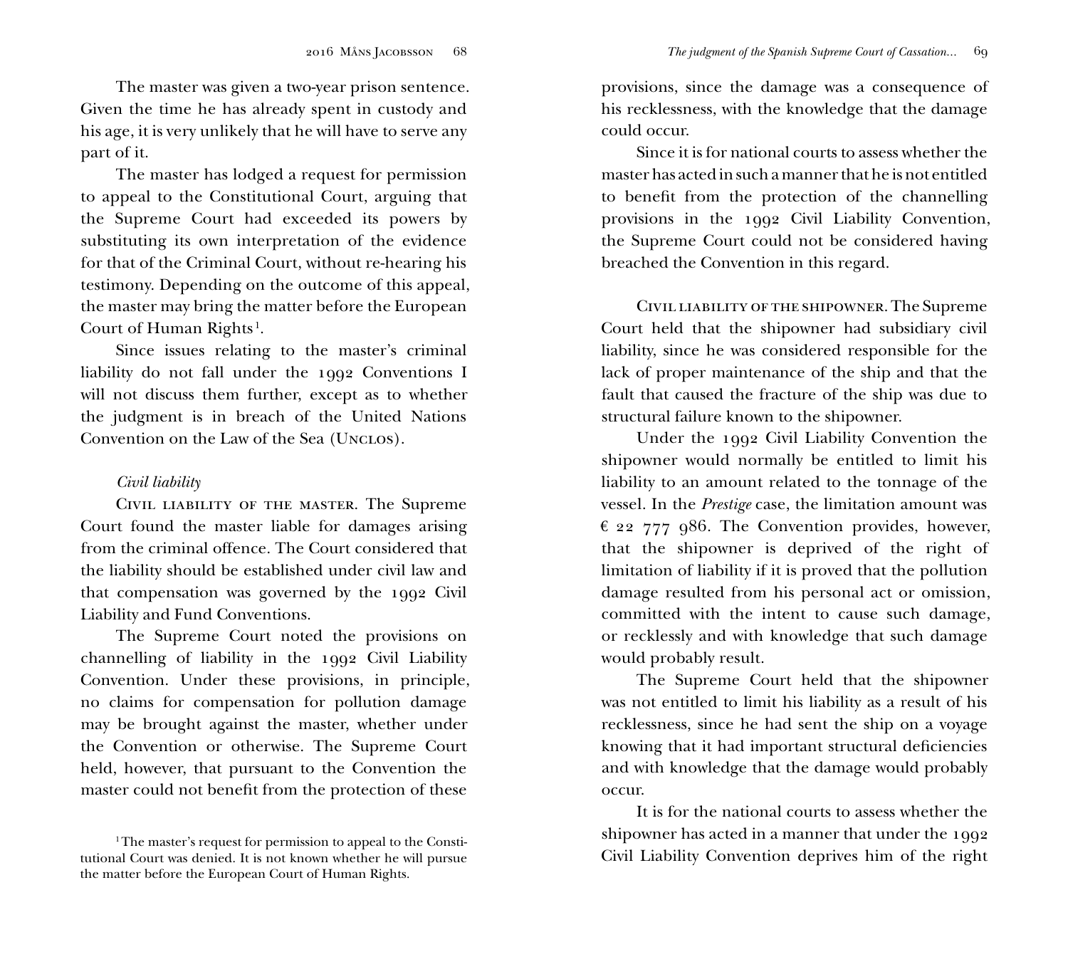The master was given a two-year prison sentence. Given the time he has already spent in custody and his age, it is very unlikely that he will have to serve any part of it.

The master has lodged a request for permission to appeal to the Constitutional Court, arguing that the Supreme Court had exceeded its powers by substituting its own interpretation of the evidence for that of the Criminal Court, without re-hearing his testimony. Depending on the outcome of this appeal, the master may bring the matter before the European Court of Human Rights<sup>1</sup>.

Since issues relating to the master's criminal liability do not fall under the 1992 Conventions I will not discuss them further, except as to whether the judgment is in breach of the United Nations Convention on the Law of the Sea (UNCLOS).

# *Civil liability*

Civil liability of the master. The Supreme Court found the master liable for damages arising from the criminal offence. The Court considered that the liability should be established under civil law and that compensation was governed by the 1992 Civil Liability and Fund Conventions.

The Supreme Court noted the provisions on channelling of liability in the 1992 Civil Liability Convention. Under these provisions, in principle, no claims for compensation for pollution damage may be brought against the master, whether under the Convention or otherwise. The Supreme Court held, however, that pursuant to the Convention the master could not benefit from the protection of these

Since it is for national courts to assess whether the master has acted in such a manner that he is not entitled to benefit from the protection of the channelling provisions in the 1992 Civil Liability Convention, the Supreme Court could not be considered having breached the Convention in this regard.

Civil liability of the shipowner. The Supreme Court held that the shipowner had subsidiary civil liability, since he was considered responsible for the lack of proper maintenance of the ship and that the fault that caused the fracture of the ship was due to structural failure known to the shipowner.

Under the 1992 Civil Liability Convention the shipowner would normally be entitled to limit his liability to an amount related to the tonnage of the vessel. In the *Prestige* case, the limitation amount was  $\epsilon$  22 777 986. The Convention provides, however, that the shipowner is deprived of the right of limitation of liability if it is proved that the pollution damage resulted from his personal act or omission, committed with the intent to cause such damage, or recklessly and with knowledge that such damage would probably result.

The Supreme Court held that the shipowner was not entitled to limit his liability as a result of his recklessness, since he had sent the ship on a voyage knowing that it had important structural deficiencies and with knowledge that the damage would probably occur.

It is for the national courts to assess whether the shipowner has acted in a manner that under the 1992 Civil Liability Convention deprives him of the right

<sup>&</sup>lt;sup>1</sup>The master's request for permission to appeal to the Constitutional Court was denied. It is not known whether he will pursue the matter before the European Court of Human Rights.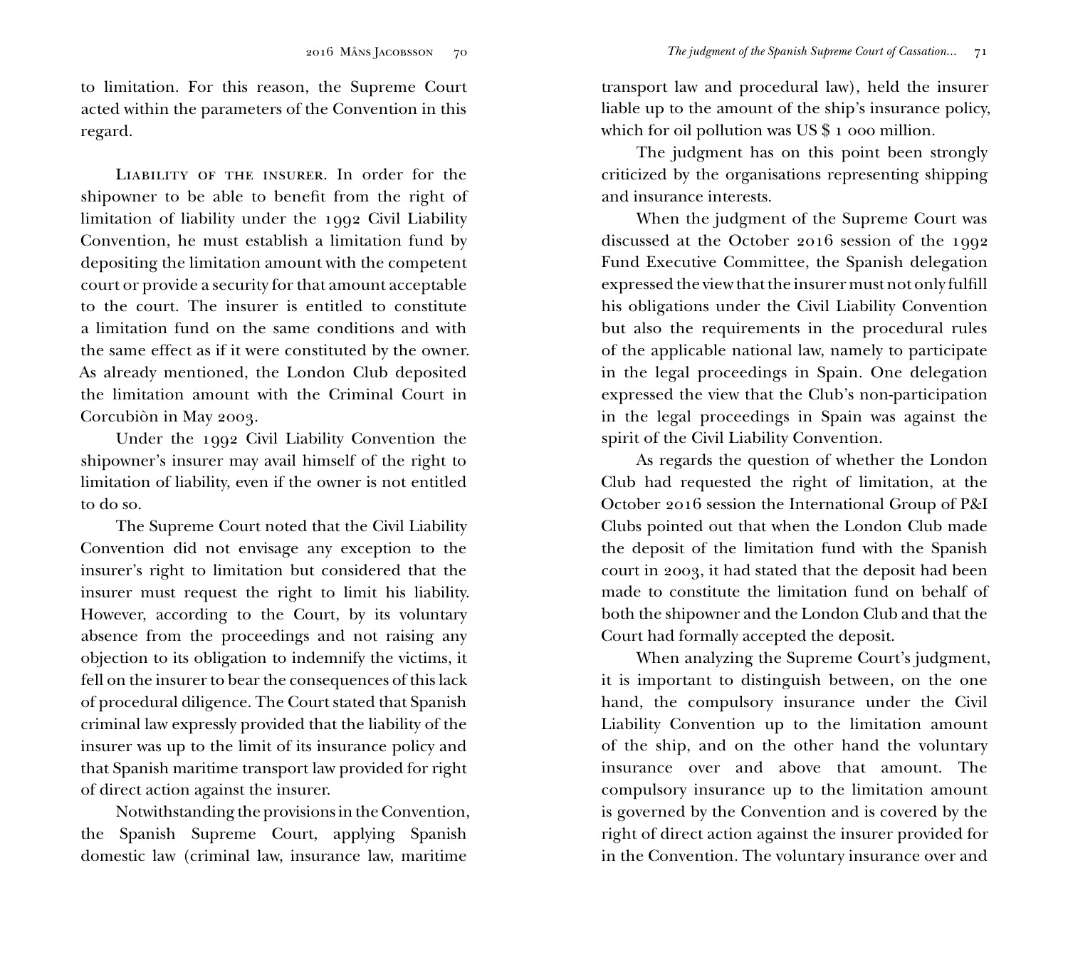to limitation. For this reason, the Supreme Court acted within the parameters of the Convention in this regard.

Liability of the insurer. In order for the shipowner to be able to benefit from the right of limitation of liability under the 1992 Civil Liability Convention, he must establish a limitation fund by depositing the limitation amount with the competent court or provide a security for that amount acceptable to the court. The insurer is entitled to constitute a limitation fund on the same conditions and with the same effect as if it were constituted by the owner. As already mentioned, the London Club deposited the limitation amount with the Criminal Court in Corcubiòn in May 2003.

Under the 1992 Civil Liability Convention the shipowner's insurer may avail himself of the right to limitation of liability, even if the owner is not entitled to do so.

The Supreme Court noted that the Civil Liability Convention did not envisage any exception to the insurer's right to limitation but considered that the insurer must request the right to limit his liability. However, according to the Court, by its voluntary absence from the proceedings and not raising any objection to its obligation to indemnify the victims, it fell on the insurer to bear the consequences of this lack of procedural diligence. The Court stated that Spanish criminal law expressly provided that the liability of the insurer was up to the limit of its insurance policy and that Spanish maritime transport law provided for right of direct action against the insurer.

Notwithstanding the provisions in the Convention, the Spanish Supreme Court, applying Spanish domestic law (criminal law, insurance law, maritime

transport law and procedural law), held the insurer liable up to the amount of the ship's insurance policy, which for oil pollution was US \$ 1 000 million.

The judgment has on this point been strongly criticized by the organisations representing shipping and insurance interests.

When the judgment of the Supreme Court was discussed at the October 2016 session of the 1992 Fund Executive Committee, the Spanish delegation expressed the view that the insurer must not only fulfill his obligations under the Civil Liability Convention but also the requirements in the procedural rules of the applicable national law, namely to participate in the legal proceedings in Spain. One delegation expressed the view that the Club's non-participation in the legal proceedings in Spain was against the spirit of the Civil Liability Convention.

As regards the question of whether the London Club had requested the right of limitation, at the October 2016 session the International Group of P&I Clubs pointed out that when the London Club made the deposit of the limitation fund with the Spanish court in 2003, it had stated that the deposit had been made to constitute the limitation fund on behalf of both the shipowner and the London Club and that the Court had formally accepted the deposit.

When analyzing the Supreme Court's judgment, it is important to distinguish between, on the one hand, the compulsory insurance under the Civil Liability Convention up to the limitation amount of the ship, and on the other hand the voluntary insurance over and above that amount. The compulsory insurance up to the limitation amount is governed by the Convention and is covered by the right of direct action against the insurer provided for in the Convention. The voluntary insurance over and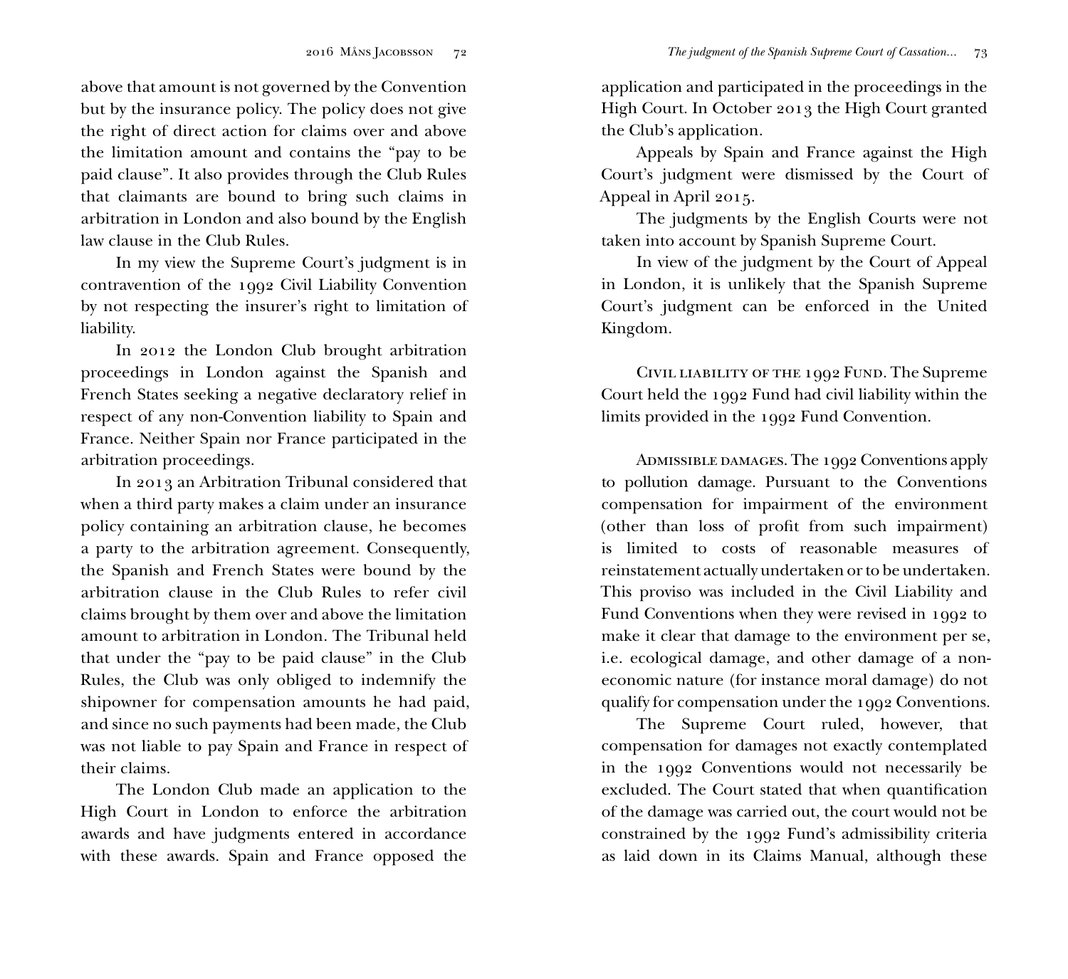above that amount is not governed by the Convention but by the insurance policy. The policy does not give the right of direct action for claims over and above the limitation amount and contains the "pay to be paid clause". It also provides through the Club Rules that claimants are bound to bring such claims in arbitration in London and also bound by the English law clause in the Club Rules.

In my view the Supreme Court's judgment is in contravention of the 1992 Civil Liability Convention by not respecting the insurer's right to limitation of liability.

In 2012 the London Club brought arbitration proceedings in London against the Spanish and French States seeking a negative declaratory relief in respect of any non-Convention liability to Spain and France. Neither Spain nor France participated in the arbitration proceedings.

In 2013 an Arbitration Tribunal considered that when a third party makes a claim under an insurance policy containing an arbitration clause, he becomes a party to the arbitration agreement. Consequently, the Spanish and French States were bound by the arbitration clause in the Club Rules to refer civil claims brought by them over and above the limitation amount to arbitration in London. The Tribunal held that under the "pay to be paid clause" in the Club Rules, the Club was only obliged to indemnify the shipowner for compensation amounts he had paid, and since no such payments had been made, the Club was not liable to pay Spain and France in respect of their claims.

The London Club made an application to the High Court in London to enforce the arbitration awards and have judgments entered in accordance with these awards. Spain and France opposed the

application and participated in the proceedings in the High Court. In October 2013 the High Court granted the Club's application.

Appeals by Spain and France against the High Court's judgment were dismissed by the Court of Appeal in April 2015.

The judgments by the English Courts were not taken into account by Spanish Supreme Court.

In view of the judgment by the Court of Appeal in London, it is unlikely that the Spanish Supreme Court's judgment can be enforced in the United Kingdom.

Civil liability of the 1992 Fund. The Supreme Court held the 1992 Fund had civil liability within the limits provided in the 1992 Fund Convention.

Admissible damages. The 1992 Conventions apply to pollution damage. Pursuant to the Conventions compensation for impairment of the environment (other than loss of profit from such impairment) is limited to costs of reasonable measures of reinstatement actually undertaken or to be undertaken. This proviso was included in the Civil Liability and Fund Conventions when they were revised in 1992 to make it clear that damage to the environment per se, i.e. ecological damage, and other damage of a noneconomic nature (for instance moral damage) do not qualify for compensation under the 1992 Conventions.

The Supreme Court ruled, however, that compensation for damages not exactly contemplated in the 1992 Conventions would not necessarily be excluded. The Court stated that when quantification of the damage was carried out, the court would not be constrained by the 1992 Fund's admissibility criteria as laid down in its Claims Manual, although these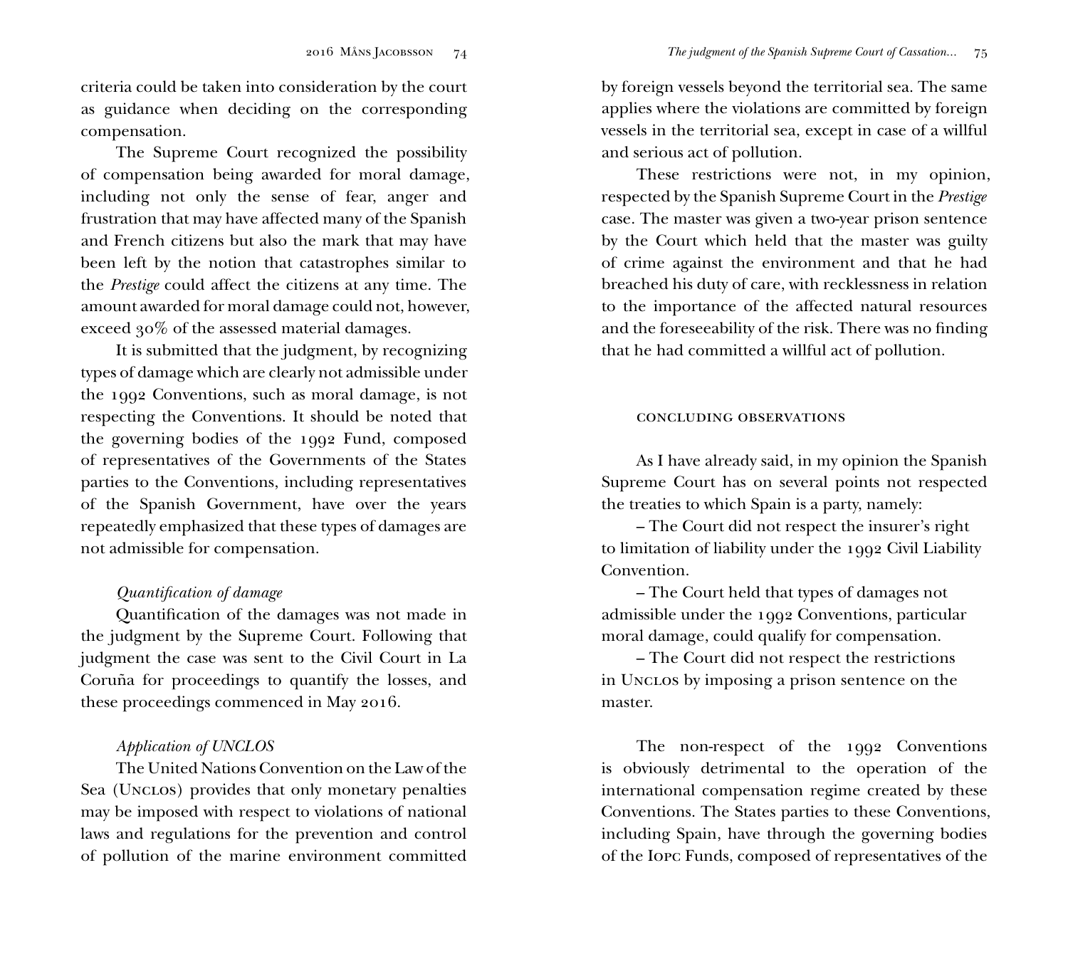criteria could be taken into consideration by the court as guidance when deciding on the corresponding compensation.

The Supreme Court recognized the possibility of compensation being awarded for moral damage, including not only the sense of fear, anger and frustration that may have affected many of the Spanish and French citizens but also the mark that may have been left by the notion that catastrophes similar to the *Prestige* could affect the citizens at any time. The amount awarded for moral damage could not, however, exceed 30% of the assessed material damages.

It is submitted that the judgment, by recognizing types of damage which are clearly not admissible under the 1992 Conventions, such as moral damage, is not respecting the Conventions. It should be noted that the governing bodies of the 1992 Fund, composed of representatives of the Governments of the States parties to the Conventions, including representatives of the Spanish Government, have over the years repeatedly emphasized that these types of damages are not admissible for compensation.

# *Quantification of damage*

Quantification of the damages was not made in the judgment by the Supreme Court. Following that judgment the case was sent to the Civil Court in La Coruña for proceedings to quantify the losses, and these proceedings commenced in May 2016.

# *Application of UNCLOS*

The United Nations Convention on the Law of the Sea (UNCLOS) provides that only monetary penalties may be imposed with respect to violations of national laws and regulations for the prevention and control of pollution of the marine environment committed

by foreign vessels beyond the territorial sea. The same applies where the violations are committed by foreign vessels in the territorial sea, except in case of a willful and serious act of pollution.

These restrictions were not, in my opinion, respected by the Spanish Supreme Court in the *Prestige* case. The master was given a two-year prison sentence by the Court which held that the master was guilty of crime against the environment and that he had breached his duty of care, with recklessness in relation to the importance of the affected natural resources and the foreseeability of the risk. There was no finding that he had committed a willful act of pollution.

## concluding observations

As I have already said, in my opinion the Spanish Supreme Court has on several points not respected the treaties to which Spain is a party, namely:

– The Court did not respect the insurer's right to limitation of liability under the 1992 Civil Liability Convention.

– The Court held that types of damages not admissible under the 1992 Conventions, particular moral damage, could qualify for compensation.

– The Court did not respect the restrictions in Unclos by imposing a prison sentence on the master.

The non-respect of the 1992 Conventions is obviously detrimental to the operation of the international compensation regime created by these Conventions. The States parties to these Conventions, including Spain, have through the governing bodies of the Iopc Funds, composed of representatives of the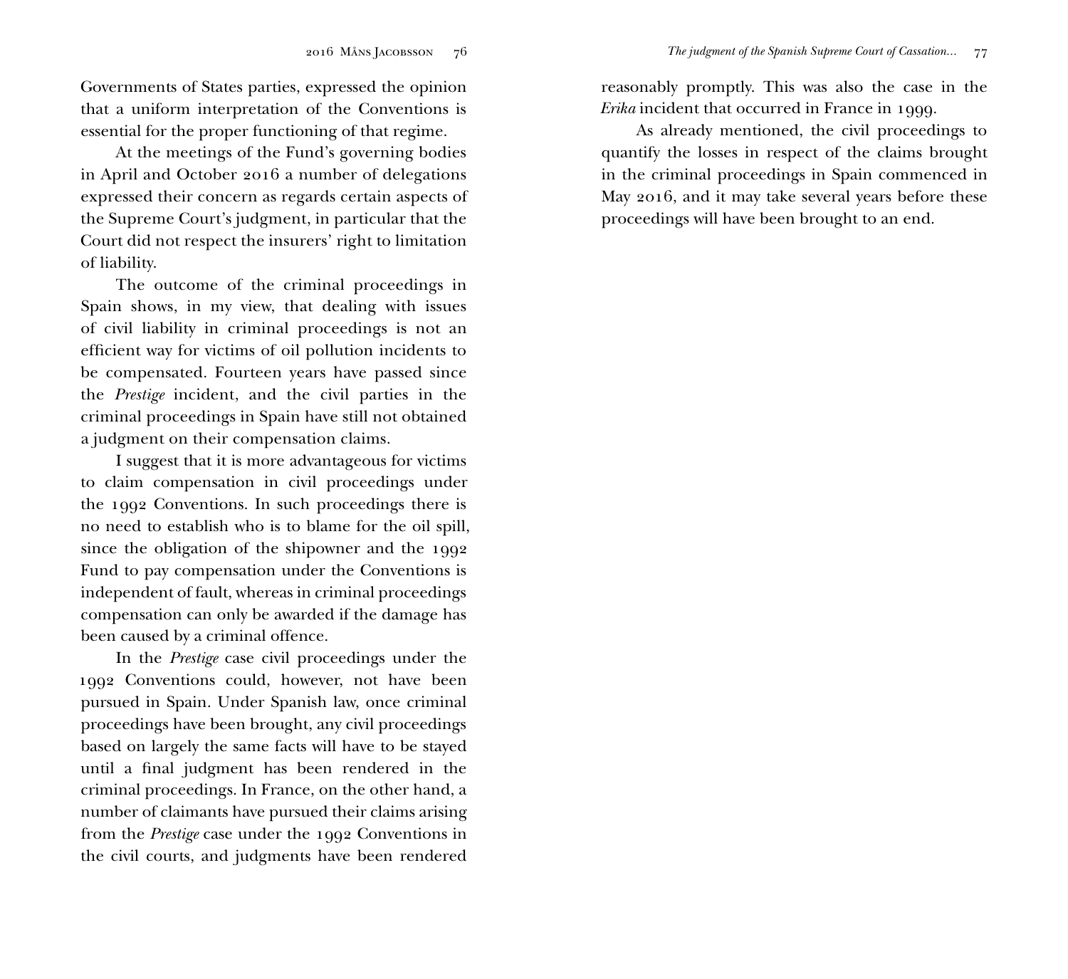Governments of States parties, expressed the opinion that a uniform interpretation of the Conventions is essential for the proper functioning of that regime.

At the meetings of the Fund's governing bodies in April and October 2016 a number of delegations expressed their concern as regards certain aspects of the Supreme Court's judgment, in particular that the Court did not respect the insurers' right to limitation of liability.

The outcome of the criminal proceedings in Spain shows, in my view, that dealing with issues of civil liability in criminal proceedings is not an efficient way for victims of oil pollution incidents to be compensated. Fourteen years have passed since the *Prestige* incident, and the civil parties in the criminal proceedings in Spain have still not obtained a judgment on their compensation claims.

I suggest that it is more advantageous for victims to claim compensation in civil proceedings under the 1992 Conventions. In such proceedings there is no need to establish who is to blame for the oil spill, since the obligation of the shipowner and the 1992 Fund to pay compensation under the Conventions is independent of fault, whereas in criminal proceedings compensation can only be awarded if the damage has been caused by a criminal offence.

In the *Prestige* case civil proceedings under the 1992 Conventions could, however, not have been pursued in Spain. Under Spanish law, once criminal proceedings have been brought, any civil proceedings based on largely the same facts will have to be stayed until a final judgment has been rendered in the criminal proceedings. In France, on the other hand, a number of claimants have pursued their claims arising from the *Prestige* case under the 1992 Conventions in the civil courts, and judgments have been rendered

reasonably promptly. This was also the case in the *Erika* incident that occurred in France in 1999.

As already mentioned, the civil proceedings to quantify the losses in respect of the claims brought in the criminal proceedings in Spain commenced in May 2016, and it may take several years before these proceedings will have been brought to an end.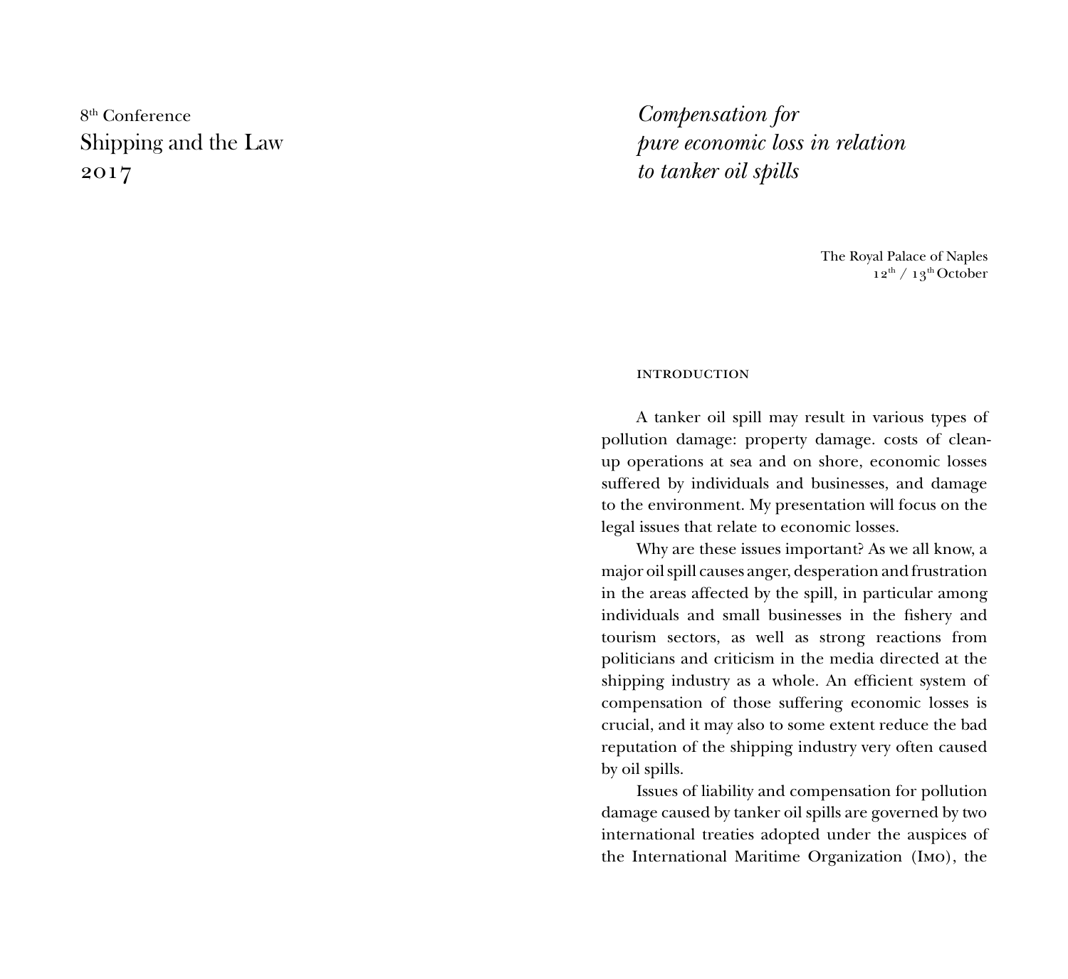# 8th Conference Shipping and the Law 2017

*Compensation for pure economic loss in relation to tanker oil spills*

> The Royal Palace of Naples 12th / 13th October

#### **INTRODUCTION**

A tanker oil spill may result in various types of pollution damage: property damage. costs of cleanup operations at sea and on shore, economic losses suffered by individuals and businesses, and damage to the environment. My presentation will focus on the legal issues that relate to economic losses.

Why are these issues important? As we all know, a major oil spill causes anger, desperation and frustration in the areas affected by the spill, in particular among individuals and small businesses in the fishery and tourism sectors, as well as strong reactions from politicians and criticism in the media directed at the shipping industry as a whole. An efficient system of compensation of those suffering economic losses is crucial, and it may also to some extent reduce the bad reputation of the shipping industry very often caused by oil spills.

Issues of liability and compensation for pollution damage caused by tanker oil spills are governed by two international treaties adopted under the auspices of the International Maritime Organization (Imo), the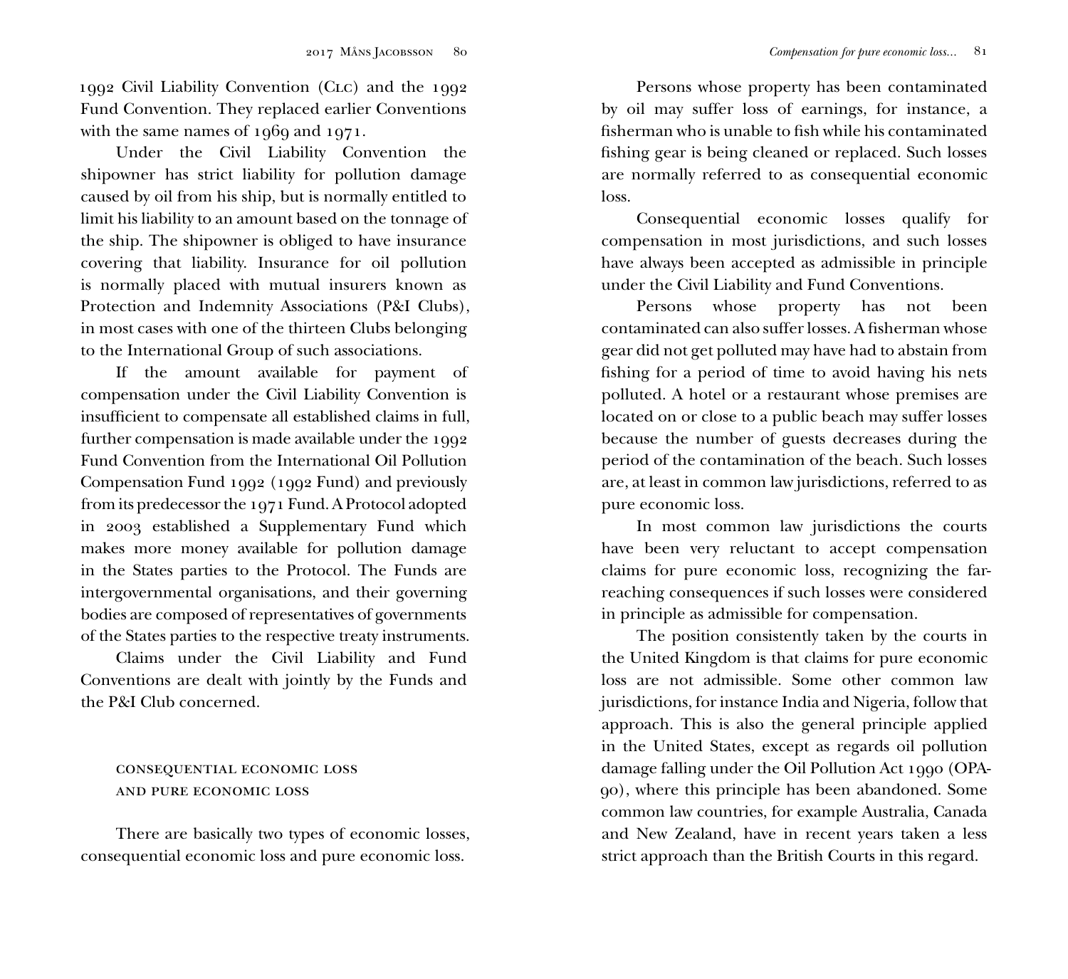1992 Civil Liability Convention (Clc) and the 1992 Fund Convention. They replaced earlier Conventions with the same names of 1969 and 1971.

Under the Civil Liability Convention the shipowner has strict liability for pollution damage caused by oil from his ship, but is normally entitled to limit his liability to an amount based on the tonnage of the ship. The shipowner is obliged to have insurance covering that liability. Insurance for oil pollution is normally placed with mutual insurers known as Protection and Indemnity Associations (P&I Clubs), in most cases with one of the thirteen Clubs belonging to the International Group of such associations.

If the amount available for payment of compensation under the Civil Liability Convention is insufficient to compensate all established claims in full, further compensation is made available under the 1992 Fund Convention from the International Oil Pollution Compensation Fund 1992 (1992 Fund) and previously from its predecessor the 1971 Fund. A Protocol adopted in 2003 established a Supplementary Fund which makes more money available for pollution damage in the States parties to the Protocol. The Funds are intergovernmental organisations, and their governing bodies are composed of representatives of governments of the States parties to the respective treaty instruments.

Claims under the Civil Liability and Fund Conventions are dealt with jointly by the Funds and the P&I Club concerned.

consequential economic loss and pure economic loss

There are basically two types of economic losses, consequential economic loss and pure economic loss.

Persons whose property has been contaminated by oil may suffer loss of earnings, for instance, a fisherman who is unable to fish while his contaminated fishing gear is being cleaned or replaced. Such losses are normally referred to as consequential economic loss.

Consequential economic losses qualify for compensation in most jurisdictions, and such losses have always been accepted as admissible in principle under the Civil Liability and Fund Conventions.

Persons whose property has not been contaminated can also suffer losses. A fisherman whose gear did not get polluted may have had to abstain from fishing for a period of time to avoid having his nets polluted. A hotel or a restaurant whose premises are located on or close to a public beach may suffer losses because the number of guests decreases during the period of the contamination of the beach. Such losses are, at least in common law jurisdictions, referred to as pure economic loss.

In most common law jurisdictions the courts have been very reluctant to accept compensation claims for pure economic loss, recognizing the farreaching consequences if such losses were considered in principle as admissible for compensation.

The position consistently taken by the courts in the United Kingdom is that claims for pure economic loss are not admissible. Some other common law jurisdictions, for instance India and Nigeria, follow that approach. This is also the general principle applied in the United States, except as regards oil pollution damage falling under the Oil Pollution Act 1990 (OPA-90), where this principle has been abandoned. Some common law countries, for example Australia, Canada and New Zealand, have in recent years taken a less strict approach than the British Courts in this regard.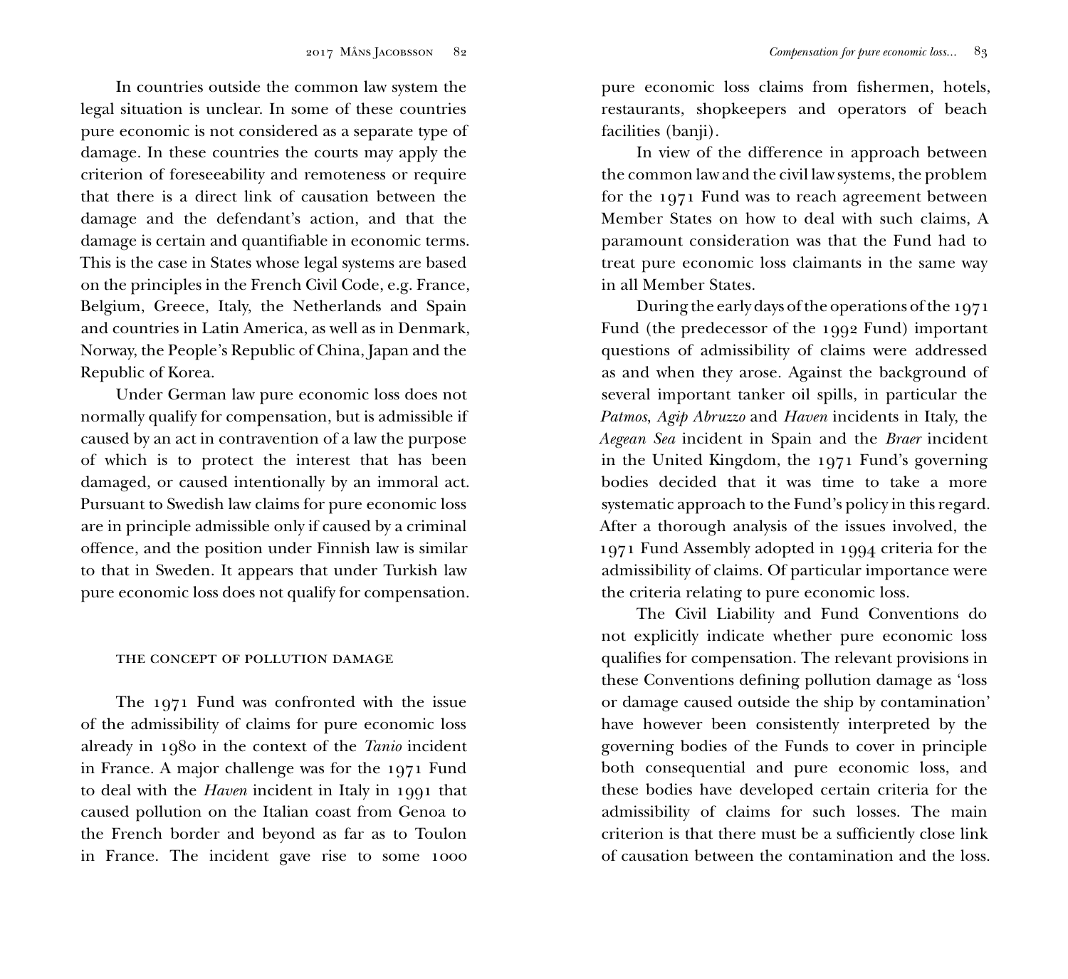In countries outside the common law system the legal situation is unclear. In some of these countries pure economic is not considered as a separate type of damage. In these countries the courts may apply the criterion of foreseeability and remoteness or require that there is a direct link of causation between the damage and the defendant's action, and that the damage is certain and quantifiable in economic terms. This is the case in States whose legal systems are based on the principles in the French Civil Code, e.g. France, Belgium, Greece, Italy, the Netherlands and Spain and countries in Latin America, as well as in Denmark, Norway, the People's Republic of China, Japan and the Republic of Korea.

Under German law pure economic loss does not normally qualify for compensation, but is admissible if caused by an act in contravention of a law the purpose of which is to protect the interest that has been damaged, or caused intentionally by an immoral act. Pursuant to Swedish law claims for pure economic loss are in principle admissible only if caused by a criminal offence, and the position under Finnish law is similar to that in Sweden. It appears that under Turkish law pure economic loss does not qualify for compensation.

### THE CONCEPT OF POLLUTION DAMAGE

The 1971 Fund was confronted with the issue of the admissibility of claims for pure economic loss already in 1980 in the context of the *Tanio* incident in France. A major challenge was for the 1971 Fund to deal with the *Haven* incident in Italy in 1991 that caused pollution on the Italian coast from Genoa to the French border and beyond as far as to Toulon in France. The incident gave rise to some 1000

pure economic loss claims from fishermen, hotels, restaurants, shopkeepers and operators of beach facilities (banji).

In view of the difference in approach between the common law and the civil law systems, the problem for the 1971 Fund was to reach agreement between Member States on how to deal with such claims, A paramount consideration was that the Fund had to treat pure economic loss claimants in the same way in all Member States.

During the early days of the operations of the 1971 Fund (the predecessor of the 1992 Fund) important questions of admissibility of claims were addressed as and when they arose. Against the background of several important tanker oil spills, in particular the *Patmos*, *Agip Abruzzo* and *Haven* incidents in Italy, the *Aegean Sea* incident in Spain and the *Braer* incident in the United Kingdom, the 1971 Fund's governing bodies decided that it was time to take a more systematic approach to the Fund's policy in this regard. After a thorough analysis of the issues involved, the 1971 Fund Assembly adopted in 1994 criteria for the admissibility of claims. Of particular importance were the criteria relating to pure economic loss.

The Civil Liability and Fund Conventions do not explicitly indicate whether pure economic loss qualifies for compensation. The relevant provisions in these Conventions defining pollution damage as 'loss or damage caused outside the ship by contamination' have however been consistently interpreted by the governing bodies of the Funds to cover in principle both consequential and pure economic loss, and these bodies have developed certain criteria for the admissibility of claims for such losses. The main criterion is that there must be a sufficiently close link of causation between the contamination and the loss.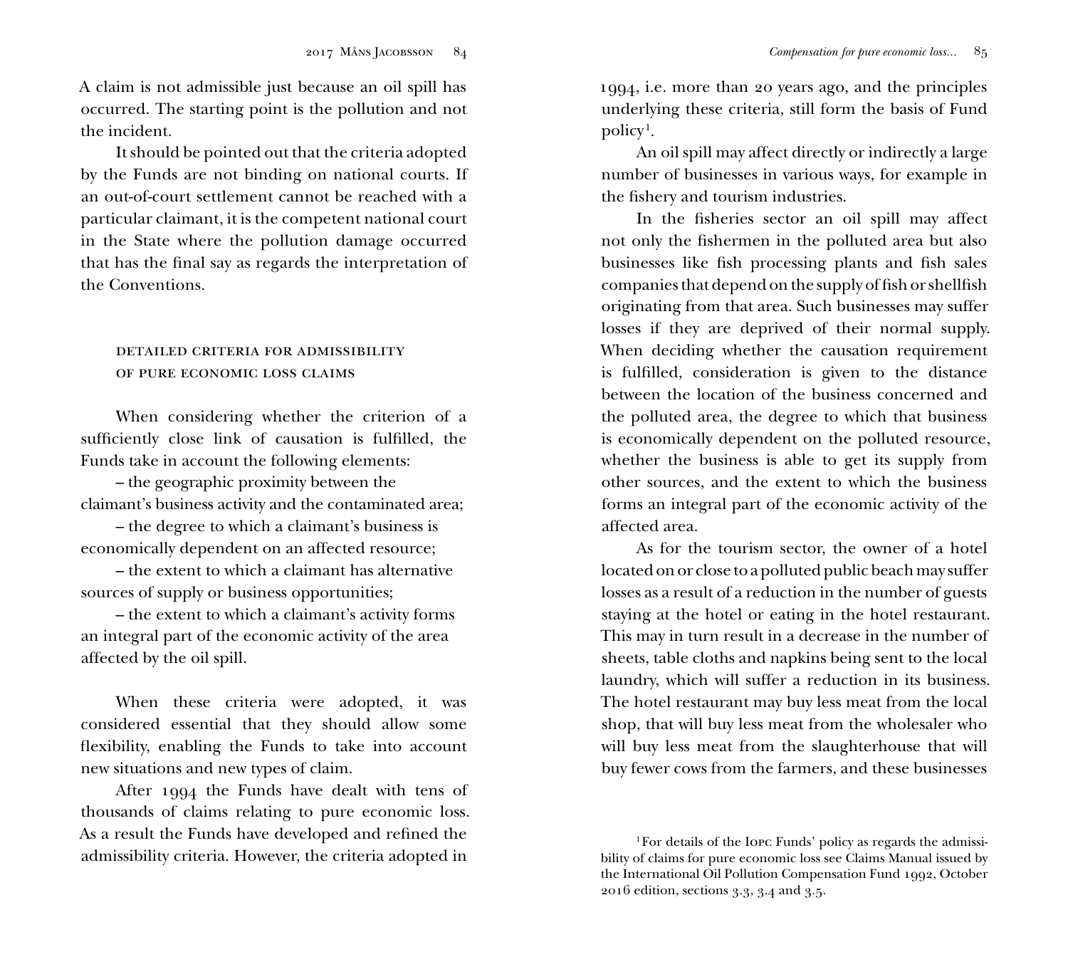A claim is not admissible just because an oil spill has occurred. The starting point is the pollution and not the incident.

It should be pointed out that the criteria adopted by the Funds are not binding on national courts. If an out-of-court settlement cannot be reached with a particular claimant, it is the competent national court in the State where the pollution damage occurred that has the final say as regards the interpretation of the Conventions.

# detailed criteria for admissibility of pure economic loss claims

When considering whether the criterion of a sufficiently close link of causation is fulfilled, the Funds take in account the following elements:

– the geographic proximity between the claimant's business activity and the contaminated area;

– the degree to which a claimant's business is economically dependent on an affected resource;

– the extent to which a claimant has alternative sources of supply or business opportunities;

– the extent to which a claimant's activity forms an integral part of the economic activity of the area affected by the oil spill.

When these criteria were adopted, it was considered essential that they should allow some flexibility, enabling the Funds to take into account new situations and new types of claim.

After 1994 the Funds have dealt with tens of thousands of claims relating to pure economic loss. As a result the Funds have developed and refined the admissibility criteria. However, the criteria adopted in

1994, i.e. more than 20 years ago, and the principles underlying these criteria, still form the basis of Fund policy<sup>1</sup>.

An oil spill may affect directly or indirectly a large number of businesses in various ways, for example in the fishery and tourism industries.

In the fisheries sector an oil spill may affect not only the fishermen in the polluted area but also businesses like fish processing plants and fish sales companies that depend on the supply of fish or shellfish originating from that area. Such businesses may suffer losses if they are deprived of their normal supply. When deciding whether the causation requirement is fulfilled, consideration is given to the distance between the location of the business concerned and the polluted area, the degree to which that business is economically dependent on the polluted resource, whether the business is able to get its supply from other sources, and the extent to which the business forms an integral part of the economic activity of the affected area.

As for the tourism sector, the owner of a hotel located on or close to a polluted public beach may suffer losses as a result of a reduction in the number of guests staying at the hotel or eating in the hotel restaurant. This may in turn result in a decrease in the number of sheets, table cloths and napkins being sent to the local laundry, which will suffer a reduction in its business. The hotel restaurant may buy less meat from the local shop, that will buy less meat from the wholesaler who will buy less meat from the slaughterhouse that will buy fewer cows from the farmers, and these businesses

<sup>&</sup>lt;sup>1</sup>For details of the Iopc Funds' policy as regards the admissibility of claims for pure economic loss see Claims Manual issued by the International Oil Pollution Compensation Fund 1992, October 2016 edition, sections 3.3, 3.4 and 3.5.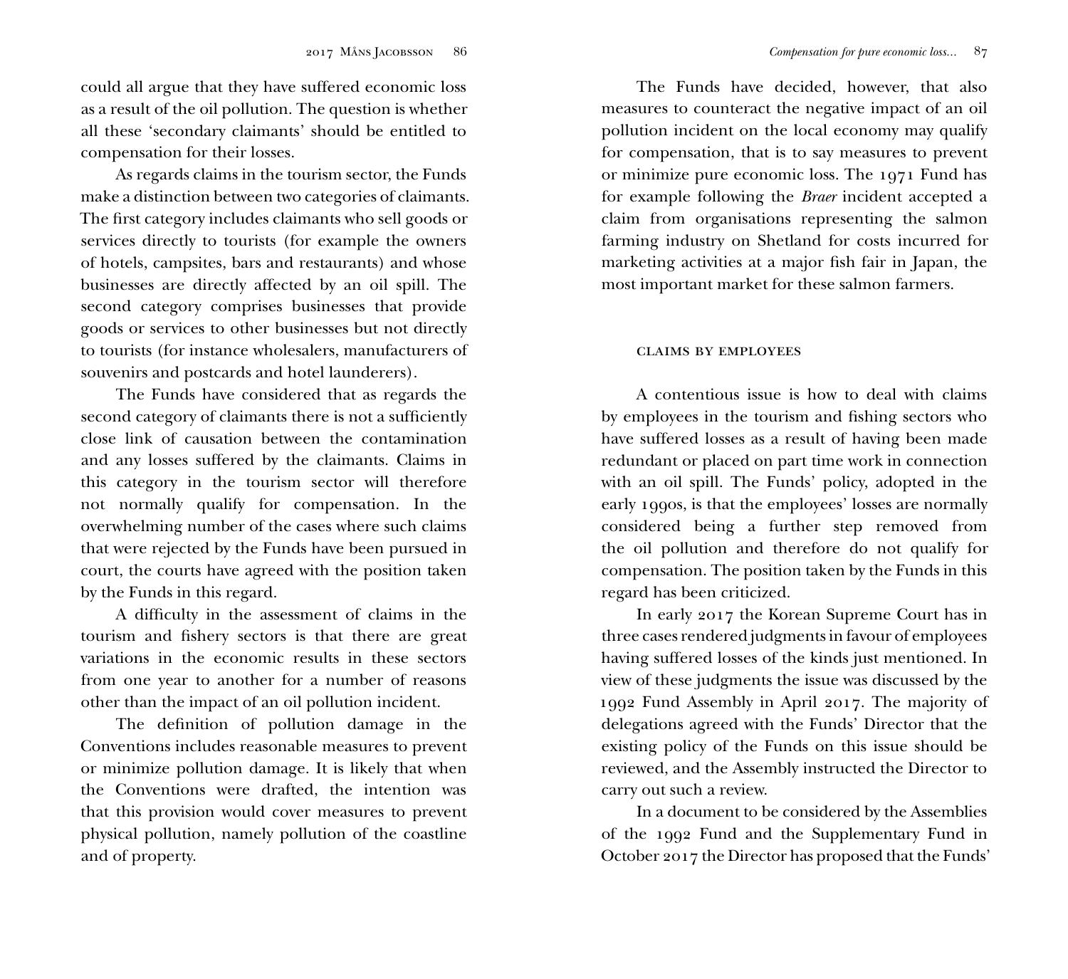could all argue that they have suffered economic loss as a result of the oil pollution. The question is whether all these 'secondary claimants' should be entitled to compensation for their losses.

As regards claims in the tourism sector, the Funds make a distinction between two categories of claimants. The first category includes claimants who sell goods or services directly to tourists (for example the owners of hotels, campsites, bars and restaurants) and whose businesses are directly affected by an oil spill. The second category comprises businesses that provide goods or services to other businesses but not directly to tourists (for instance wholesalers, manufacturers of souvenirs and postcards and hotel launderers).

The Funds have considered that as regards the second category of claimants there is not a sufficiently close link of causation between the contamination and any losses suffered by the claimants. Claims in this category in the tourism sector will therefore not normally qualify for compensation. In the overwhelming number of the cases where such claims that were rejected by the Funds have been pursued in court, the courts have agreed with the position taken by the Funds in this regard.

A difficulty in the assessment of claims in the tourism and fishery sectors is that there are great variations in the economic results in these sectors from one year to another for a number of reasons other than the impact of an oil pollution incident.

The definition of pollution damage in the Conventions includes reasonable measures to prevent or minimize pollution damage. It is likely that when the Conventions were drafted, the intention was that this provision would cover measures to prevent physical pollution, namely pollution of the coastline and of property.

The Funds have decided, however, that also measures to counteract the negative impact of an oil pollution incident on the local economy may qualify for compensation, that is to say measures to prevent or minimize pure economic loss. The 1971 Fund has for example following the *Braer* incident accepted a claim from organisations representing the salmon farming industry on Shetland for costs incurred for marketing activities at a major fish fair in Japan, the most important market for these salmon farmers.

### claims by employees

A contentious issue is how to deal with claims by employees in the tourism and fishing sectors who have suffered losses as a result of having been made redundant or placed on part time work in connection with an oil spill. The Funds' policy, adopted in the early 1990s, is that the employees' losses are normally considered being a further step removed from the oil pollution and therefore do not qualify for compensation. The position taken by the Funds in this regard has been criticized.

In early 2017 the Korean Supreme Court has in three cases rendered judgments in favour of employees having suffered losses of the kinds just mentioned. In view of these judgments the issue was discussed by the 1992 Fund Assembly in April 2017. The majority of delegations agreed with the Funds' Director that the existing policy of the Funds on this issue should be reviewed, and the Assembly instructed the Director to carry out such a review.

In a document to be considered by the Assemblies of the 1992 Fund and the Supplementary Fund in October 2017 the Director has proposed that the Funds'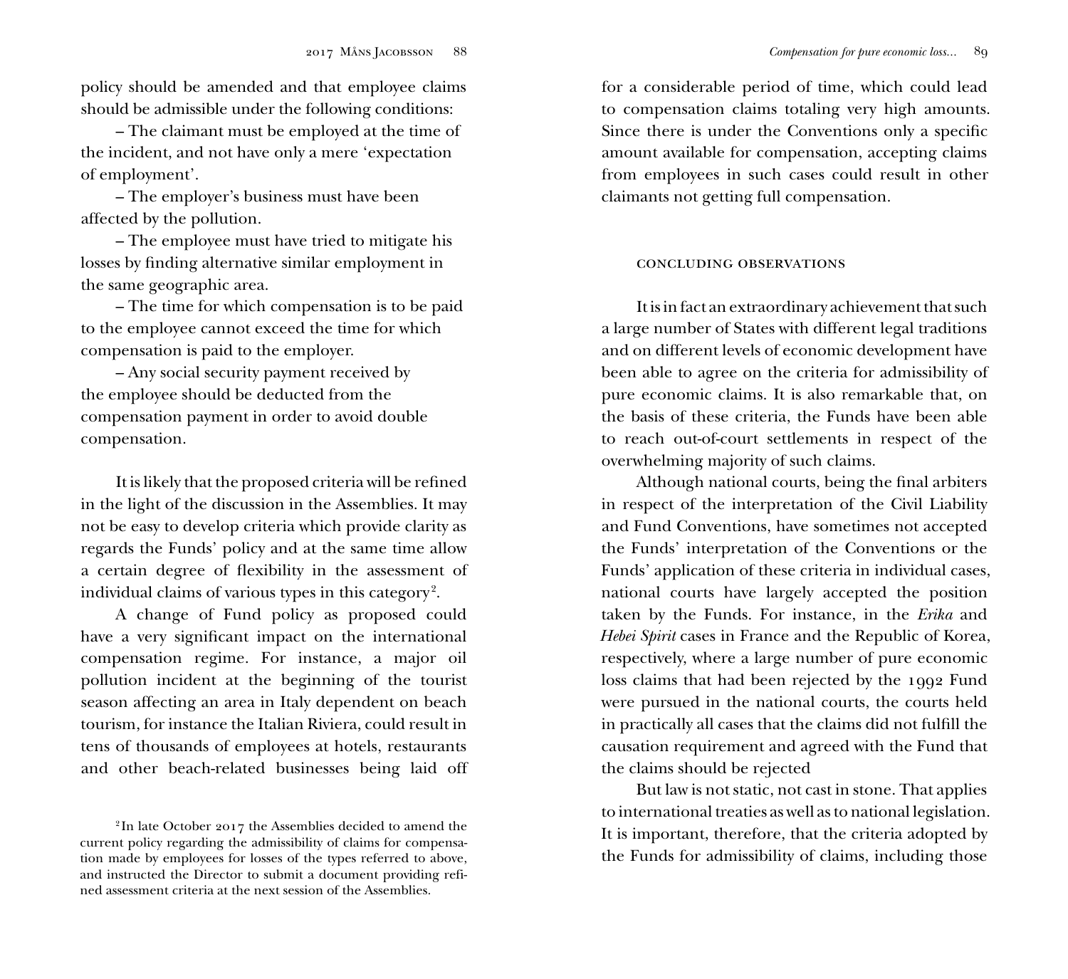policy should be amended and that employee claims should be admissible under the following conditions:

– The claimant must be employed at the time of the incident, and not have only a mere 'expectation of employment'.

– The employer's business must have been affected by the pollution.

– The employee must have tried to mitigate his losses by finding alternative similar employment in the same geographic area.

– The time for which compensation is to be paid to the employee cannot exceed the time for which compensation is paid to the employer.

– Any social security payment received by the employee should be deducted from the compensation payment in order to avoid double compensation.

It is likely that the proposed criteria will be refined in the light of the discussion in the Assemblies. It may not be easy to develop criteria which provide clarity as regards the Funds' policy and at the same time allow a certain degree of flexibility in the assessment of individual claims of various types in this category<sup>2</sup>.

A change of Fund policy as proposed could have a very significant impact on the international compensation regime. For instance, a major oil pollution incident at the beginning of the tourist season affecting an area in Italy dependent on beach tourism, for instance the Italian Riviera, could result in tens of thousands of employees at hotels, restaurants and other beach-related businesses being laid off for a considerable period of time, which could lead to compensation claims totaling very high amounts. Since there is under the Conventions only a specific amount available for compensation, accepting claims from employees in such cases could result in other claimants not getting full compensation.

#### concluding observations

It is in fact an extraordinary achievement that such a large number of States with different legal traditions and on different levels of economic development have been able to agree on the criteria for admissibility of pure economic claims. It is also remarkable that, on the basis of these criteria, the Funds have been able to reach out-of-court settlements in respect of the overwhelming majority of such claims.

Although national courts, being the final arbiters in respect of the interpretation of the Civil Liability and Fund Conventions, have sometimes not accepted the Funds' interpretation of the Conventions or the Funds' application of these criteria in individual cases, national courts have largely accepted the position taken by the Funds. For instance, in the *Erika* and *Hebei Spirit* cases in France and the Republic of Korea, respectively, where a large number of pure economic loss claims that had been rejected by the 1992 Fund were pursued in the national courts, the courts held in practically all cases that the claims did not fulfill the causation requirement and agreed with the Fund that the claims should be rejected

But law is not static, not cast in stone. That applies to international treaties as well as to national legislation. It is important, therefore, that the criteria adopted by the Funds for admissibility of claims, including those

<sup>2</sup> In late October 2017 the Assemblies decided to amend the current policy regarding the admissibility of claims for compensation made by employees for losses of the types referred to above, and instructed the Director to submit a document providing refined assessment criteria at the next session of the Assemblies.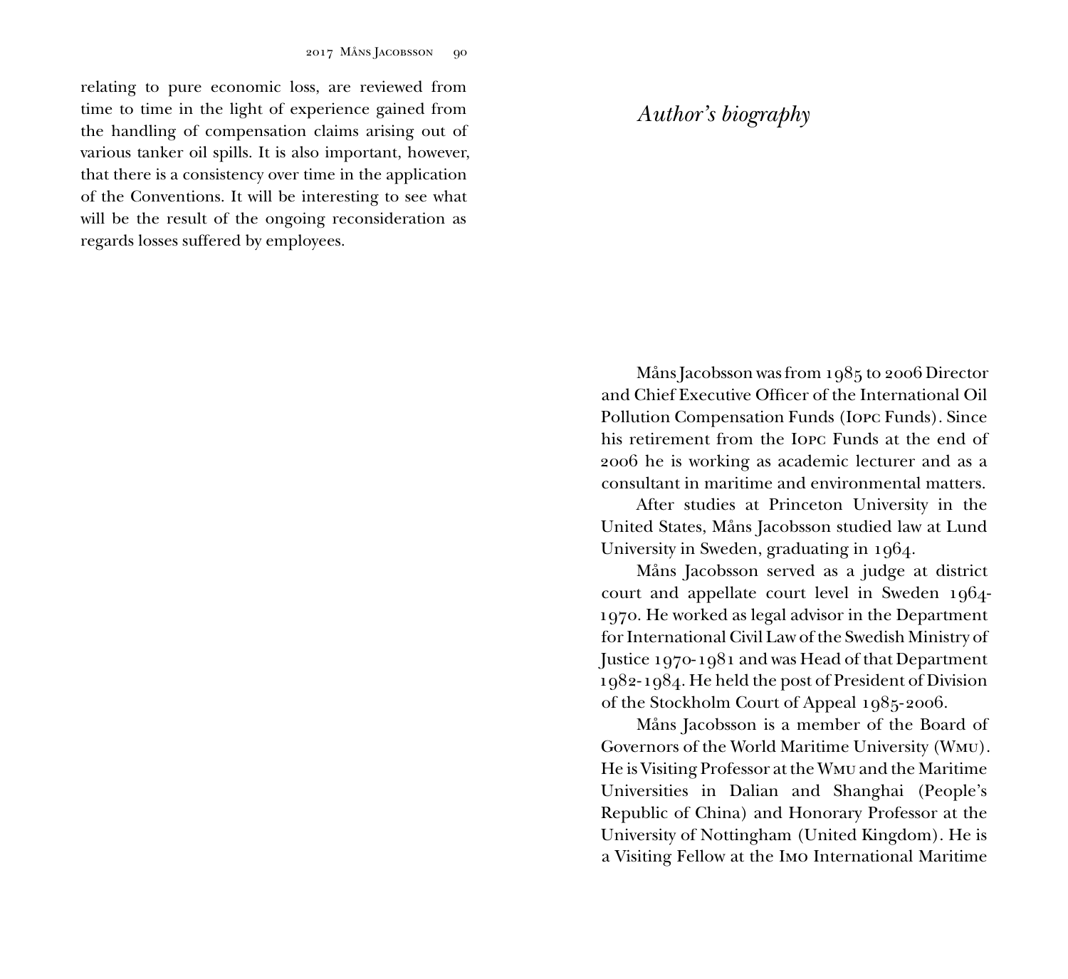relating to pure economic loss, are reviewed from time to time in the light of experience gained from the handling of compensation claims arising out of various tanker oil spills. It is also important, however, that there is a consistency over time in the application of the Conventions. It will be interesting to see what will be the result of the ongoing reconsideration as regards losses suffered by employees.

# *Author's biography*

Måns Jacobsson was from 1985 to 2006 Director and Chief Executive Officer of the International Oil Pollution Compensation Funds (Iopc Funds). Since his retirement from the Iopc Funds at the end of 2006 he is working as academic lecturer and as a consultant in maritime and environmental matters.

After studies at Princeton University in the United States, Måns Jacobsson studied law at Lund University in Sweden, graduating in 1964.

Måns Jacobsson served as a judge at district court and appellate court level in Sweden 1964- 1970. He worked as legal advisor in the Department for International Civil Law of the Swedish Ministry of Justice 1970-1981 and was Head of that Department 1982-1984. He held the post of President of Division of the Stockholm Court of Appeal 1985-2006.

Måns Jacobsson is a member of the Board of Governors of the World Maritime University (Wmu). He is Visiting Professor at the Wmu and the Maritime Universities in Dalian and Shanghai (People's Republic of China) and Honorary Professor at the University of Nottingham (United Kingdom). He is a Visiting Fellow at the Imo International Maritime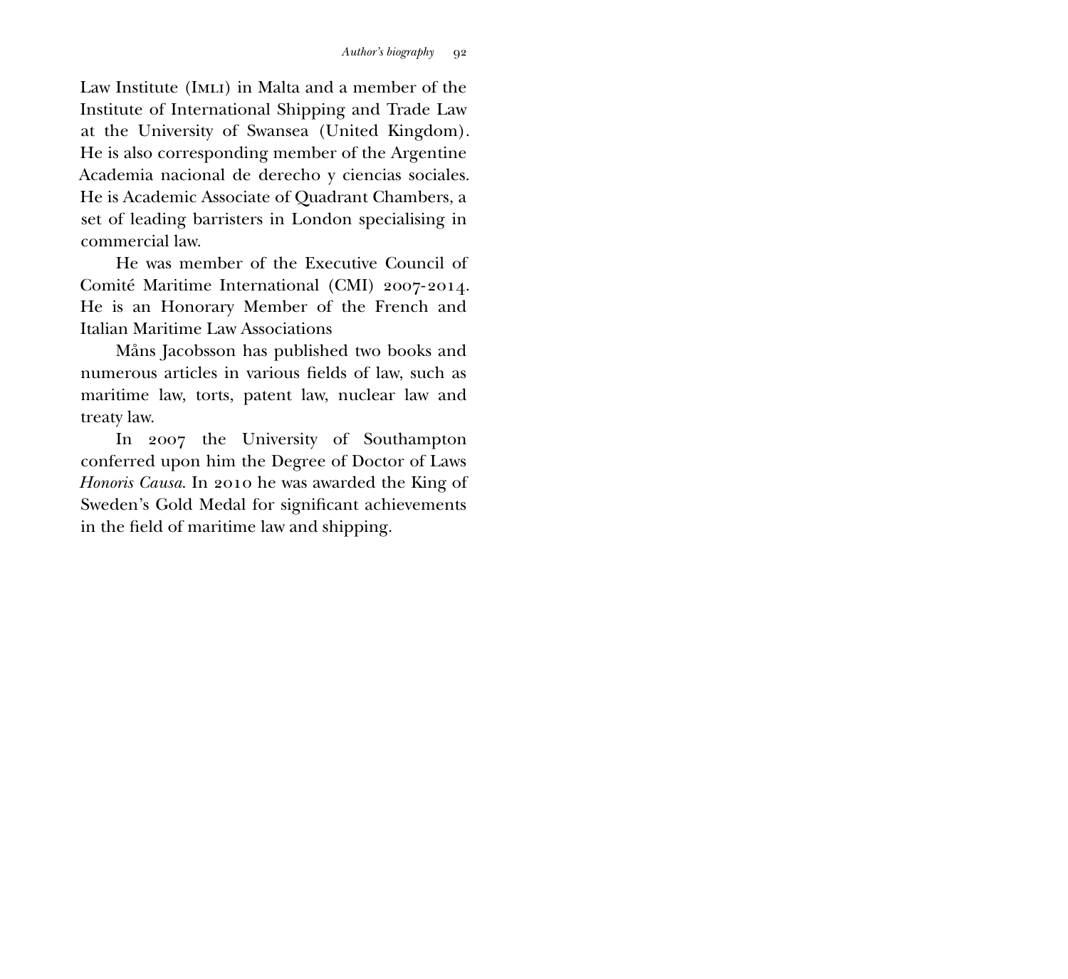Law Institute (IMLI) in Malta and a member of the Institute of International Shipping and Trade Law at the University of Swansea (United Kingdom). He is also corresponding member of the Argentine Academia nacional de derecho y ciencias sociales. He is Academic Associate of Quadrant Chambers, a set of leading barristers in London specialising in commercial law.

He was member of the Executive Council of Comité Maritime International (CMI) 2007-2014. He is an Honorary Member of the French and Italian Maritime Law Associations

Måns Jacobsson has published two books and numerous articles in various fields of law, such as maritime law, torts, patent law, nuclear law and treaty law.

In 2007 the University of Southampton conferred upon him the Degree of Doctor of Laws *Honoris Causa*. In 2010 he was awarded the King of Sweden's Gold Medal for significant achievements in the field of maritime law and shipping.